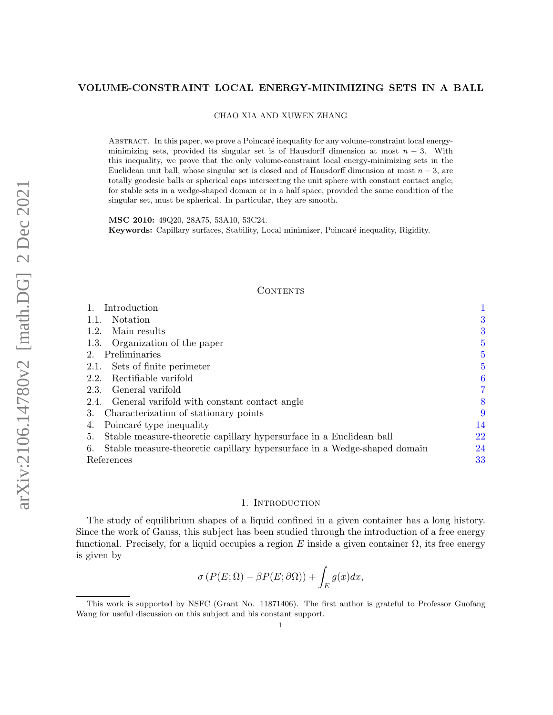## VOLUME-CONSTRAINT LOCAL ENERGY-MINIMIZING SETS IN A BALL

CHAO XIA AND XUWEN ZHANG

ABSTRACT. In this paper, we prove a Poincaré inequality for any volume-constraint local energyminimizing sets, provided its singular set is of Hausdorff dimension at most  $n-3$ . With this inequality, we prove that the only volume-constraint local energy-minimizing sets in the Euclidean unit ball, whose singular set is closed and of Hausdorff dimension at most  $n-3$ , are totally geodesic balls or spherical caps intersecting the unit sphere with constant contact angle; for stable sets in a wedge-shaped domain or in a half space, provided the same condition of the singular set, must be spherical. In particular, they are smooth.

MSC 2010: 49Q20, 28A75, 53A10, 53C24. Keywords: Capillary surfaces, Stability, Local minimizer, Poincaré inequality, Rigidity.

## CONTENTS

| Introduction                                                                   |    |
|--------------------------------------------------------------------------------|----|
| Notation                                                                       | 3  |
| 1.2. Main results                                                              | 3  |
| 1.3. Organization of the paper                                                 | 5  |
| Preliminaries<br>$2_{-}$                                                       | 5  |
| 2.1. Sets of finite perimeter                                                  | 5  |
| Rectifiable varifold<br>2.2.                                                   | 6  |
| 2.3. General varifold                                                          | 7  |
| 2.4. General varifold with constant contact angle                              | 8  |
| Characterization of stationary points<br>3.                                    | 9  |
| Poincaré type inequality<br>4.                                                 | 14 |
| Stable measure-theoretic capillary hypersurface in a Euclidean ball<br>5.      | 22 |
| Stable measure-theoretic capillary hypersurface in a Wedge-shaped domain<br>6. | 24 |
| References                                                                     | 33 |

#### 1. INTRODUCTION

<span id="page-0-0"></span>The study of equilibrium shapes of a liquid confined in a given container has a long history. Since the work of Gauss, this subject has been studied through the introduction of a free energy functional. Precisely, for a liquid occupies a region E inside a given container  $\Omega$ , its free energy is given by

$$
\sigma\left(P(E;\Omega)-\beta P(E;\partial\Omega)\right)+\int_{E}g(x)dx,
$$

This work is supported by NSFC (Grant No. 11871406). The first author is grateful to Professor Guofang Wang for useful discussion on this subject and his constant support.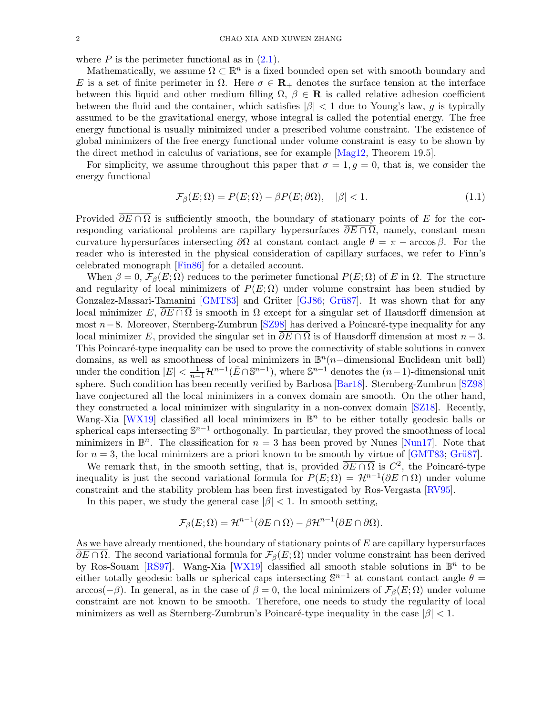where  $P$  is the perimeter functional as in  $(2.1)$ .

Mathematically, we assume  $\Omega \subset \mathbb{R}^n$  is a fixed bounded open set with smooth boundary and E is a set of finite perimeter in  $\Omega$ . Here  $\sigma \in \mathbf{R}_{+}$  denotes the surface tension at the interface between this liquid and other medium filling  $\Omega$ ,  $\beta \in \mathbf{R}$  is called relative adhesion coefficient between the fluid and the container, which satisfies  $|\beta| < 1$  due to Young's law, g is typically assumed to be the gravitational energy, whose integral is called the potential energy. The free energy functional is usually minimized under a prescribed volume constraint. The existence of global minimizers of the free energy functional under volume constraint is easy to be shown by the direct method in calculus of variations, see for example [\[Mag12,](#page-33-0) Theorem 19.5].

For simplicity, we assume throughout this paper that  $\sigma = 1, g = 0$ , that is, we consider the energy functional

<span id="page-1-0"></span>
$$
\mathcal{F}_{\beta}(E;\Omega) = P(E;\Omega) - \beta P(E;\partial\Omega), \quad |\beta| < 1. \tag{1.1}
$$

Provided  $\overline{\partial E \cap \Omega}$  is sufficiently smooth, the boundary of stationary points of E for the corresponding variational problems are capillary hypersurfaces  $\partial E \cap \Omega$ , namely, constant mean curvature hypersurfaces intersecting  $\partial\Omega$  at constant contact angle  $\theta = \pi - \arccos \beta$ . For the reader who is interested in the physical consideration of capillary surfaces, we refer to Finn's celebrated monograph [\[Fin86\]](#page-33-1) for a detailed account.

When  $\beta = 0$ ,  $\mathcal{F}_{\beta}(E;\Omega)$  reduces to the perimeter functional  $P(E;\Omega)$  of E in  $\Omega$ . The structure and regularity of local minimizers of  $P(E; \Omega)$  under volume constraint has been studied by Gonzalez-Massari-Tamanini [\[GMT83\]](#page-33-2) and Grüter [\[GJ86;](#page-33-3) Grü87]. It was shown that for any local minimizer E,  $\overline{\partial E \cap \Omega}$  is smooth in  $\Omega$  except for a singular set of Hausdorff dimension at most  $n-8$ . Moreover, Sternberg-Zumbrun [\[SZ98\]](#page-34-0) has derived a Poincaré-type inequality for any local minimizer E, provided the singular set in  $\partial E \cap \Omega$  is of Hausdorff dimension at most  $n-3$ . This Poincaré-type inequality can be used to prove the connectivity of stable solutions in convex domains, as well as smoothness of local minimizers in  $\mathbb{B}^n(n-\text{dimensional Euclidean unit ball})$ under the condition  $|E| < \frac{1}{n-1} \mathcal{H}^{n-1}(\bar{E} \cap \mathbb{S}^{n-1})$ , where  $\mathbb{S}^{n-1}$  denotes the  $(n-1)$ -dimensional unit sphere. Such condition has been recently verified by Barbosa [\[Bar18\]](#page-32-1). Sternberg-Zumbrun [\[SZ98\]](#page-34-0) have conjectured all the local minimizers in a convex domain are smooth. On the other hand, they constructed a local minimizer with singularity in a non-convex domain [\[SZ18\]](#page-33-5). Recently, Wang-Xia [\[WX19\]](#page-34-1) classified all local minimizers in  $\mathbb{B}^n$  to be either totally geodesic balls or spherical caps intersecting  $\mathbb{S}^{n-1}$  orthogonally. In particular, they proved the smoothness of local minimizers in  $\mathbb{B}^n$ . The classification for  $n=3$  has been proved by Nunes [\[Nun17\]](#page-33-6). Note that for  $n = 3$ , the local minimizers are a priori known to be smooth by virtue of [\[GMT83;](#page-33-2) Grü87].

We remark that, in the smooth setting, that is, provided  $\overline{\partial E \cap \Omega}$  is  $C^2$ , the Poincaré-type inequality is just the second variational formula for  $P(E; \Omega) = \mathcal{H}^{n-1}(\partial E \cap \Omega)$  under volume constraint and the stability problem has been first investigated by Ros-Vergasta [\[RV95\]](#page-33-7).

In this paper, we study the general case  $|\beta|$  < 1. In smooth setting,

$$
\mathcal{F}_{\beta}(E;\Omega) = \mathcal{H}^{n-1}(\partial E \cap \Omega) - \beta \mathcal{H}^{n-1}(\partial E \cap \partial \Omega).
$$

As we have already mentioned, the boundary of stationary points of  $E$  are capillary hypersurfaces  $\partial E \cap \Omega$ . The second variational formula for  $\mathcal{F}_{\beta}(E;\Omega)$  under volume constraint has been derived by Ros-Souam [\[RS97\]](#page-33-8). Wang-Xia [\[WX19\]](#page-34-1) classified all smooth stable solutions in  $\mathbb{B}^n$  to be either totally geodesic balls or spherical caps intersecting  $\mathbb{S}^{n-1}$  at constant contact angle  $\theta =$ arccos(-β). In general, as in the case of  $\beta = 0$ , the local minimizers of  $\mathcal{F}_{\beta}(E; \Omega)$  under volume constraint are not known to be smooth. Therefore, one needs to study the regularity of local minimizers as well as Sternberg-Zumbrun's Poincaré-type inequality in the case  $|\beta|$  < 1.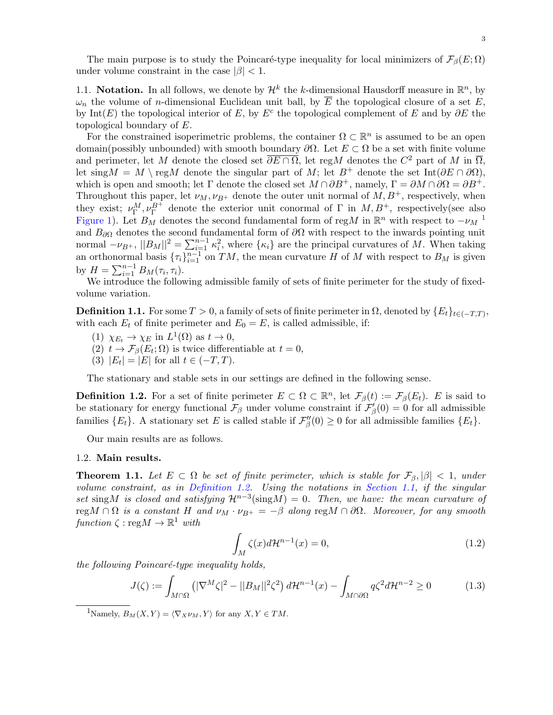The main purpose is to study the Poincaré-type inequality for local minimizers of  $\mathcal{F}_{\beta}(E; \Omega)$ under volume constraint in the case  $|\beta|$  < 1.

<span id="page-2-0"></span>1.1. Notation. In all follows, we denote by  $\mathcal{H}^k$  the k-dimensional Hausdorff measure in  $\mathbb{R}^n$ , by  $\omega_n$  the volume of *n*-dimensional Euclidean unit ball, by  $\overline{E}$  the topological closure of a set E, by Int(E) the topological interior of E, by  $E^c$  the topological complement of E and by  $\partial E$  the topological boundary of E.

For the constrained isoperimetric problems, the container  $\Omega \subset \mathbb{R}^n$  is assumed to be an open domain(possibly unbounded) with smooth boundary  $\partial\Omega$ . Let  $E \subset \Omega$  be a set with finite volume and perimeter, let M denote the closed set  $\overline{\partial E \cap \Omega}$ , let regM denotes the  $C^2$  part of M in  $\overline{\Omega}$ , let sing  $M = M \ \text{reg}M$  denote the singular part of  $M$ ; let  $B^+$  denote the set Int( $\partial E \cap \partial \Omega$ ), which is open and smooth; let  $\Gamma$  denote the closed set  $M \cap \partial B^+$ , namely,  $\Gamma = \partial M \cap \partial \Omega = \partial B^+$ . Throughout this paper, let  $\nu_M, \nu_{B^+}$  denote the outer unit normal of  $M, B^+$ , respectively, when they exist;  $\nu_{\Gamma}^M, \nu_{\Gamma}^{B^+}$  denote the exterior unit conormal of  $\Gamma$  in  $M, B^+$ , respectively(see also [Figure 1\)](#page-10-0). Let  $B_M$  denotes the second fundamental form of reg $M$  in  $\mathbb{R}^n$  with respect to  $-\nu_M$ <sup>[1](#page-2-2)</sup> and  $B_{\partial\Omega}$  denotes the second fundamental form of  $\partial\Omega$  with respect to the inwards pointing unit normal  $-\nu_{B+}$ ,  $||B_M||^2 = \sum_{i=1}^{n-1} \kappa_i^2$ , where  $\{\kappa_i\}$  are the principal curvatures of M. When taking an orthonormal basis  ${\{\tau_i\}}_{i=1}^{n-1}$  on  $TM$ , the mean curvature H of M with respect to  $B_M$  is given by  $H = \sum_{i=1}^{n-1} B_M(\tau_i, \tau_i)$ .

We introduce the following admissible family of sets of finite perimeter for the study of fixedvolume variation.

<span id="page-2-6"></span>**Definition 1.1.** For some  $T > 0$ , a family of sets of finite perimeter in  $\Omega$ , denoted by  $\{E_t\}_{t \in (-T,T)}$ , with each  $E_t$  of finite perimeter and  $E_0 = E$ , is called admissible, if:

- (1)  $\chi_{E_t} \to \chi_E$  in  $L^1(\Omega)$  as  $t \to 0$ ,
- (2)  $t \to \mathcal{F}_{\beta}(E_t; \Omega)$  is twice differentiable at  $t = 0$ ,
- (3)  $|E_t| = |E|$  for all  $t \in (-T, T)$ .

The stationary and stable sets in our settings are defined in the following sense.

<span id="page-2-3"></span>**Definition 1.2.** For a set of finite perimeter  $E \subset \Omega \subset \mathbb{R}^n$ , let  $\mathcal{F}_{\beta}(t) := \mathcal{F}_{\beta}(E_t)$ . E is said to be stationary for energy functional  $\mathcal{F}_{\beta}$  under volume constraint if  $\mathcal{F}'_{\beta}(0) = 0$  for all admissible families  $\{E_t\}$ . A stationary set E is called stable if  $\mathcal{F}_{\beta}^{\prime\prime}(0) \geq 0$  for all admissible families  $\{E_t\}$ .

Our main results are as follows.

## <span id="page-2-5"></span><span id="page-2-1"></span>1.2. Main results.

**Theorem 1.1.** Let  $E \subset \Omega$  be set of finite perimeter, which is stable for  $\mathcal{F}_{\beta}$ ,  $|\beta|$  < 1, under volume constraint, as in [Definition 1.2.](#page-2-3) Using the notations in [Section 1.1,](#page-2-0) if the singular set singM is closed and satisfying  $\mathcal{H}^{n-3}(\text{sing}M) = 0$ . Then, we have: the mean curvature of regM ∩  $\Omega$  is a constant H and  $\nu_M \cdot \nu_{B^+} = -\beta$  along regM ∩  $\partial \Omega$ . Moreover, for any smooth function  $\zeta : \text{reg}M \to \mathbb{R}^1$  with

<span id="page-2-4"></span>
$$
\int_{M} \zeta(x)d\mathcal{H}^{n-1}(x) = 0,
$$
\n(1.2)

 $the following Poincaré-type inequality holds,$ 

$$
J(\zeta) := \int_{M \cap \Omega} \left( |\nabla^M \zeta|^2 - ||B_M||^2 \zeta^2 \right) d\mathcal{H}^{n-1}(x) - \int_{M \cap \partial \Omega} q \zeta^2 d\mathcal{H}^{n-2} \ge 0 \tag{1.3}
$$

<span id="page-2-2"></span><sup>1</sup>Namely,  $B_M(X, Y) = \langle \nabla_X \nu_M, Y \rangle$  for any  $X, Y \in TM$ .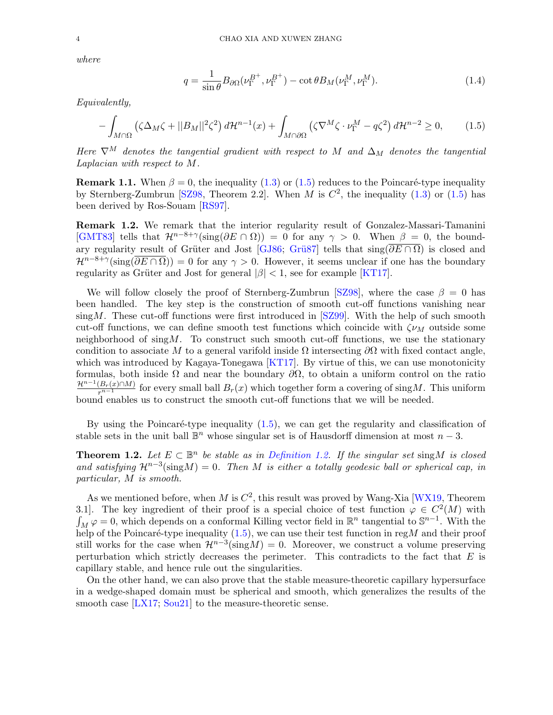where

<span id="page-3-4"></span><span id="page-3-0"></span>
$$
q = \frac{1}{\sin \theta} B_{\partial \Omega}(\nu_{\Gamma}^{B^{+}}, \nu_{\Gamma}^{B^{+}}) - \cot \theta B_{M}(\nu_{\Gamma}^{M}, \nu_{\Gamma}^{M}).
$$
\n(1.4)

Equivalently,

$$
-\int_{M\cap\Omega} \left(\zeta \Delta_M \zeta + ||B_M||^2 \zeta^2\right) d\mathcal{H}^{n-1}(x) + \int_{M\cap\partial\Omega} \left(\zeta \nabla^M \zeta \cdot \nu_{\Gamma}^M - q\zeta^2\right) d\mathcal{H}^{n-2} \ge 0, \tag{1.5}
$$

Here  $\nabla^M$  denotes the tangential gradient with respect to M and  $\Delta_M$  denotes the tangential Laplacian with respect to M.

**Remark 1.1.** When  $\beta = 0$ , the inequality [\(1.3\)](#page-2-4) or [\(1.5\)](#page-3-0) reduces to the Poincaré-type inequality by Sternberg-Zumbrun [\[SZ98,](#page-34-0) Theorem 2.2]. When M is  $C^2$ , the inequality [\(1.3\)](#page-2-4) or [\(1.5\)](#page-3-0) has been derived by Ros-Souam [\[RS97\]](#page-33-8).

<span id="page-3-3"></span>Remark 1.2. We remark that the interior regularity result of Gonzalez-Massari-Tamanini [\[GMT83\]](#page-33-2) tells that  $\mathcal{H}^{n-8+\gamma}(\text{sing}(\partial E \cap \Omega)) = 0$  for any  $\gamma > 0$ . When  $\beta = 0$ , the bound-ary regularity result of Grüter and Jost [\[GJ86;](#page-33-3) Grü87] tells that  $\sin(\overline{\partial E} \cap \overline{\Omega})$  is closed and  $\mathcal{H}^{n-8+\gamma}(\text{sing}(\overline{\partial E \cap \Omega})) = 0$  for any  $\gamma > 0$ . However, it seems unclear if one has the boundary regularity as Grüter and Jost for general  $|\beta|$  < 1, see for example [\[KT17\]](#page-33-9).

We will follow closely the proof of Sternberg-Zumbrun [\[SZ98\]](#page-34-0), where the case  $\beta = 0$  has been handled. The key step is the construction of smooth cut-off functions vanishing near  $\sin g M$ . These cut-off functions were first introduced in [\[SZ99\]](#page-34-2). With the help of such smooth cut-off functions, we can define smooth test functions which coincide with  $\zeta \nu_M$  outside some neighborhood of  $\sin g M$ . To construct such smooth cut-off functions, we use the stationary condition to associate M to a general varifold inside  $\Omega$  intersecting  $\partial\Omega$  with fixed contact angle, which was introduced by Kagaya-Tonegawa [\[KT17\]](#page-33-9). By virtue of this, we can use monotonicity formulas, both inside  $\Omega$  and near the boundary  $\partial\Omega$ , to obtain a uniform control on the ratio  $\frac{\mathcal{H}^{n-1}(B_r(x)\cap M)}{r^{n-1}}$  for every small ball  $B_r(x)$  which together form a covering of sing M. This uniform bound enables us to construct the smooth cut-off functions that we will be needed.

By using the Poincaré-type inequality  $(1.5)$ , we can get the regularity and classification of stable sets in the unit ball  $\mathbb{B}^n$  whose singular set is of Hausdorff dimension at most  $n-3$ .

<span id="page-3-1"></span>**Theorem 1.2.** Let  $E \subset \mathbb{B}^n$  be stable as in [Definition 1.2.](#page-2-3) If the singular set sing M is closed and satisfying  $\mathcal{H}^{n-3}(\text{sing}M) = 0$ . Then M is either a totally geodesic ball or spherical cap, in particular, M is smooth.

As we mentioned before, when M is  $C^2$ , this result was proved by Wang-Xia [\[WX19,](#page-34-1) Theorem 3.1. The key ingredient of their proof is a special choice of test function  $\varphi \in C^2(M)$  with  $\int_M \varphi = 0$ , which depends on a conformal Killing vector field in  $\mathbb{R}^n$  tangential to  $\mathbb{S}^{n-1}$ . With the help of the Poincaré-type inequality  $(1.5)$ , we can use their test function in regM and their proof still works for the case when  $\mathcal{H}^{n-3}(\text{sing}M) = 0$ . Moreover, we construct a volume preserving perturbation which strictly decreases the perimeter. This contradicts to the fact that  $E$  is capillary stable, and hence rule out the singularities.

<span id="page-3-2"></span>On the other hand, we can also prove that the stable measure-theoretic capillary hypersurface in a wedge-shaped domain must be spherical and smooth, which generalizes the results of the smooth case [\[LX17;](#page-33-10) [Sou21\]](#page-33-11) to the measure-theoretic sense.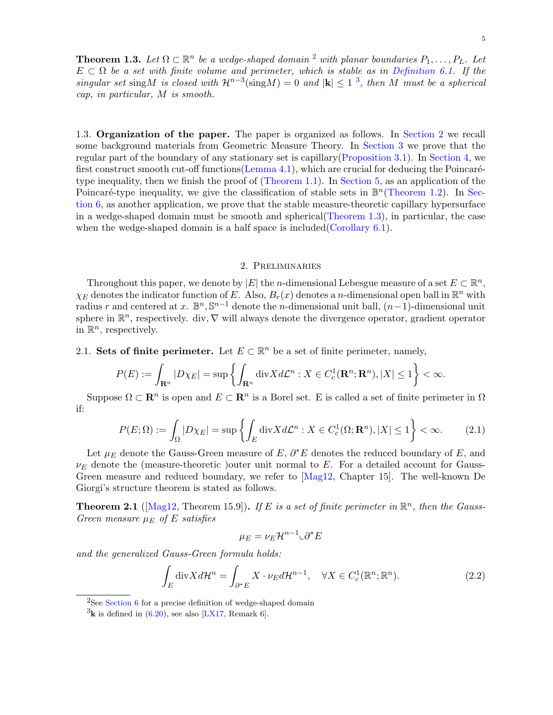**Theorem 1.3.** Let  $\Omega \subset \mathbb{R}^n$  be a wedge-shaped domain <sup>[2](#page-4-4)</sup> with planar boundaries  $P_1, \ldots, P_L$ . Let  $E \subset \Omega$  be a set with finite volume and perimeter, which is stable as in [Definition 6.1.](#page-24-0) If the singular set sing M is closed with  $\mathcal{H}^{n-3}(\text{sing}M) = 0$  $\mathcal{H}^{n-3}(\text{sing}M) = 0$  $\mathcal{H}^{n-3}(\text{sing}M) = 0$  and  $|\mathbf{k}| \leq 1^3$ , then M must be a spherical cap, in particular, M is smooth.

<span id="page-4-0"></span>1.3. Organization of the paper. The paper is organized as follows. In [Section 2](#page-4-1) we recall some background materials from Geometric Measure Theory. In [Section 3](#page-8-0) we prove that the regular part of the boundary of any stationary set is capillary[\(Proposition 3.1\)](#page-9-0). In [Section 4,](#page-13-0) we first construct smooth cut-off functions [\(Lemma 4.1\)](#page-13-1), which are crucial for deducing the Poincarétype inequality, then we finish the proof of [\(Theorem 1.1\)](#page-2-5). In [Section 5,](#page-21-0) as an application of the Poincaré-type inequality, we give the classification of stable sets in  $\mathbb{B}^n$  [\(Theorem 1.2\)](#page-3-1). In [Sec](#page-23-0)[tion 6,](#page-23-0) as another application, we prove that the stable measure-theoretic capillary hypersurface in a wedge-shaped domain must be smooth and spherical[\(Theorem 1.3\)](#page-3-2), in particular, the case when the wedge-shaped domain is a half space is included[\(Corollary 6.1\)](#page-32-2).

# 2. Preliminaries

<span id="page-4-1"></span>Throughout this paper, we denote by  $|E|$  the *n*-dimensional Lebesgue measure of a set  $E \subset \mathbb{R}^n$ ,  $\chi_E$  denotes the indicator function of E. Also,  $B_r(x)$  denotes a n-dimensional open ball in  $\mathbb{R}^n$  with radius r and centered at x.  $\mathbb{B}^n$ ,  $\mathbb{S}^{n-1}$  denote the *n*-dimensional unit ball,  $(n-1)$ -dimensional unit sphere in  $\mathbb{R}^n$ , respectively. div,  $\nabla$  will always denote the divergence operator, gradient operator in  $\mathbb{R}^n$ , respectively.

<span id="page-4-2"></span>2.1. Sets of finite perimeter. Let  $E \subset \mathbb{R}^n$  be a set of finite perimeter, namely,

$$
P(E) := \int_{\mathbf{R}^n} |D\chi_E| = \sup \left\{ \int_{\mathbf{R}^n} \operatorname{div} X d\mathcal{L}^n : X \in C_c^1(\mathbf{R}^n; \mathbf{R}^n), |X| \le 1 \right\} < \infty.
$$

Suppose  $\Omega \subset \mathbf{R}^n$  is open and  $E \subset \mathbf{R}^n$  is a Borel set. E is called a set of finite perimeter in  $\Omega$ if:

$$
P(E; \Omega) := \int_{\Omega} |D\chi_E| = \sup \left\{ \int_E \text{div}X d\mathcal{L}^n : X \in C_c^1(\Omega; \mathbf{R}^n), |X| \le 1 \right\} < \infty.
$$
 (2.1)

Let  $\mu_E$  denote the Gauss-Green measure of E,  $\partial^* E$  denotes the reduced boundary of E, and  $\nu_E$  denote the (measure-theoretic )outer unit normal to E. For a detailed account for Gauss-Green measure and reduced boundary, we refer to [\[Mag12,](#page-33-0) Chapter 15]. The well-known De Giorgi's structure theorem is stated as follows.

**Theorem 2.1** ([\[Mag12,](#page-33-0) Theorem 15.9]). If E is a set of finite perimeter in  $\mathbb{R}^n$ , then the Gauss-Green measure  $\mu_E$  of E satisfies

<span id="page-4-3"></span>
$$
\mu_E = \nu_E \mathcal{H}^{n-1} \llcorner \partial^* E
$$

and the generalized Gauss-Green formula holds:

$$
\int_{E} \operatorname{div} X d\mathcal{H}^{n} = \int_{\partial^* E} X \cdot \nu_E d\mathcal{H}^{n-1}, \quad \forall X \in C_c^1(\mathbb{R}^n; \mathbb{R}^n).
$$
\n(2.2)

<span id="page-4-4"></span> $2$ See [Section 6](#page-23-0) for a precise definition of wedge-shaped domain

<span id="page-4-5"></span> ${}^{3}$ k is defined in [\(6.20\)](#page-27-0), see also [\[LX17,](#page-33-10) Remark 6].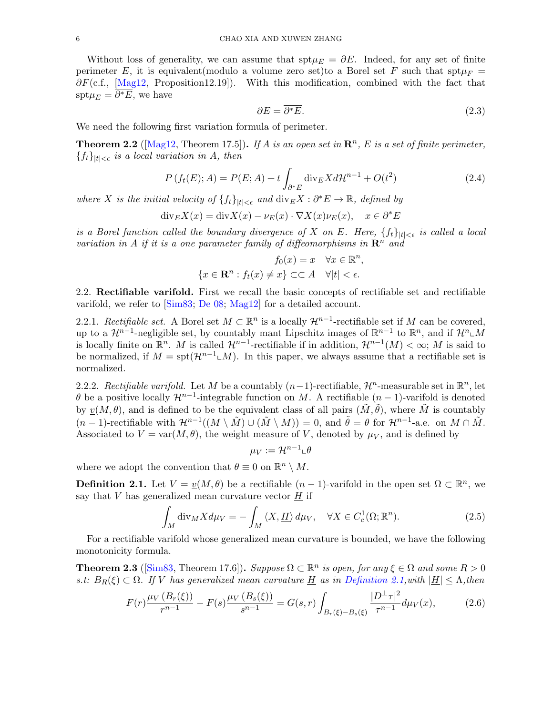Without loss of generality, we can assume that spt $\mu_E = \partial E$ . Indeed, for any set of finite perimeter E, it is equivalent(modulo a volume zero set)to a Borel set F such that  $spt\mu_F$  =  $\partial F(c.f., \text{[Mag12, Proposition12.19]})$ . With this modification, combined with the fact that  $\text{spt}\mu_E = \overline{\partial^* E}$ , we have

$$
\partial E = \overline{\partial^* E}.\tag{2.3}
$$

We need the following first variation formula of perimeter.

<span id="page-5-2"></span>**Theorem 2.2** ( $[Mag12, Theorem 17.5]$  $[Mag12, Theorem 17.5]$ ). If A is an open set in  $\mathbb{R}^n$ , E is a set of finite perimeter,  ${f_t}_{|t|<\epsilon}$  is a local variation in A, then

$$
P(f_t(E); A) = P(E; A) + t \int_{\partial^* E} \text{div}_E X d\mathcal{H}^{n-1} + O(t^2)
$$
 (2.4)

where X is the initial velocity of  $\{f_t\}_{|t|<\epsilon}$  and  $\text{div}_E X : \partial^* E \to \mathbb{R}$ , defined by

$$
\mathrm{div}_E X(x) = \mathrm{div} X(x) - \nu_E(x) \cdot \nabla X(x) \nu_E(x), \quad x \in \partial^* E
$$

is a Borel function called the boundary divergence of X on E. Here,  $\{f_t\}_{|t|<\epsilon}$  is called a local variation in A if it is a one parameter family of diffeomorphisms in  $\mathbb{R}^n$  and

$$
f_0(x) = x \quad \forall x \in \mathbb{R}^n,
$$
  

$$
\{x \in \mathbb{R}^n : f_t(x) \neq x\} \subset \subset A \quad \forall |t| < \epsilon.
$$

<span id="page-5-0"></span>2.2. Rectifiable varifold. First we recall the basic concepts of rectifiable set and rectifiable varifold, we refer to [\[Sim83;](#page-33-12) [De 08;](#page-32-3) [Mag12\]](#page-33-0) for a detailed account.

2.2.1. Rectifiable set. A Borel set  $M \subset \mathbb{R}^n$  is a locally  $\mathcal{H}^{n-1}$ -rectifiable set if M can be covered, up to a  $\mathcal{H}^{n-1}$ -negligible set, by countably mant Lipschitz images of  $\mathbb{R}^{n-1}$  to  $\mathbb{R}^n$ , and if  $\mathcal{H}^n \llcorner M$ is locally finite on  $\mathbb{R}^n$ . M is called  $\mathcal{H}^{n-1}$ -rectifiable if in addition,  $\mathcal{H}^{n-1}(M) < \infty$ ; M is said to be normalized, if  $M = \text{spt}(\mathcal{H}^{n-1} \llcorner M)$ . In this paper, we always assume that a rectifiable set is normalized.

2.2.2. Rectifiable varifold. Let M be a countably  $(n-1)$ -rectifiable,  $\mathcal{H}^n$ -measurable set in  $\mathbb{R}^n$ , let  $\theta$  be a positive locally  $\mathcal{H}^{n-1}$ -integrable function on M. A rectifiable  $(n-1)$ -varifold is denoted by  $v(M, \theta)$ , and is defined to be the equivalent class of all pairs  $(M, \theta)$ , where M is countably  $(n-1)$ -rectifiable with  $\mathcal{H}^{n-1}((M \setminus \tilde{M}) \cup (\tilde{M} \setminus M)) = 0$ , and  $\tilde{\theta} = \theta$  for  $\mathcal{H}^{n-1}$ -a.e. on  $M \cap \tilde{M}$ . Associated to  $V = \text{var}(M, \theta)$ , the weight measure of V, denoted by  $\mu_V$ , and is defined by

<span id="page-5-3"></span>
$$
\mu_V := \mathcal{H}^{n-1} \llcorner \theta
$$

where we adopt the convention that  $\theta \equiv 0$  on  $\mathbb{R}^n \setminus M$ .

<span id="page-5-1"></span>**Definition 2.1.** Let  $V = \underline{v}(M, \theta)$  be a rectifiable  $(n-1)$ -varifold in the open set  $\Omega \subset \mathbb{R}^n$ , we say that  $V$  has generalized mean curvature vector  $H$  if

$$
\int_{M} \operatorname{div}_{M} X d\mu_{V} = -\int_{M} \langle X, \underline{H} \rangle d\mu_{V}, \quad \forall X \in C_{c}^{1}(\Omega; \mathbb{R}^{n}).
$$
\n(2.5)

For a rectifiable varifold whose generalized mean curvature is bounded, we have the following monotonicity formula.

**Theorem 2.3** ( $[\text{Sim83}, \text{ Theorem 17.6}]$ ). Suppose  $\Omega \subset \mathbb{R}^n$  is open, for any  $\xi \in \Omega$  and some  $R > 0$ s.t:  $B_R(\xi) \subset \Omega$ . If V has generalized mean curvature  $\underline{H}$  as in [Definition 2.1,](#page-5-1)with  $|\underline{H}| \leq \Lambda$ , then

$$
F(r)\frac{\mu_V(B_r(\xi))}{r^{n-1}} - F(s)\frac{\mu_V(B_s(\xi))}{s^{n-1}} = G(s,r)\int_{B_r(\xi)-B_s(\xi)}\frac{|D^\perp\tau|^2}{\tau^{n-1}}d\mu_V(x),\tag{2.6}
$$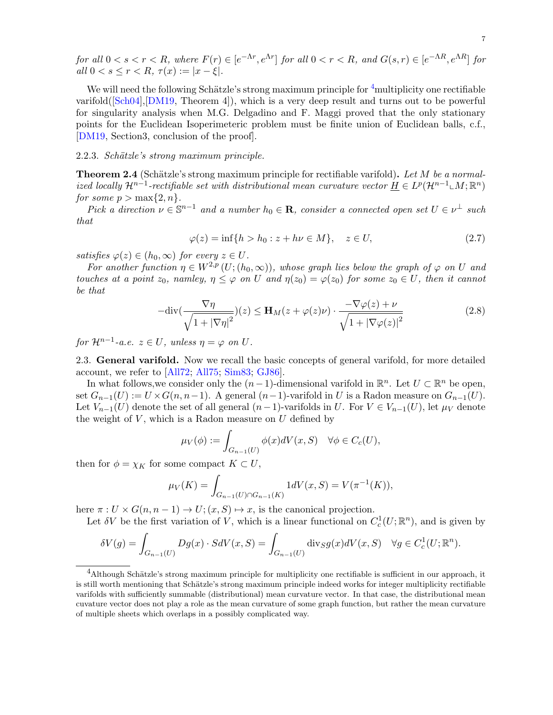for all  $0 < s < r < R$ , where  $F(r) \in [e^{-\Lambda r}, e^{\Lambda r}]$  for all  $0 < r < R$ , and  $G(s,r) \in [e^{-\Lambda R}, e^{\Lambda R}]$  for all  $0 < s \leq r < R$ ,  $\tau(x) := |x - \xi|$ .

We will need the following Schätzle's strong maximum principle for <sup>[4](#page-6-1)</sup>multiplicity one rectifiable varifold([\[Sch04\]](#page-33-13),[\[DM19,](#page-32-4) Theorem 4]), which is a very deep result and turns out to be powerful for singularity analysis when M.G. Delgadino and F. Maggi proved that the only stationary points for the Euclidean Isoperimeteric problem must be finite union of Euclidean balls, c.f., [\[DM19,](#page-32-4) Section3, conclusion of the proof].

## <span id="page-6-2"></span>2.2.3. Schätzle's strong maximum principle.

**Theorem 2.4** (Schätzle's strong maximum principle for rectifiable varifold). Let M be a normalized locally  $\mathcal{H}^{n-1}$ -rectifiable set with distributional mean curvature vector  $\underline{H} \in L^p(\mathcal{H}^{n-1} \llcorner M; \mathbb{R}^n)$ for some  $p > \max\{2, n\}$ .

Pick a direction  $\nu \in \mathbb{S}^{n-1}$  and a number  $h_0 \in \mathbf{R}$ , consider a connected open set  $U \in \nu^{\perp}$  such that

$$
\varphi(z) = \inf\{h > h_0 : z + h\nu \in M\}, \quad z \in U,
$$
\n(2.7)

satisfies  $\varphi(z) \in (h_0, \infty)$  for every  $z \in U$ .

For another function  $\eta \in W^{2,p}(U;(h_0,\infty))$ , whose graph lies below the graph of  $\varphi$  on U and touches at a point  $z_0$ , namley,  $\eta \leq \varphi$  on U and  $\eta(z_0) = \varphi(z_0)$  for some  $z_0 \in U$ , then it cannot be that

$$
-\text{div}\left(\frac{\nabla \eta}{\sqrt{1+|\nabla \eta|^2}}\right)(z) \le \mathbf{H}_M(z+\varphi(z)\nu) \cdot \frac{-\nabla \varphi(z)+\nu}{\sqrt{1+|\nabla \varphi(z)|^2}}
$$
(2.8)

for  $\mathcal{H}^{n-1}$ -a.e.  $z \in U$ , unless  $\eta = \varphi$  on  $U$ .

<span id="page-6-0"></span>2.3. General varifold. Now we recall the basic concepts of general varifold, for more detailed account, we refer to [\[All72;](#page-32-5) [All75;](#page-32-6) [Sim83;](#page-33-12) [GJ86\]](#page-33-3).

In what follows, we consider only the  $(n-1)$ -dimensional varifold in  $\mathbb{R}^n$ . Let  $U \subset \mathbb{R}^n$  be open, set  $G_{n-1}(U) := U \times G(n, n-1)$ . A general  $(n-1)$ -varifold in U is a Radon measure on  $G_{n-1}(U)$ . Let  $V_{n-1}(U)$  denote the set of all general  $(n-1)$ -varifolds in U. For  $V \in V_{n-1}(U)$ , let  $\mu_V$  denote the weight of  $V$ , which is a Radon measure on  $U$  defined by

$$
\mu_V(\phi) := \int_{G_{n-1}(U)} \phi(x) dV(x, S) \quad \forall \phi \in C_c(U),
$$

then for  $\phi = \chi_K$  for some compact  $K \subset U$ ,

$$
\mu_V(K) = \int_{G_{n-1}(U) \cap G_{n-1}(K)} 1 dV(x, S) = V(\pi^{-1}(K)),
$$

here  $\pi: U \times G(n, n-1) \to U$ ;  $(x, S) \mapsto x$ , is the canonical projection.

Let  $\delta V$  be the first variation of V, which is a linear functional on  $C_c^1(U; \mathbb{R}^n)$ , and is given by

$$
\delta V(g) = \int_{G_{n-1}(U)} Dg(x) \cdot SdV(x, S) = \int_{G_{n-1}(U)} \text{div}_S g(x) dV(x, S) \quad \forall g \in C_c^1(U; \mathbb{R}^n).
$$

<span id="page-6-1"></span> $4$ Although Schätzle's strong maximum principle for multiplicity one rectifiable is sufficient in our approach, it is still worth mentioning that Schätzle's strong maximum principle indeed works for integer multiplicity rectifiable varifolds with sufficiently summable (distributional) mean curvature vector. In that case, the distributional mean cuvature vector does not play a role as the mean curvature of some graph function, but rather the mean curvature of multiple sheets which overlaps in a possibly complicated way.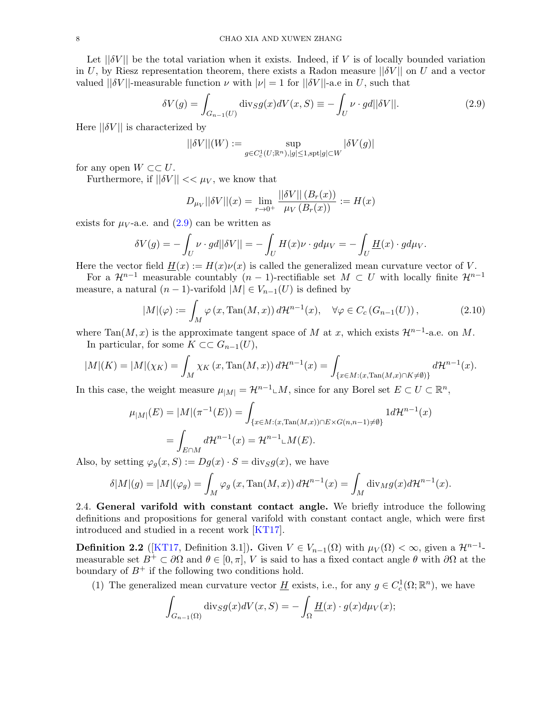Let  $||\delta V||$  be the total variation when it exists. Indeed, if V is of locally bounded variation in U, by Riesz representation theorem, there exists a Radon measure  $||\delta V||$  on U and a vector valued  $||\delta V||$ -measurable function  $\nu$  with  $|\nu| = 1$  for  $||\delta V||$ -a.e in U, such that

$$
\delta V(g) = \int_{G_{n-1}(U)} \text{div}_S g(x) dV(x, S) \equiv -\int_U \nu \cdot gd||\delta V||. \tag{2.9}
$$

Here  $||\delta V||$  is characterized by

<span id="page-7-1"></span>
$$
||\delta V||(W):=\sup_{g\in C^1_c(U;\mathbb{R}^n),|g|\leq 1,\text{spt}|g|\subset W}|\delta V(g)|
$$

for any open  $W \subset\subset U$ .

Furthermore, if  $||\delta V|| \ll \mu_V$ , we know that

<span id="page-7-3"></span>
$$
D_{\mu_V} ||\delta V|| (x) = \lim_{r \to 0^+} \frac{||\delta V|| (B_r(x))}{\mu_V (B_r(x))} := H(x)
$$

exists for  $\mu_V$ -a.e. and  $(2.9)$  can be written as

$$
\delta V(g) = -\int_U \nu \cdot g d||\delta V|| = -\int_U H(x)\nu \cdot g d\mu_V = -\int_U \underline{H}(x) \cdot g d\mu_V.
$$

Here the vector field  $H(x) := H(x)v(x)$  is called the generalized mean curvature vector of V.

For a  $\mathcal{H}^{n-1}$  measurable countably  $(n-1)$ -rectifiable set  $M \subset U$  with locally finite  $\mathcal{H}^{n-1}$ measure, a natural  $(n-1)$ -varifold  $|M| \in V_{n-1}(U)$  is defined by

$$
|M|(\varphi) := \int_M \varphi(x, \text{Tan}(M, x)) d\mathcal{H}^{n-1}(x), \quad \forall \varphi \in C_c(G_{n-1}(U)), \tag{2.10}
$$

where Tan(M, x) is the approximate tangent space of M at x, which exists  $\mathcal{H}^{n-1}$ -a.e. on M.

In particular, for some  $K \subset\subset G_{n-1}(U)$ ,

$$
|M|(K) = |M|(\chi_K) = \int_M \chi_K(x, \text{Tan}(M, x)) d\mathcal{H}^{n-1}(x) = \int_{\{x \in M: (x, \text{Tan}(M, x) \cap K \neq \emptyset)\}} d\mathcal{H}^{n-1}(x).
$$

In this case, the weight measure  $\mu_{|M|} = \mathcal{H}^{n-1} \llcorner M$ , since for any Borel set  $E \subset U \subset \mathbb{R}^n$ ,

$$
\mu_{|M|}(E) = |M|(\pi^{-1}(E)) = \int_{\{x \in M: (x, \text{Tan}(M, x)) \cap E \times G(n, n-1) \neq \emptyset\}} 1 d\mathcal{H}^{n-1}(x)
$$

$$
= \int_{E \cap M} d\mathcal{H}^{n-1}(x) = \mathcal{H}^{n-1} \cup M(E).
$$

Also, by setting  $\varphi_q(x, S) := Dg(x) \cdot S = \text{div}_S g(x)$ , we have

$$
\delta|M|(g) = |M|(\varphi_g) = \int_M \varphi_g(x, \text{Tan}(M, x)) d\mathcal{H}^{n-1}(x) = \int_M \text{div}_M g(x) d\mathcal{H}^{n-1}(x).
$$

<span id="page-7-0"></span>2.4. General varifold with constant contact angle. We briefly introduce the following definitions and propositions for general varifold with constant contact angle, which were first introduced and studied in a recent work [\[KT17\]](#page-33-9).

<span id="page-7-2"></span>**Definition 2.2** ([\[KT17,](#page-33-9) Definition 3.1]). Given  $V \in V_{n-1}(\Omega)$  with  $\mu_V(\Omega) < \infty$ , given a  $\mathcal{H}^{n-1}$ measurable set  $B^+ \subset \partial\Omega$  and  $\theta \in [0, \pi]$ , V is said to has a fixed contact angle  $\theta$  with  $\partial\Omega$  at the boundary of  $B^+$  if the following two conditions hold.

(1) The generalized mean curvature vector  $\underline{H}$  exists, i.e., for any  $g \in C_c^1(\Omega;\mathbb{R}^n)$ , we have

$$
\int_{G_{n-1}(\Omega)} \operatorname{div}_S g(x) dV(x, S) = -\int_{\Omega} \underline{H}(x) \cdot g(x) d\mu_V(x);
$$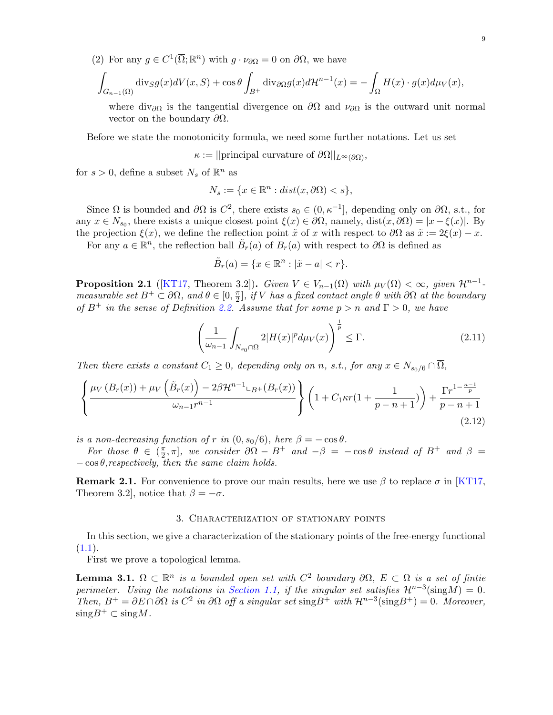(2) For any  $g \in C^1(\overline{\Omega}; \mathbb{R}^n)$  with  $g \cdot \nu_{\partial \Omega} = 0$  on  $\partial \Omega$ , we have

$$
\int_{G_{n-1}(\Omega)} \operatorname{div}_S g(x) dV(x, S) + \cos \theta \int_{B^+} \operatorname{div}_{\partial \Omega} g(x) d\mathcal{H}^{n-1}(x) = -\int_{\Omega} \underline{H}(x) \cdot g(x) d\mu_V(x),
$$

where div<sub>∂</sub> $\Omega$  is the tangential divergence on  $\partial\Omega$  and  $\nu_{\partial\Omega}$  is the outward unit normal vector on the boundary  $\partial\Omega$ .

Before we state the monotonicity formula, we need some further notations. Let us set

 $\kappa := ||$ principal curvature of  $\partial \Omega||_{L^{\infty}(\partial \Omega)},$ 

for  $s > 0$ , define a subset  $N_s$  of  $\mathbb{R}^n$  as

$$
N_s := \{ x \in \mathbb{R}^n : dist(x, \partial \Omega) < s \},
$$

Since  $\Omega$  is bounded and  $\partial\Omega$  is  $C^2$ , there exists  $s_0 \in (0, \kappa^{-1}]$ , depending only on  $\partial\Omega$ , s.t., for any  $x \in N_{s_0}$ , there exists a unique closest point  $\xi(x) \in \partial\Omega$ , namely,  $dist(x, \partial\Omega) = |x - \xi(x)|$ . By the projection  $\xi(x)$ , we define the reflection point  $\tilde{x}$  of x with respect to  $\partial\Omega$  as  $\tilde{x} := 2\xi(x) - x$ .

For any  $a \in \mathbb{R}^n$ , the reflection ball  $\tilde{B}_r(a)$  of  $B_r(a)$  with respect to  $\partial\Omega$  is defined as

<span id="page-8-2"></span>
$$
\tilde{B}_r(a) = \{ x \in \mathbb{R}^n : |\tilde{x} - a| < r \}.
$$

**Proposition 2.1** ([\[KT17,](#page-33-9) Theorem 3.2]). Given  $V \in V_{n-1}(\Omega)$  with  $\mu_V(\Omega) < \infty$ , given  $\mathcal{H}^{n-1}$ measurable set  $B^+ \subset \partial \Omega$ , and  $\theta \in [0, \frac{\pi}{2}]$  $\mathbb{Z}_2^{\pi}],$  if  $V$  has a fixed contact angle  $\theta$  with  $\partial \Omega$  at the boundary of  $B^+$  in the sense of Definition [2.2.](#page-7-2) Assume that for some  $p > n$  and  $\Gamma > 0$ , we have

<span id="page-8-3"></span>
$$
\left(\frac{1}{\omega_{n-1}}\int_{N_{s_0}\cap\Omega}2|\underline{H}(x)|^p d\mu_V(x)\right)^{\frac{1}{p}} \leq \Gamma.
$$
\n(2.11)

Then there exists a constant  $C_1 \geq 0$ , depending only on n, s.t., for any  $x \in N_{s_0/6} \cap \overline{\Omega}$ ,

$$
\left\{\frac{\mu_V(B_r(x)) + \mu_V(\tilde{B}_r(x)) - 2\beta \mathcal{H}^{n-1} \mathcal{L}_B + (B_r(x))}{\omega_{n-1}r^{n-1}}\right\} \left(1 + C_1\kappa r(1 + \frac{1}{p-n+1})\right) + \frac{\Gamma r^{1-\frac{n-1}{p}}}{p-n+1}
$$
\n(2.12)

is a non-decreasing function of r in  $(0, s_0/6)$ , here  $\beta = -\cos \theta$ .

For those  $\theta \in (\frac{\pi}{2})$  $\frac{\pi}{2}, \pi$ , we consider  $\partial \Omega - B^+$  and  $-\beta = -\cos \theta$  instead of  $B^+$  and  $\beta =$  $-\cos\theta$ , respectively, then the same claim holds.

**Remark 2.1.** For convenience to prove our main results, here we use  $\beta$  to replace  $\sigma$  in [\[KT17,](#page-33-9) Theorem 3.2, notice that  $\beta = -\sigma$ .

#### 3. Characterization of stationary points

<span id="page-8-0"></span>In this section, we give a characterization of the stationary points of the free-energy functional  $(1.1).$  $(1.1).$ 

First we prove a topological lemma.

<span id="page-8-1"></span>**Lemma 3.1.**  $\Omega \subset \mathbb{R}^n$  is a bounded open set with  $C^2$  boundary  $\partial\Omega$ ,  $E \subset \Omega$  is a set of fintie perimeter. Using the notations in [Section 1.1,](#page-2-0) if the singular set satisfies  $\mathcal{H}^{n-3}(\text{sing}M) = 0$ . Then,  $B^+ = \partial E \cap \partial \Omega$  is  $C^2$  in  $\partial \Omega$  off a singular set sing  $B^+$  with  $\mathcal{H}^{n-3}(\text{sing }B^+) = 0$ . Moreover,  $\text{sing}B^+\subset \text{sing}M$ .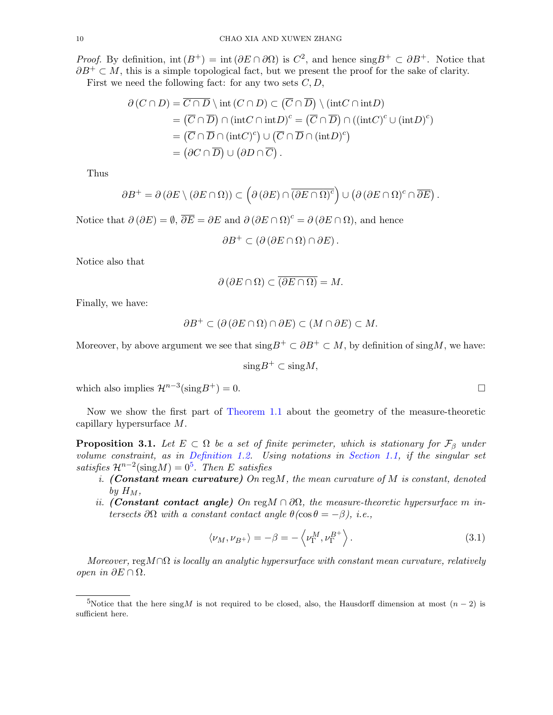*Proof.* By definition,  $int(B^+) = int(\partial E \cap \partial \Omega)$  is  $C^2$ , and hence  $singB^+ \subset \partial B^+$ . Notice that  $\partial B^+ \subset M$ , this is a simple topological fact, but we present the proof for the sake of clarity.

First we need the following fact: for any two sets  $C, D$ ,

$$
\partial (C \cap D) = \overline{C \cap D} \setminus \text{int} (C \cap D) \subset (\overline{C} \cap \overline{D}) \setminus (\text{int}C \cap \text{int}D)
$$
  
=  $(\overline{C} \cap \overline{D}) \cap (\text{int}C \cap \text{int}D)^c = (\overline{C} \cap \overline{D}) \cap ((\text{int}C)^c \cup (\text{int}D)^c)$   
=  $(\overline{C} \cap \overline{D} \cap (\text{int}C)^c) \cup (\overline{C} \cap \overline{D} \cap (\text{int}D)^c)$   
=  $(\partial C \cap \overline{D}) \cup (\partial D \cap \overline{C}).$ 

Thus

$$
\partial B^+ = \partial (\partial E \setminus (\partial E \cap \Omega)) \subset \left( \partial (\partial E) \cap \overline{(\partial E \cap \Omega)^c} \right) \cup \left( \partial (\partial E \cap \Omega)^c \cap \overline{\partial E} \right).
$$

Notice that  $\partial(\partial E) = \emptyset$ ,  $\overline{\partial E} = \partial E$  and  $\partial(\partial E \cap \Omega)^c = \partial(\partial E \cap \Omega)$ , and hence

 $\partial B^+ \subset (\partial (\partial E \cap \Omega) \cap \partial E).$ 

Notice also that

$$
\partial (\partial E \cap \Omega) \subset \overline{(\partial E \cap \Omega)} = M.
$$

Finally, we have:

$$
\partial B^+ \subset (\partial (\partial E \cap \Omega) \cap \partial E) \subset (M \cap \partial E) \subset M.
$$

Moreover, by above argument we see that  $\text{sing}B^+ \subset \partial B^+ \subset M$ , by definition of  $\text{sing}M$ , we have:

 $\text{sing}B^+\subset \text{sing}M,$ 

which also implies  $\mathcal{H}^{n-3}(\text{sing}B^+) = 0$ .

Now we show the first part of [Theorem 1.1](#page-2-5) about the geometry of the measure-theoretic capillary hypersurface M.

<span id="page-9-0"></span>**Proposition 3.1.** Let  $E \subset \Omega$  be a set of finite perimeter, which is stationary for  $\mathcal{F}_{\beta}$  under volume constraint, as in [Definition 1.2.](#page-2-3) Using notations in [Section 1.1,](#page-2-0) if the singular set satisfies  $\mathcal{H}^{n-2}(\text{sing}M) = 0^5$  $\mathcal{H}^{n-2}(\text{sing}M) = 0^5$ . Then E satisfies

- i. (Constant mean curvature) On  $\text{reg}M$ , the mean curvature of  $M$  is constant, denoted by  $H_M$ ,
- ii. (Constant contact angle) On reg $M \cap \partial\Omega$ , the measure-theoretic hypersurface m intersects  $\partial\Omega$  with a constant contact angle  $\theta$ (cos $\theta = -\beta$ ), i.e.,

$$
\langle \nu_M, \nu_{B^+} \rangle = -\beta = -\left\langle \nu_{\Gamma}^M, \nu_{\Gamma}^{B^+} \right\rangle. \tag{3.1}
$$

Moreover, regM∩ $\Omega$  is locally an analytic hypersurface with constant mean curvature, relatively open in ∂E ∩ Ω.

<span id="page-9-1"></span><sup>5</sup>Notice that the here singM is not required to be closed, also, the Hausdorff dimension at most  $(n-2)$  is sufficient here.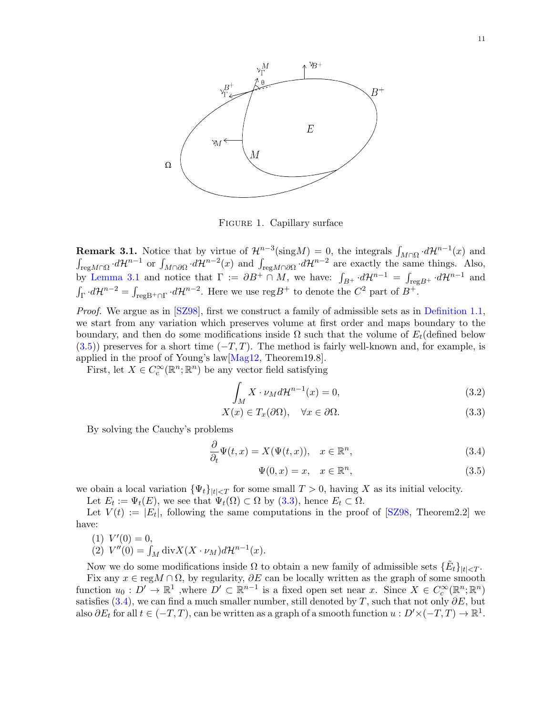<span id="page-10-0"></span>

Figure 1. Capillary surface

<span id="page-10-4"></span>**Remark 3.1.** Notice that by virtue of  $\mathcal{H}^{n-3}(\text{sing}M) = 0$ , the integrals  $\int_{M\cap\Omega} d\mathcal{H}^{n-1}(x)$  and  $\int_{\text{reg }M\cap\Omega} d\mathcal{H}^{n-1}$  or  $\int_{M\cap\partial\Omega} d\mathcal{H}^{n-2}(x)$  and  $\int_{\text{reg }M\cap\partial\Omega} d\mathcal{H}^{n-2}$  are exactly the same things. Also, by [Lemma 3.1](#page-8-1) and notice that  $\Gamma := \partial B^+ \cap M$ , we have:  $\int_{B^+} d\mathcal{H}^{n-1} = \int_{\text{reg }B^+} d\mathcal{H}^{n-1}$  and  $\int_{\Gamma} d\mathcal{H}^{n-2} = \int_{\text{regB}^+\cap \Gamma} d\mathcal{H}^{n-2}$ . Here we use reg $B^+$  to denote the  $C^2$  part of  $B^+$ .

Proof. We argue as in [\[SZ98\]](#page-34-0), first we construct a family of admissible sets as in [Definition 1.1,](#page-2-6) we start from any variation which preserves volume at first order and maps boundary to the boundary, and then do some modifications inside  $\Omega$  such that the volume of  $E_t$  (defined below  $(3.5)$ ) preserves for a short time  $(-T, T)$ . The method is fairly well-known and, for example, is applied in the proof of Young's law[\[Mag12,](#page-33-0) Theorem19.8].

First, let  $X \in C_c^{\infty}(\mathbb{R}^n;\mathbb{R}^n)$  be any vector field satisfying

$$
\int_{M} X \cdot \nu_M d\mathcal{H}^{n-1}(x) = 0,
$$
\n(3.2)

$$
X(x) \in T_x(\partial \Omega), \quad \forall x \in \partial \Omega.
$$
\n(3.3)

By solving the Cauchy's problems

$$
\frac{\partial}{\partial_t} \Psi(t, x) = X(\Psi(t, x)), \quad x \in \mathbb{R}^n,
$$
\n(3.4)

<span id="page-10-5"></span><span id="page-10-3"></span><span id="page-10-2"></span><span id="page-10-1"></span>
$$
\Psi(0, x) = x, \quad x \in \mathbb{R}^n,\tag{3.5}
$$

we obain a local variation  $\{\Psi_t\}_{|t| < T}$  for some small  $T > 0$ , having X as its initial velocity.

Let  $E_t := \Psi_t(E)$ , we see that  $\Psi_t(\Omega) \subset \Omega$  by  $(3.3)$ , hence  $E_t \subset \Omega$ .

Let  $V(t) := |E_t|$ , following the same computations in the proof of [\[SZ98,](#page-34-0) Theorem2.2] we have:

- (1)  $V'(0) = 0$ ,
- (2)  $V''(0) = \int_M \text{div}X (X \cdot \nu_M) d\mathcal{H}^{n-1}(x)$ .

Now we do some modifications inside  $\Omega$  to obtain a new family of admissible sets  $\{\tilde{E}_t\}_{|t| < T}$ . Fix any  $x \in \text{reg } M \cap \Omega$ , by regularity,  $\partial E$  can be locally written as the graph of some smooth function  $u_0: D' \to \mathbb{R}^1$ , where  $D' \subset \mathbb{R}^{n-1}$  is a fixed open set near x. Since  $X \in C_c^{\infty}(\mathbb{R}^n;\mathbb{R}^n)$ satisfies [\(3.4\)](#page-10-3), we can find a much smaller number, still denoted by T, such that not only  $\partial E$ , but also  $\partial E_t$  for all  $t \in (-T, T)$ , can be written as a graph of a smooth function  $u: D' \times (-T, T) \to \mathbb{R}^1$ .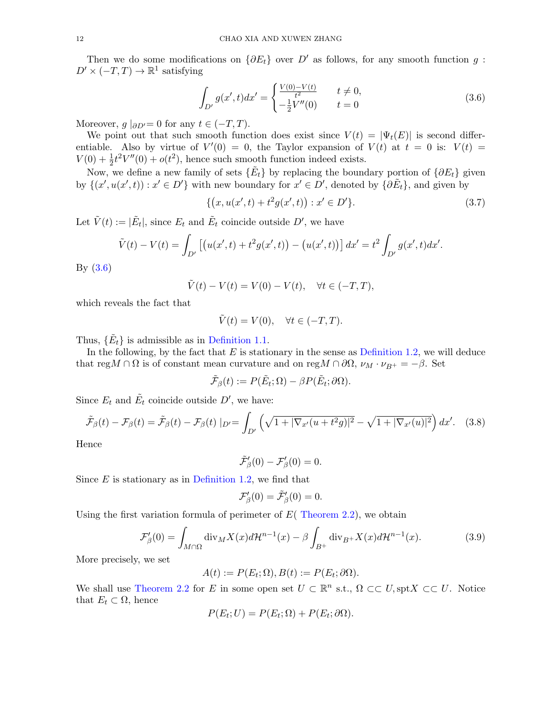Then we do some modifications on  $\{\partial E_t\}$  over D' as follows, for any smooth function g:  $D' \times (-T, T) \to \mathbb{R}^1$  satisfying

<span id="page-11-0"></span>
$$
\int_{D'} g(x',t)dx' = \begin{cases} \frac{V(0)-V(t)}{t^2} & t \neq 0, \\ -\frac{1}{2}V''(0) & t = 0 \end{cases} \tag{3.6}
$$

Moreover,  $g \mid_{\partial D'}= 0$  for any  $t \in (-T, T)$ .

We point out that such smooth function does exist since  $V(t) = |\Psi_t(E)|$  is second differentiable. Also by virtue of  $V'(0) = 0$ , the Taylor expansion of  $V(t)$  at  $t = 0$  is:  $V(t) =$  $V(0) + \frac{1}{2}t^2V''(0) + o(t^2)$ , hence such smooth function indeed exists.

Now, we define a new family of sets  $\{\tilde{E}_t\}$  by replacing the boundary portion of  $\{\partial E_t\}$  given by  $\{(x', u(x', t)) : x' \in D'\}$  with new boundary for  $x' \in D'$ , denoted by  $\{\partial \tilde{E}_t\}$ , and given by

$$
\{(x, u(x',t) + t^2 g(x',t)) : x' \in D'\}.
$$
\n(3.7)

Let  $\tilde{V}(t) := |\tilde{E}_t|$ , since  $E_t$  and  $\tilde{E}_t$  coincide outside  $D'$ , we have

$$
\tilde{V}(t) - V(t) = \int_{D'} \left[ \left( u(x',t) + t^2 g(x',t) \right) - \left( u(x',t) \right) \right] dx' = t^2 \int_{D'} g(x',t) dx'.
$$

By [\(3.6\)](#page-11-0)

$$
\tilde{V}(t) - V(t) = V(0) - V(t), \quad \forall t \in (-T, T),
$$

which reveals the fact that

$$
\tilde{V}(t) = V(0), \quad \forall t \in (-T, T).
$$

Thus,  $\{\tilde{E}_t\}$  is admissible as in [Definition 1.1.](#page-2-6)

In the following, by the fact that  $E$  is stationary in the sense as [Definition 1.2,](#page-2-3) we will deduce that reg $M \cap \Omega$  is of constant mean curvature and on reg $M \cap \partial \Omega$ ,  $\nu_M \cdot \nu_{B^+} = -\beta$ . Set

$$
\tilde{\mathcal{F}}_{\beta}(t) := P(\tilde{E}_t; \Omega) - \beta P(\tilde{E}_t; \partial \Omega).
$$

Since  $E_t$  and  $\tilde{E_t}$  coincide outside  $D'$ , we have:

$$
\tilde{\mathcal{F}}_{\beta}(t) - \mathcal{F}_{\beta}(t) = \tilde{\mathcal{F}}_{\beta}(t) - \mathcal{F}_{\beta}(t) \mid_{D'} = \int_{D'} \left( \sqrt{1 + |\nabla_{x'}(u + t^2 g)|^2} - \sqrt{1 + |\nabla_{x'}(u)|^2} \right) dx'. \quad (3.8)
$$

Hence

<span id="page-11-2"></span>
$$
\tilde{\mathcal{F}}'_{\beta}(0)-\mathcal{F}'_{\beta}(0)=0.
$$

Since  $E$  is stationary as in [Definition 1.2,](#page-2-3) we find that

<span id="page-11-1"></span>
$$
\mathcal{F}'_{\beta}(0) = \tilde{\mathcal{F}}'_{\beta}(0) = 0.
$$

Using the first variation formula of perimeter of  $E($  [Theorem 2.2\)](#page-5-2), we obtain

$$
\mathcal{F}'_{\beta}(0) = \int_{M \cap \Omega} \text{div}_{M} X(x) d\mathcal{H}^{n-1}(x) - \beta \int_{B^{+}} \text{div}_{B^{+}} X(x) d\mathcal{H}^{n-1}(x).
$$
 (3.9)

More precisely, we set

$$
A(t) := P(E_t; \Omega), B(t) := P(E_t; \partial \Omega).
$$

We shall use [Theorem 2.2](#page-5-2) for E in some open set  $U \subset \mathbb{R}^n$  s.t.,  $\Omega \subset\subset U$ , spt $X \subset\subset U$ . Notice that  $E_t \subset \Omega$ , hence

$$
P(E_t; U) = P(E_t; \Omega) + P(E_t; \partial \Omega).
$$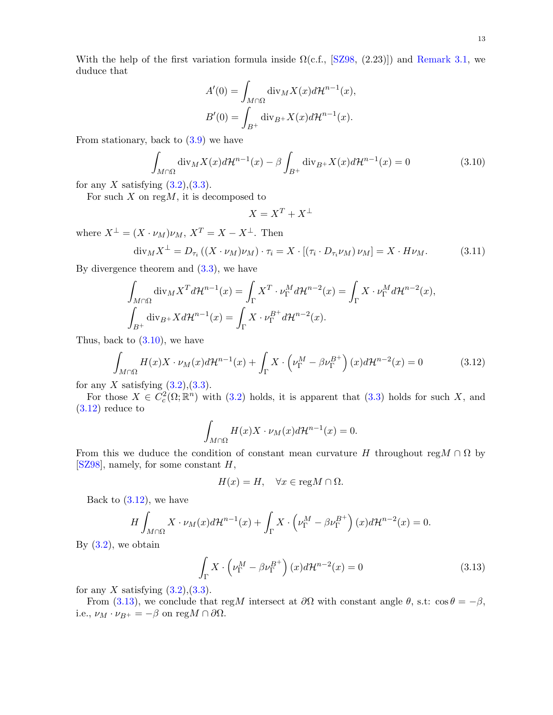With the help of the first variation formula inside  $\Omega(c.f., [SZ98, (2.23)])$  $\Omega(c.f., [SZ98, (2.23)])$  $\Omega(c.f., [SZ98, (2.23)])$  and [Remark 3.1,](#page-10-4) we duduce that

$$
A'(0) = \int_{M \cap \Omega} \operatorname{div}_M X(x) d\mathcal{H}^{n-1}(x),
$$
  

$$
B'(0) = \int_{B^+} \operatorname{div}_{B^+} X(x) d\mathcal{H}^{n-1}(x).
$$

From stationary, back to  $(3.9)$  we have

$$
\int_{M\cap\Omega} \operatorname{div}_M X(x) d\mathcal{H}^{n-1}(x) - \beta \int_{B^+} \operatorname{div}_{B^+} X(x) d\mathcal{H}^{n-1}(x) = 0 \tag{3.10}
$$

for any X satisfying  $(3.2),(3.3)$  $(3.2),(3.3)$ .

For such  $X$  on reg $M$ , it is decomposed to

<span id="page-12-3"></span><span id="page-12-1"></span><span id="page-12-0"></span>
$$
X = X^T + X^\perp
$$

where  $X^{\perp} = (X \cdot \nu_M) \nu_M$ ,  $X^T = X - X^{\perp}$ . Then

$$
\operatorname{div}_{M} X^{\perp} = D_{\tau_{i}} \left( (X \cdot \nu_{M}) \nu_{M} \right) \cdot \tau_{i} = X \cdot \left[ (\tau_{i} \cdot D_{\tau_{i}} \nu_{M}) \nu_{M} \right] = X \cdot H \nu_{M}.
$$
 (3.11)

By divergence theorem and  $(3.3)$ , we have

$$
\int_{M\cap\Omega} \operatorname{div}_M X^T d\mathcal{H}^{n-1}(x) = \int_{\Gamma} X^T \cdot \nu_{\Gamma}^M d\mathcal{H}^{n-2}(x) = \int_{\Gamma} X \cdot \nu_{\Gamma}^M d\mathcal{H}^{n-2}(x),
$$
  

$$
\int_{B^+} \operatorname{div}_{B^+} X d\mathcal{H}^{n-1}(x) = \int_{\Gamma} X \cdot \nu_{\Gamma}^{B^+} d\mathcal{H}^{n-2}(x).
$$

Thus, back to [\(3.10\)](#page-12-0), we have

$$
\int_{M\cap\Omega} H(x)X \cdot \nu_M(x)d\mathcal{H}^{n-1}(x) + \int_{\Gamma} X \cdot \left(\nu_{\Gamma}^M - \beta \nu_{\Gamma}^{B^+}\right)(x)d\mathcal{H}^{n-2}(x) = 0 \tag{3.12}
$$

for any X satisfying  $(3.2)$ , $(3.3)$ .

For those  $X \in C_c^2(\Omega;\mathbb{R}^n)$  with [\(3.2\)](#page-10-5) holds, it is apparent that [\(3.3\)](#page-10-2) holds for such X, and  $(3.12)$  reduce to

$$
\int_{M\cap\Omega} H(x)X \cdot \nu_M(x)d\mathcal{H}^{n-1}(x) = 0.
$$

From this we duduce the condition of constant mean curvature H throughout reg $M \cap \Omega$  by [\[SZ98\]](#page-34-0), namely, for some constant H,

<span id="page-12-2"></span>
$$
H(x) = H, \quad \forall x \in \text{reg} M \cap \Omega.
$$

Back to  $(3.12)$ , we have

$$
H\int_{M\cap\Omega} X \cdot \nu_M(x) d\mathcal{H}^{n-1}(x) + \int_{\Gamma} X \cdot \left(\nu_{\Gamma}^M - \beta \nu_{\Gamma}^{B^+}\right)(x) d\mathcal{H}^{n-2}(x) = 0.
$$

By  $(3.2)$ , we obtain

$$
\int_{\Gamma} X \cdot \left(\nu_{\Gamma}^M - \beta \nu_{\Gamma}^{B^+}\right)(x) d\mathcal{H}^{n-2}(x) = 0 \tag{3.13}
$$

for any X satisfying  $(3.2),(3.3)$  $(3.2),(3.3)$ .

From [\(3.13\)](#page-12-2), we conclude that regM intersect at  $\partial\Omega$  with constant angle  $\theta$ , s.t: cos  $\theta = -\beta$ , i.e.,  $\nu_M \cdot \nu_{B^+} = -\beta$  on reg $M \cap \partial\Omega$ .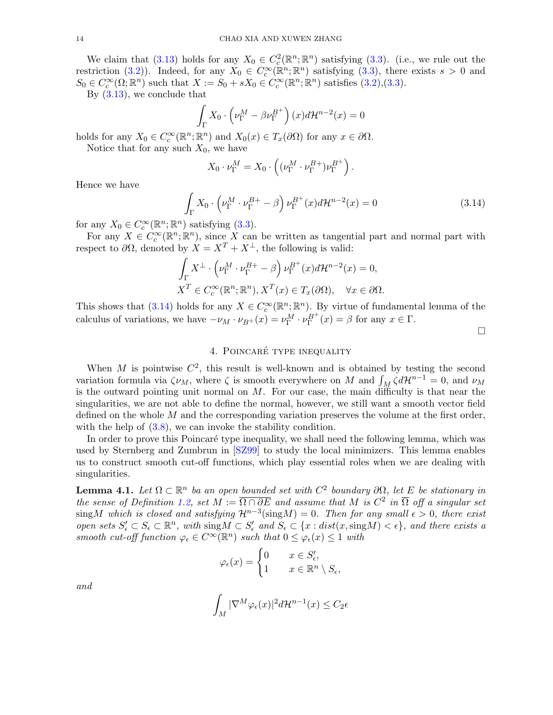We claim that [\(3.13\)](#page-12-2) holds for any  $X_0 \in C_c^2(\mathbb{R}^n;\mathbb{R}^n)$  satisfying [\(3.3\)](#page-10-2). (i.e., we rule out the restriction [\(3.2\)](#page-10-5)). Indeed, for any  $X_0 \in C_c^{\infty}(\mathbb{R}^n;\mathbb{R}^n)$  satisfying [\(3.3\)](#page-10-2), there exists  $s > 0$  and  $S_0 \in C_c^{\infty}(\Omega; \mathbb{R}^n)$  such that  $X := S_0 + sX_0 \in C_c^{\infty}(\mathbb{R}^n; \mathbb{R}^n)$  satisfies  $(3.2), (3.3)$  $(3.2), (3.3)$ .

By [\(3.13\)](#page-12-2), we conclude that

$$
\int_{\Gamma} X_0 \cdot \left(\nu_{\Gamma}^M - \beta \nu_{\Gamma}^{B^+}\right)(x) d\mathcal{H}^{n-2}(x) = 0
$$

holds for any  $X_0 \in C_c^{\infty}(\mathbb{R}^n;\mathbb{R}^n)$  and  $X_0(x) \in T_x(\partial\Omega)$  for any  $x \in \partial\Omega$ .

Notice that for any such  $X_0$ , we have

$$
X_0 \cdot \nu_{\Gamma}^M = X_0 \cdot \left( (\nu_{\Gamma}^M \cdot \nu_{\Gamma}^{B+}) \nu_{\Gamma}^{B+} \right).
$$

Hence we have

$$
\int_{\Gamma} X_0 \cdot \left(\nu_{\Gamma}^M \cdot \nu_{\Gamma}^{B+} - \beta\right) \nu_{\Gamma}^{B+}(x) d\mathcal{H}^{n-2}(x) = 0 \tag{3.14}
$$

for any  $X_0 \in C_c^{\infty}(\mathbb{R}^n;\mathbb{R}^n)$  satisfying [\(3.3\)](#page-10-2).

For any  $X \in C_c^{\infty}(\mathbb{R}^n;\mathbb{R}^n)$ , since X can be written as tangential part and normal part with respect to  $\partial\Omega$ , denoted by  $\widetilde{X} = X^T + X^{\perp}$ , the following is valid:

$$
\int_{\Gamma} X^{\perp} \cdot \left(\nu_{\Gamma}^{M} \cdot \nu_{\Gamma}^{B+} - \beta\right) \nu_{\Gamma}^{B+}(x) d\mathcal{H}^{n-2}(x) = 0,
$$
  

$$
X^{T} \in C_{c}^{\infty}(\mathbb{R}^{n}; \mathbb{R}^{n}), X^{T}(x) \in T_{x}(\partial \Omega), \quad \forall x \in \partial \Omega.
$$

This shows that [\(3.14\)](#page-13-2) holds for any  $X \in C_c^{\infty}(\mathbb{R}^n;\mathbb{R}^n)$ . By virtue of fundamental lemma of the calculus of variations, we have  $-\nu_M \cdot \nu_{B^+}(x) = \nu_{\Gamma}^M \cdot \nu_{\Gamma}^{B^+}(x) = \beta$  for any  $x \in \Gamma$ .

<span id="page-13-2"></span> $\Box$ 

## 4. POINCARÉ TYPE INEQUALITY

<span id="page-13-0"></span>When M is pointwise  $C^2$ , this result is well-known and is obtained by testing the second variation formula via  $\zeta \nu_M$ , where  $\zeta$  is smooth everywhere on M and  $\int_M \zeta d\mathcal{H}^{n-1} = 0$ , and  $\nu_M$ is the outward pointing unit normal on  $M$ . For our case, the main difficulty is that near the singularities, we are not able to define the normal, however, we still want a smooth vector field defined on the whole  $M$  and the corresponding variation preserves the volume at the first order, with the help of  $(3.8)$ , we can invoke the stability condition.

In order to prove this Poincaré type inequality, we shall need the following lemma, which was used by Sternberg and Zumbrun in [\[SZ99\]](#page-34-2) to study the local minimizers. This lemma enables us to construct smooth cut-off functions, which play essential roles when we are dealing with singularities.

<span id="page-13-1"></span>**Lemma 4.1.** Let  $\Omega \subset \mathbb{R}^n$  ba an open bounded set with  $C^2$  boundary  $\partial\Omega$ , let E be stationary in the sense of Definition [1.2,](#page-2-3) set  $M := \overline{\Omega \cap \partial E}$  and assume that M is  $C^2$  in  $\overline{\Omega}$  off a singular set sing M which is closed and satisfying  $\mathcal{H}^{n-3}(\text{sing}M) = 0$ . Then for any small  $\epsilon > 0$ , there exist open sets  $S'_\epsilon \subset S_\epsilon \subset \mathbb{R}^n$ , with  $\text{sing }M \subset S'_\epsilon$  and  $S_\epsilon \subset \{x : dist(x, \text{sing }M) < \epsilon\}$ , and there exists a smooth cut-off function  $\varphi_{\epsilon} \in C^{\infty}(\mathbb{R}^n)$  such that  $0 \leq \varphi_{\epsilon}(x) \leq 1$  with

$$
\varphi_{\epsilon}(x) = \begin{cases} 0 & x \in S'_{\epsilon}, \\ 1 & x \in \mathbb{R}^n \setminus S_{\epsilon}, \end{cases}
$$

and

$$
\int_M |\nabla^M \varphi_\epsilon(x)|^2 d\mathcal{H}^{n-1}(x) \le C_2 \epsilon
$$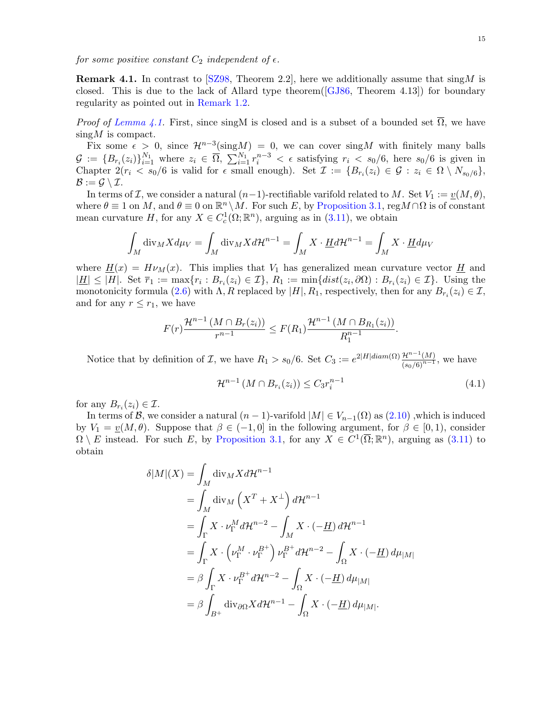<span id="page-14-1"></span>for some positive constant  $C_2$  independent of  $\epsilon$ .

**Remark 4.1.** In contrast to [\[SZ98,](#page-34-0) Theorem 2.2], here we additionally assume that  $\sin M$  is closed. This is due to the lack of Allard type theorem( $[GJ86,$  Theorem 4.13]) for boundary regularity as pointed out in [Remark 1.2.](#page-3-3)

*Proof of [Lemma 4.1.](#page-13-1)* First, since singM is closed and is a subset of a bounded set  $\overline{\Omega}$ , we have  $\sin{\alpha}M$  is compact.

Fix some  $\epsilon > 0$ , since  $\mathcal{H}^{n-3}(\text{sing}M) = 0$ , we can cover sing M with finitely many balls  $\mathcal{G} := \{B_{r_i}(z_i)\}_{i=1}^{N_1}$  where  $z_i \in \overline{\Omega}, \sum_{i=1}^{N_1} r_i^{n-3} < \epsilon$  satisfying  $r_i < s_0/6$ , here  $s_0/6$  is given in Chapter  $2(r_i \lt s_0/6$  is valid for  $\epsilon$  small enough). Set  $\mathcal{I} := \{B_{r_i}(z_i) \in \mathcal{G} : z_i \in \Omega \setminus N_{s_0/6}\},\$  $\mathcal{B} := \mathcal{G} \setminus \mathcal{I}.$ 

In terms of I, we consider a natural  $(n-1)$ -rectifiable varifold related to M. Set  $V_1 := \underline{v}(M, \theta)$ , where  $\theta \equiv 1$  on M, and  $\theta \equiv 0$  on  $\mathbb{R}^n \setminus M$ . For such E, by [Proposition 3.1,](#page-9-0) reg $M \cap \Omega$  is of constant mean curvature H, for any  $X \in C_c^1(\Omega; \mathbb{R}^n)$ , arguing as in  $(3.11)$ , we obtain

$$
\int_M \text{div}_M X d\mu_V = \int_M \text{div}_M X d\mathcal{H}^{n-1} = \int_M X \cdot \underline{H} d\mathcal{H}^{n-1} = \int_M X \cdot \underline{H} d\mu_V
$$

where  $H(x) = H\nu_M(x)$ . This implies that  $V_1$  has generalized mean curvature vector H and  $|\underline{H}| \leq |H|$ . Set  $\overline{r}_1 := \max\{r_i : B_{r_i}(z_i) \in \mathcal{I}\}, R_1 := \min\{dist(z_i, \partial \Omega) : B_{r_i}(z_i) \in \mathcal{I}\}.$  Using the monotonicity formula [\(2.6\)](#page-5-3) with  $\Lambda$ , R replaced by  $|H|, R_1$ , respectively, then for any  $B_{r_i}(z_i) \in \mathcal{I}$ , and for any  $r \leq r_1$ , we have

$$
F(r)\frac{\mathcal{H}^{n-1}(M\cap B_r(z_i))}{r^{n-1}}\leq F(R_1)\frac{\mathcal{H}^{n-1}(M\cap B_{R_1}(z_i))}{R_1^{n-1}}.
$$

Notice that by definition of *I*, we have  $R_1 > s_0/6$ . Set  $C_3 := e^{2|H|diam(\Omega)} \frac{\mathcal{H}^{n-1}(M)}{(s_0/6)^{n-1}}$ , we have

<span id="page-14-0"></span>
$$
\mathcal{H}^{n-1}(M \cap B_{r_i}(z_i)) \le C_3 r_i^{n-1}
$$
\n(4.1)

for any  $B_{r_i}(z_i) \in \mathcal{I}$ .

In terms of B, we consider a natural  $(n-1)$ -varifold  $|M| \in V_{n-1}(\Omega)$  as  $(2.10)$ , which is induced by  $V_1 = \underline{v}(M, \theta)$ . Suppose that  $\beta \in (-1, 0]$  in the following argument, for  $\beta \in [0, 1)$ , consider  $\Omega \setminus E$  instead. For such E, by [Proposition 3.1,](#page-9-0) for any  $X \in C^1(\overline{\Omega}; \mathbb{R}^n)$ , arguing as [\(3.11\)](#page-12-3) to obtain

$$
\delta|M|(X) = \int_M \text{div}_M X d\mathcal{H}^{n-1}
$$
  
= 
$$
\int_M \text{div}_M (X^T + X^\perp) d\mathcal{H}^{n-1}
$$
  
= 
$$
\int_{\Gamma} X \cdot \nu_{\Gamma}^M d\mathcal{H}^{n-2} - \int_M X \cdot (-\underline{H}) d\mathcal{H}^{n-1}
$$
  
= 
$$
\int_{\Gamma} X \cdot (\nu_{\Gamma}^M \cdot \nu_{\Gamma}^{B^+}) \nu_{\Gamma}^{B^+} d\mathcal{H}^{n-2} - \int_{\Omega} X \cdot (-\underline{H}) d\mu_{|M|}
$$
  
= 
$$
\beta \int_{\Gamma} X \cdot \nu_{\Gamma}^{B^+} d\mathcal{H}^{n-2} - \int_{\Omega} X \cdot (-\underline{H}) d\mu_{|M|}
$$
  
= 
$$
\beta \int_{B^+} \text{div}_{\partial\Omega} X d\mathcal{H}^{n-1} - \int_{\Omega} X \cdot (-\underline{H}) d\mu_{|M|}.
$$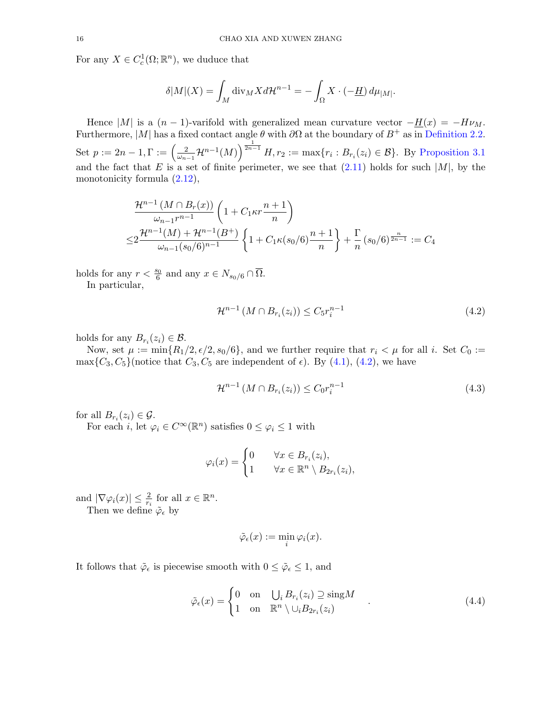For any  $X \in C_c^1(\Omega; \mathbb{R}^n)$ , we duduce that

$$
\delta|M|(X) = \int_M \operatorname{div}_M X d\mathcal{H}^{n-1} = -\int_{\Omega} X \cdot (-\underline{H}) d\mu_{|M|}.
$$

Hence |M| is a  $(n-1)$ -varifold with generalized mean curvature vector  $-\underline{H}(x) = -H\nu_M$ . Furthermore, |M| has a fixed contact angle  $\theta$  with  $\partial\Omega$  at the boundary of  $B^+$  as in [Definition 2.2.](#page-7-2) Set  $p := 2n - 1, \Gamma := \left(\frac{2}{\omega}\right)^n$  $\frac{2}{\omega_{n-1}}\mathcal{H}^{n-1}(M)\right)^{\frac{1}{2n-1}}H, r_2 := \max\{r_i : B_{r_i}(z_i) \in \mathcal{B}\}.$  By [Proposition 3.1](#page-9-0) and the fact that E is a set of finite perimeter, we see that  $(2.11)$  holds for such |M|, by the monotonicity formula [\(2.12\)](#page-8-3),

$$
\frac{\mathcal{H}^{n-1}(M \cap B_r(x))}{\omega_{n-1}r^{n-1}} \left(1 + C_1 \kappa r \frac{n+1}{n}\right)
$$
  

$$
\leq 2 \frac{\mathcal{H}^{n-1}(M) + \mathcal{H}^{n-1}(B^+)}{\omega_{n-1}(s_0/6)^{n-1}} \left\{1 + C_1 \kappa (s_0/6) \frac{n+1}{n}\right\} + \frac{\Gamma}{n} (s_0/6)^{\frac{n}{2n-1}} := C_4
$$

holds for any  $r < \frac{s_0}{6}$  and any  $x \in N_{s_0/6} \cap \overline{\Omega}$ .

In particular,

<span id="page-15-0"></span>
$$
\mathcal{H}^{n-1}(M \cap B_{r_i}(z_i)) \le C_5 r_i^{n-1}
$$
\n(4.2)

holds for any  $B_{r_i}(z_i) \in \mathcal{B}$ .

Now, set  $\mu := \min\{R_1/2, \epsilon/2, s_0/6\}$ , and we further require that  $r_i < \mu$  for all i. Set  $C_0 :=$  $\max\{C_3, C_5\}$  (notice that  $C_3, C_5$  are independent of  $\epsilon$ ). By [\(4.1\)](#page-14-0), [\(4.2\)](#page-15-0), we have

<span id="page-15-1"></span>
$$
\mathcal{H}^{n-1}\left(M \cap B_{r_i}(z_i)\right) \le C_0 r_i^{n-1} \tag{4.3}
$$

for all  $B_{r_i}(z_i) \in \mathcal{G}$ .

For each i, let  $\varphi_i \in C^{\infty}(\mathbb{R}^n)$  satisfies  $0 \leq \varphi_i \leq 1$  with

$$
\varphi_i(x) = \begin{cases} 0 & \forall x \in B_{r_i}(z_i), \\ 1 & \forall x \in \mathbb{R}^n \setminus B_{2r_i}(z_i), \end{cases}
$$

and  $|\nabla \varphi_i(x)| \leq \frac{2}{r_i}$  for all  $x \in \mathbb{R}^n$ .

Then we define  $\tilde{\varphi}_{\epsilon}$  by

<span id="page-15-2"></span>
$$
\tilde{\varphi}_{\epsilon}(x) := \min_{i} \varphi_{i}(x).
$$

It follows that  $\tilde{\varphi}_{\epsilon}$  is piecewise smooth with  $0 \leq \tilde{\varphi}_{\epsilon} \leq 1$ , and

$$
\tilde{\varphi}_{\epsilon}(x) = \begin{cases} 0 & \text{on} \quad \bigcup_{i} B_{r_i}(z_i) \supseteq \text{sing}M \\ 1 & \text{on} \quad \mathbb{R}^n \setminus \cup_{i} B_{2r_i}(z_i) \end{cases} \tag{4.4}
$$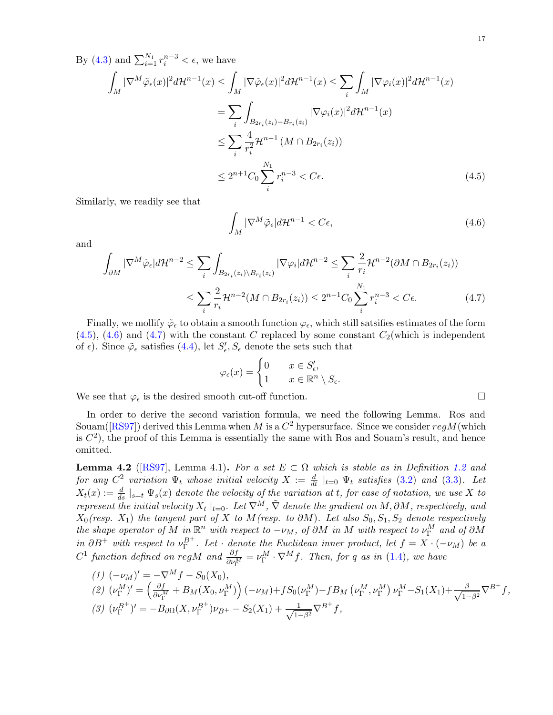By [\(4.3\)](#page-15-1) and  $\sum_{i=1}^{N_1} r_i^{n-3} < \epsilon$ , we have

$$
\int_M |\nabla^M \tilde{\varphi}_{\epsilon}(x)|^2 d\mathcal{H}^{n-1}(x) \le \int_M |\nabla \tilde{\varphi}_{\epsilon}(x)|^2 d\mathcal{H}^{n-1}(x) \le \sum_i \int_M |\nabla \varphi_i(x)|^2 d\mathcal{H}^{n-1}(x)
$$
\n
$$
= \sum_i \int_{B_{2r_i}(z_i) - B_{r_i}(z_i)} |\nabla \varphi_i(x)|^2 d\mathcal{H}^{n-1}(x)
$$
\n
$$
\le \sum_i \frac{4}{r_i^2} \mathcal{H}^{n-1}(M \cap B_{2r_i}(z_i))
$$
\n
$$
\le 2^{n+1} C_0 \sum_i^{N_1} r_i^{n-3} < C_{\epsilon}.\tag{4.5}
$$

Similarly, we readily see that

<span id="page-16-2"></span><span id="page-16-1"></span><span id="page-16-0"></span>
$$
\int_{M} |\nabla^{M} \tilde{\varphi}_{\epsilon}| d\mathcal{H}^{n-1} < C\epsilon,\tag{4.6}
$$

and

$$
\int_{\partial M} |\nabla^M \tilde{\varphi}_{\epsilon}| d\mathcal{H}^{n-2} \leq \sum_{i} \int_{B_{2r_i}(z_i) \backslash B_{r_i}(z_i)} |\nabla \varphi_i| d\mathcal{H}^{n-2} \leq \sum_{i} \frac{2}{r_i} \mathcal{H}^{n-2} (\partial M \cap B_{2r_i}(z_i))
$$
  

$$
\leq \sum_{i} \frac{2}{r_i} \mathcal{H}^{n-2} (M \cap B_{2r_i}(z_i)) \leq 2^{n-1} C_0 \sum_{i}^{N_1} r_i^{n-3} < C \epsilon.
$$
 (4.7)

Finally, we mollify  $\tilde{\varphi}_{\epsilon}$  to obtain a smooth function  $\varphi_{\epsilon}$ , which still satsifies estimates of the form  $(4.5)$ ,  $(4.6)$  and  $(4.7)$  with the constant C replaced by some constant  $C_2$  (which is independent of  $\epsilon$ ). Since  $\tilde{\varphi}_{\epsilon}$  satisfies [\(4.4\)](#page-15-2), let  $S'_{\epsilon}$ ,  $S_{\epsilon}$  denote the sets such that

$$
\varphi_{\epsilon}(x) = \begin{cases} 0 & x \in S'_{\epsilon}, \\ 1 & x \in \mathbb{R}^n \setminus S_{\epsilon}. \end{cases}
$$

We see that  $\varphi_{\epsilon}$  is the desired smooth cut-off function.

In order to derive the second variation formula, we need the following Lemma. Ros and Souam([\[RS97\]](#page-33-8)) derived this Lemma when M is a  $C^2$  hypersurface. Since we consider  $regM(\text{which})$ is  $C<sup>2</sup>$ ), the proof of this Lemma is essentially the same with Ros and Souam's result, and hence omitted.

<span id="page-16-3"></span>**Lemma 4.2** ([\[RS97\]](#page-33-8), Lemma 4.1). For a set  $E \subset \Omega$  which is stable as in Definition [1.2](#page-2-3) and for any  $C^2$  variation  $\Psi_t$  whose initial velocity  $X := \frac{d}{dt} \mid_{t=0} \Psi_t$  satisfies [\(3.2\)](#page-10-5) and [\(3.3\)](#page-10-2). Let  $X_t(x) := \frac{d}{ds} \mid_{s=t} \Psi_s(x)$  denote the velocity of the variation at t, for ease of notation, we use X to represent the initial velocity  $X_t\mid_{t=0}$ . Let  $\nabla^M$ ,  $\tilde{\nabla}$  denote the gradient on  $M, \partial M$ , respectively, and  $X_0$ (resp.  $X_1$ ) the tangent part of X to M(resp. to  $\partial M$ ). Let also  $S_0, S_1, S_2$  denote respectively the shape operator of M in  $\mathbb{R}^n$  with respect to  $-\nu_M$ , of  $\partial M$  in M with respect to  $\nu_{\Gamma}^M$  and of  $\partial M$ in  $\partial B^+$  with respect to  $\nu_{\Gamma}^{B^+}$ . Let  $\cdot$  denote the Euclidean inner product, let  $f = X \cdot (-\nu_M)$  be a  $C^1$  function defined on regM and  $\frac{\partial f}{\partial \nu_{\Gamma}^M} = \nu_{\Gamma}^M \cdot \nabla^M f$ . Then, for q as in [\(1.4\)](#page-3-4), we have

$$
(1) \ (\nu_{M})' = -\nabla^{M} f - S_{0}(X_{0}),
$$
  
\n
$$
(2) \ (\nu_{\Gamma}^{M})' = \left(\frac{\partial f}{\partial \nu_{\Gamma}^{M}} + B_{M}(X_{0}, \nu_{\Gamma}^{M})\right)(-\nu_{M}) + fS_{0}(\nu_{\Gamma}^{M}) - fB_{M}(\nu_{\Gamma}^{M}, \nu_{\Gamma}^{M}) \nu_{\Gamma}^{M} - S_{1}(X_{1}) + \frac{\beta}{\sqrt{1-\beta^{2}}} \nabla^{B^{+}} f,
$$
  
\n
$$
(3) \ (\nu_{\Gamma}^{B^{+}})' = -B_{\partial\Omega}(X, \nu_{\Gamma}^{B^{+}}) \nu_{B^{+}} - S_{2}(X_{1}) + \frac{1}{\sqrt{1-\beta^{2}}} \nabla^{B^{+}} f,
$$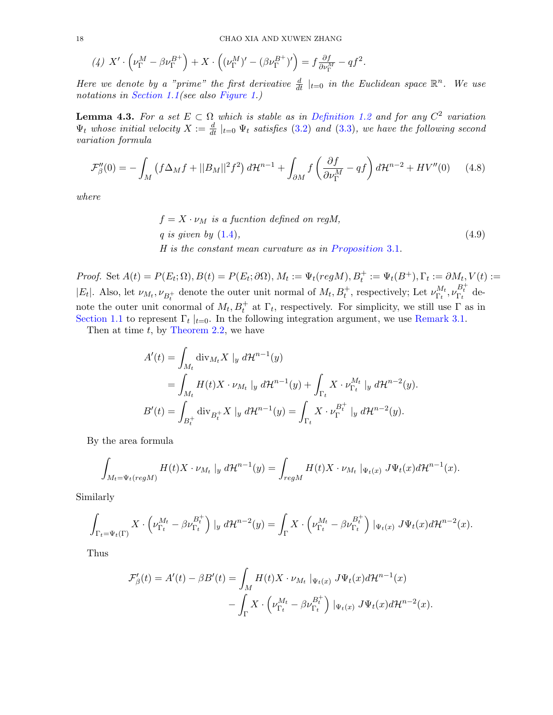<span id="page-17-0"></span>
$$
(4) X' \cdot \left(\nu_{\Gamma}^M - \beta \nu_{\Gamma}^{B^+}\right) + X \cdot \left((\nu_{\Gamma}^M)' - (\beta \nu_{\Gamma}^{B^+})'\right) = f \frac{\partial f}{\partial \nu_{\Gamma}^M} - qf^2.
$$

Here we denote by a "prime" the first derivative  $\frac{d}{dt}|_{t=0}$  in the Euclidean space  $\mathbb{R}^n$ . We use notations in [Section 1.1\(](#page-2-0)see also [Figure 1.](#page-10-0))

**Lemma 4.3.** For a set  $E \subset \Omega$  which is stable as in [Definition 1.2](#page-2-3) and for any  $C^2$  variation  $\Psi_t$  whose initial velocity  $X := \frac{d}{dt} \mid_{t=0} \Psi_t$  satisfies [\(3.2\)](#page-10-5) and [\(3.3\)](#page-10-2), we have the following second variation formula

$$
\mathcal{F}_{\beta}^{"}(0) = -\int_{M} \left( f \Delta_{M} f + ||B_{M}||^{2} f^{2} \right) d\mathcal{H}^{n-1} + \int_{\partial M} f \left( \frac{\partial f}{\partial \nu_{\Gamma}^{M}} - q f \right) d\mathcal{H}^{n-2} + HV^{"}(0) \tag{4.8}
$$

where

<span id="page-17-1"></span> $f = X \cdot \nu_M$  is a fucntion defined on regM, q is given by  $(1.4)$ ,  $(4.9)$  $H$  is the constant mean curvature as in Proposition 3.1.

Proof. Set  $A(t) = P(E_t; \Omega), B(t) = P(E_t; \partial \Omega), M_t := \Psi_t (reg M), B_t^+ := \Psi_t (B^+), \Gamma_t := \partial M_t, V(t) :=$ |E<sub>t</sub>|. Also, let  $\nu_{M_t}, \nu_{B_t^+}$  denote the outer unit normal of  $M_t, B_t^+$ , respectively; Let  $\nu_{\Gamma_t}^{M_t}$  $_{\Gamma_t}^{M_t}, \nu_{\Gamma_t}^{B_t^+}$  denote the outer unit conormal of  $M_t, B_t^+$  at  $\Gamma_t$ , respectively. For simplicity, we still use  $\Gamma$  as in [Section 1.1](#page-2-0) to represent  $\Gamma_t |_{t=0}$ . In the following integration argument, we use [Remark 3.1.](#page-10-4)

Then at time  $t$ , by [Theorem 2.2,](#page-5-2) we have

$$
A'(t) = \int_{M_t} \text{div}_{M_t} X \mid_{y} d\mathcal{H}^{n-1}(y)
$$
  
= 
$$
\int_{M_t} H(t)X \cdot \nu_{M_t} \mid_{y} d\mathcal{H}^{n-1}(y) + \int_{\Gamma_t} X \cdot \nu_{\Gamma_t}^{M_t} \mid_{y} d\mathcal{H}^{n-2}(y).
$$
  

$$
B'(t) = \int_{B_t^+} \text{div}_{B_t^+} X \mid_{y} d\mathcal{H}^{n-1}(y) = \int_{\Gamma_t} X \cdot \nu_{\Gamma}^{B_t^+} \mid_{y} d\mathcal{H}^{n-2}(y).
$$

By the area formula

$$
\int_{M_t=\Psi_t(regM)} H(t)X \cdot \nu_{M_t} |_{y} d\mathcal{H}^{n-1}(y) = \int_{regM} H(t)X \cdot \nu_{M_t} |_{\Psi_t(x)} J\Psi_t(x) d\mathcal{H}^{n-1}(x).
$$

Similarly

$$
\int_{\Gamma_t=\Psi_t(\Gamma)} X \cdot \left(\nu_{\Gamma_t}^{M_t} - \beta \nu_{\Gamma_t}^{B_t^+}\right)|_y \ d\mathcal{H}^{n-2}(y) = \int_{\Gamma} X \cdot \left(\nu_{\Gamma_t}^{M_t} - \beta \nu_{\Gamma_t}^{B_t^+}\right)|_{\Psi_t(x)} J\Psi_t(x) d\mathcal{H}^{n-2}(x).
$$

Thus

$$
\mathcal{F}'_{\beta}(t) = A'(t) - \beta B'(t) = \int_M H(t)X \cdot \nu_{M_t} |_{\Psi_t(x)} J\Psi_t(x) d\mathcal{H}^{n-1}(x)
$$

$$
- \int_{\Gamma} X \cdot \left( \nu_{\Gamma_t}^{M_t} - \beta \nu_{\Gamma_t}^{B_t^+} \right) |_{\Psi_t(x)} J\Psi_t(x) d\mathcal{H}^{n-2}(x).
$$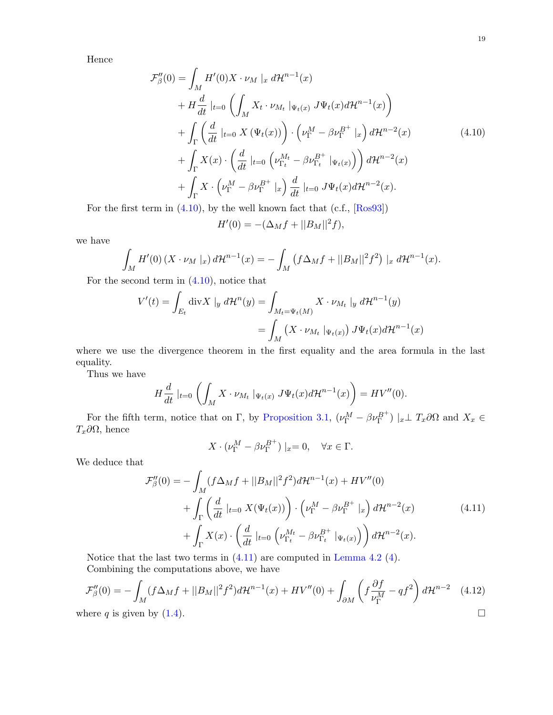Hence

$$
\mathcal{F}_{\beta}^{\prime\prime}(0) = \int_{M} H^{\prime}(0)X \cdot \nu_{M} \mid_{x} d\mathcal{H}^{n-1}(x)
$$
\n
$$
+ H \frac{d}{dt} \mid_{t=0} \left( \int_{M} X_{t} \cdot \nu_{M_{t}} \mid_{\Psi_{t}(x)} J \Psi_{t}(x) d\mathcal{H}^{n-1}(x) \right)
$$
\n
$$
+ \int_{\Gamma} \left( \frac{d}{dt} \mid_{t=0} X \left( \Psi_{t}(x) \right) \right) \cdot \left( \nu_{\Gamma}^{M} - \beta \nu_{\Gamma}^{B^{+}} \mid_{x} \right) d\mathcal{H}^{n-2}(x)
$$
\n
$$
+ \int_{\Gamma} X(x) \cdot \left( \frac{d}{dt} \mid_{t=0} \left( \nu_{\Gamma_{t}}^{M_{t}} - \beta \nu_{\Gamma_{t}}^{B^{+}} \mid_{\Psi_{t}(x)} \right) \right) d\mathcal{H}^{n-2}(x)
$$
\n
$$
+ \int_{\Gamma} X \cdot \left( \nu_{\Gamma}^{M} - \beta \nu_{\Gamma}^{B^{+}} \mid_{x} \right) \frac{d}{dt} \mid_{t=0} J \Psi_{t}(x) d\mathcal{H}^{n-2}(x).
$$
\n(4.10)

For the first term in  $(4.10)$ , by the well known fact that  $(c.f., [Ros93])$  $(c.f., [Ros93])$  $(c.f., [Ros93])$ 

<span id="page-18-0"></span>
$$
H'(0) = -(\Delta_M f + ||B_M||^2 f),
$$

we have

$$
\int_{M} H'(0) (X \cdot \nu_{M} \mid_{x}) d\mathcal{H}^{n-1}(x) = -\int_{M} (f \Delta_{M} f + ||B_{M}||^{2} f^{2}) \mid_{x} d\mathcal{H}^{n-1}(x).
$$

For the second term in  $(4.10)$ , notice that

$$
V'(t) = \int_{E_t} \operatorname{div} X \mid_{y} d\mathcal{H}^n(y) = \int_{M_t = \Psi_t(M)} X \cdot \nu_{M_t} \mid_{y} d\mathcal{H}^{n-1}(y)
$$
  
= 
$$
\int_M (X \cdot \nu_{M_t} \mid_{\Psi_t(x)}) J \Psi_t(x) d\mathcal{H}^{n-1}(x)
$$

where we use the divergence theorem in the first equality and the area formula in the last equality.

Thus we have

$$
H\frac{d}{dt}\mid_{t=0}\left(\int_{M}X\cdot\nu_{M_{t}}\mid_{\Psi_{t}(x)}J\Psi_{t}(x)d\mathcal{H}^{n-1}(x)\right)=HV''(0).
$$

For the fifth term, notice that on  $\Gamma$ , by [Proposition 3.1,](#page-9-0)  $(\nu_{\Gamma}^M - \beta \nu_{\Gamma}^{B+}) |_{x} \perp T_x \partial \Omega$  and  $X_x \in$ Tx∂Ω, hence

<span id="page-18-1"></span>
$$
X \cdot (\nu_{\Gamma}^M - \beta \nu_{\Gamma}^{B^+}) |_{x} = 0, \quad \forall x \in \Gamma.
$$

We deduce that

$$
\mathcal{F}_{\beta}''(0) = -\int_{M} (f \Delta_{M} f + ||B_{M}||^{2} f^{2}) d\mathcal{H}^{n-1}(x) + HV''(0) \n+ \int_{\Gamma} \left( \frac{d}{dt} |_{t=0} X(\Psi_{t}(x)) \right) \cdot \left( \nu_{\Gamma}^{M} - \beta \nu_{\Gamma}^{B^{+}} |_{x} \right) d\mathcal{H}^{n-2}(x) \n+ \int_{\Gamma} X(x) \cdot \left( \frac{d}{dt} |_{t=0} \left( \nu_{\Gamma_{t}}^{M_{t}} - \beta \nu_{\Gamma_{t}}^{B^{+}} |_{\Psi_{t}(x)} \right) \right) d\mathcal{H}^{n-2}(x).
$$
\n(4.11)

Notice that the last two terms in [\(4.11\)](#page-18-1) are computed in [Lemma 4.2](#page-16-3) [\(4\)](#page-17-0). Combining the computations above, we have

$$
\mathcal{F}_{\beta}''(0) = -\int_M (f\Delta_M f + ||B_M||^2 f^2) d\mathcal{H}^{n-1}(x) + HV''(0) + \int_{\partial M} \left( f \frac{\partial f}{\nu_{\Gamma}^M} - q f^2 \right) d\mathcal{H}^{n-2} \quad (4.12)
$$
  
where *q* is given by (1.4).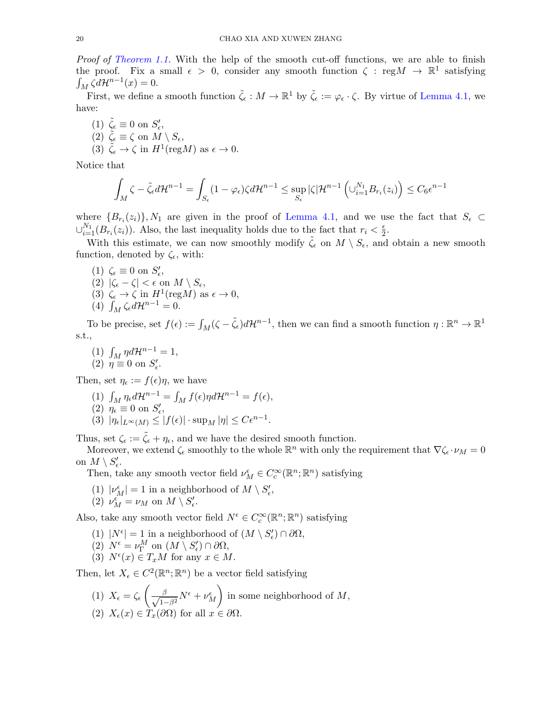Proof of [Theorem 1.1.](#page-2-5) With the help of the smooth cut-off functions, we are able to finish the proof. Fix a small  $\epsilon > 0$ , consider any smooth function  $\zeta : \text{reg}M \to \mathbb{R}^1$  satisfying  $\int_M \zeta d\mathcal{H}^{n-1}(x) = 0.$ 

First, we define a smooth function  $\tilde{\zeta}_{\epsilon}: M \to \mathbb{R}^1$  by  $\tilde{\zeta}_{\epsilon} := \varphi_{\epsilon} \cdot \zeta$ . By virtue of [Lemma 4.1,](#page-13-1) we have:

(1)  $\tilde{\zeta}_{\epsilon} \equiv 0$  on  $S'_{\epsilon}$ , (2)  $\tilde{\zeta}_{\epsilon} \equiv \zeta$  on  $M \setminus S_{\epsilon}$ , (3)  $\tilde{\zeta}_{\epsilon} \to \zeta$  in  $H^1(\text{reg}M)$  as  $\epsilon \to 0$ .

Notice that

$$
\int_M \zeta - \tilde{\zeta}_{\epsilon} d\mathcal{H}^{n-1} = \int_{S_{\epsilon}} (1 - \varphi_{\epsilon}) \zeta d\mathcal{H}^{n-1} \leq \sup_{S_{\epsilon}} |\zeta| \mathcal{H}^{n-1} \left( \cup_{i=1}^{N_1} B_{r_i}(z_i) \right) \leq C_6 \epsilon^{n-1}
$$

where  ${B_{r_i}(z_i)}$ ,  $N_1$  are given in the proof of [Lemma 4.1,](#page-13-1) and we use the fact that  $S_{\epsilon} \subset$  $\cup_{i=1}^{N_1}(B_{r_i}(z_i))$ . Also, the last inequality holds due to the fact that  $r_i < \frac{\epsilon}{2}$  $\frac{\epsilon}{2}$ .

With this estimate, we can now smoothly modify  $\tilde{\zeta}_{\epsilon}$  on  $M \setminus S_{\epsilon}$ , and obtain a new smooth function, denoted by  $\zeta_{\epsilon}$ , with:

- (1)  $\zeta_{\epsilon} \equiv 0$  on  $S'_{\epsilon}$ , (2)  $|\zeta_{\epsilon} - \zeta| < \epsilon$  on  $M \setminus S_{\epsilon}$ , (3)  $\zeta_{\epsilon} \to \zeta$  in  $H^1(\text{reg}M)$  as  $\epsilon \to 0$ ,
- (4)  $\int_M \zeta_{\epsilon} d\mathcal{H}^{n-1} = 0.$

To be precise, set  $f(\epsilon) := \int_M (\zeta - \tilde{\zeta}_\epsilon) d\mathcal{H}^{n-1}$ , then we can find a smooth function  $\eta : \mathbb{R}^n \to \mathbb{R}^1$ s.t.,

(1)  $\int_M \eta d\mathcal{H}^{n-1} = 1$ , (2)  $\eta \equiv 0$  on  $S'_{\epsilon}$ .

Then, set  $\eta_{\epsilon} := f(\epsilon)\eta$ , we have

- (1)  $\int_M \eta_{\epsilon} d\mathcal{H}^{n-1} = \int_M f(\epsilon) \eta d\mathcal{H}^{n-1} = f(\epsilon),$ (2)  $\eta_{\epsilon} \equiv 0$  on  $S'_{\epsilon}$ ,
- (3)  $|\eta_{\epsilon}|_{L^{\infty}(M)} \leq |f(\epsilon)| \cdot \sup_{M} |\eta| \leq C \epsilon^{n-1}.$

Thus, set  $\zeta_{\epsilon} := \tilde{\zeta}_{\epsilon} + \eta_{\epsilon}$ , and we have the desired smooth function.

Moreover, we extend  $\zeta_{\epsilon}$  smoothly to the whole  $\mathbb{R}^n$  with only the requirement that  $\nabla \zeta_{\epsilon} \cdot \nu_M = 0$ on  $M \setminus S'_\epsilon$ .

Then, take any smooth vector field  $\nu_M^{\epsilon} \in C_c^{\infty}(\mathbb{R}^n;\mathbb{R}^n)$  satisfying

- (1)  $|\nu_M^\epsilon|=1$  in a neighborhood of  $M\setminus S'_\epsilon,$
- (2)  $\nu_M^{\epsilon} = \nu_M$  on  $M \setminus S'_{\epsilon}$ .

Also, take any smooth vector field  $N^{\epsilon} \in C_c^{\infty}(\mathbb{R}^n;\mathbb{R}^n)$  satisfying

- (1)  $|N^{\epsilon}| = 1$  in a neighborhood of  $(M \setminus S'_{\epsilon}) \cap \partial \Omega$ ,
- (2)  $N^{\epsilon} = \nu_{\Gamma}^{M}$  on  $(M \setminus S'_{\epsilon}) \cap \partial \Omega$ ,
- (3)  $N^{\epsilon}(x) \in T_xM$  for any  $x \in M$ .

Then, let  $X_{\epsilon} \in C^2(\mathbb{R}^n;\mathbb{R}^n)$  be a vector field satisfying

(1)  $X_{\epsilon} = \zeta_{\epsilon} \left( \frac{\beta}{\sqrt{1-\beta^2}} N^{\epsilon} + \nu_M^{\epsilon} \right)$ in some neighborhood of  $M$ , (2)  $X_{\epsilon}(x) \in T_{x}(\partial \Omega)$  for all  $x \in \partial \Omega$ .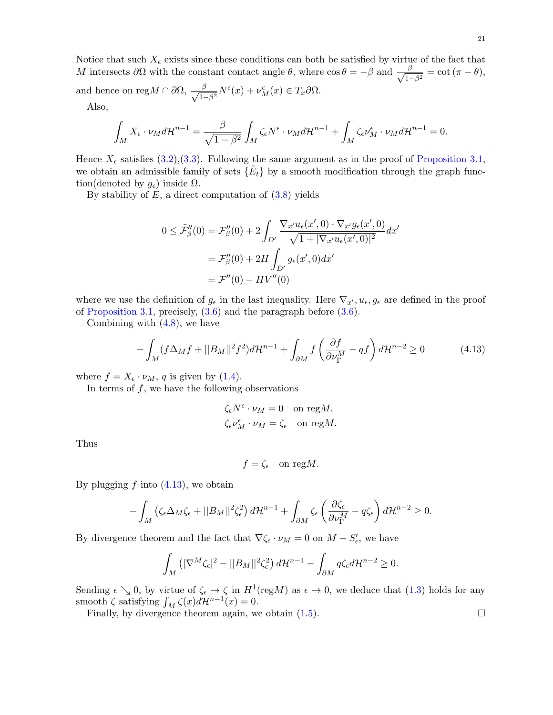21

Notice that such  $X_{\epsilon}$  exists since these conditions can both be satisfied by virtue of the fact that M intersects  $\partial\Omega$  with the constant contact angle  $\theta$ , where  $\cos\theta = -\beta$  and  $\frac{\beta}{\sqrt{2\pi}}$  $\frac{\beta}{1-\beta^2}=\cot{(\pi-\theta)},$ and hence on reg $M \cap \partial\Omega$ ,  $\frac{\beta}{\sqrt{1-\beta^2}} N^{\epsilon}(x) + \nu_M^{\epsilon}(x) \in T_x \partial\Omega$ .

Also,

$$
\int_M X_{\epsilon} \cdot \nu_M d\mathcal{H}^{n-1} = \frac{\beta}{\sqrt{1-\beta^2}} \int_M \zeta_{\epsilon} N^{\epsilon} \cdot \nu_M d\mathcal{H}^{n-1} + \int_M \zeta_{\epsilon} \nu_M^{\epsilon} \cdot \nu_M d\mathcal{H}^{n-1} = 0.
$$

Hence  $X_{\epsilon}$  satisfies [\(3.2\)](#page-10-5),[\(3.3\)](#page-10-2). Following the same argument as in the proof of [Proposition 3.1,](#page-9-0) we obtain an admissible family of sets  $\{\tilde{E}_t\}$  by a smooth modification through the graph function(denoted by  $g_{\epsilon}$ ) inside  $\Omega$ .

By stability of  $E$ , a direct computation of  $(3.8)$  yields

$$
0 \le \tilde{\mathcal{F}}''_{\beta}(0) = \mathcal{F}''_{\beta}(0) + 2 \int_{D'} \frac{\nabla_{x'} u_{\epsilon}(x',0) \cdot \nabla_{x'} g_{\epsilon}(x',0)}{\sqrt{1+|\nabla_{x'} u_{\epsilon}(x',0)|^2}} dx'
$$

$$
= \mathcal{F}''_{\beta}(0) + 2H \int_{D'} g_{\epsilon}(x',0) dx'
$$

$$
= \mathcal{F}''(0) - HV''(0)
$$

where we use the definition of  $g_{\epsilon}$  in the last inequality. Here  $\nabla_{x', u_{\epsilon}, g_{\epsilon}}$  are defined in the proof of [Proposition 3.1,](#page-9-0) precisely, [\(3.6\)](#page-11-0) and the paragraph before [\(3.6\)](#page-11-0).

Combining with [\(4.8\)](#page-17-1), we have

$$
-\int_{M} (f\Delta_{M}f + ||B_{M}||^{2} f^{2}) d\mathcal{H}^{n-1} + \int_{\partial M} f\left(\frac{\partial f}{\partial \nu_{\Gamma}^{M}} - qf\right) d\mathcal{H}^{n-2} \ge 0 \tag{4.13}
$$

where  $f = X_{\epsilon} \cdot \nu_M$ , q is given by [\(1.4\)](#page-3-4).

In terms of  $f$ , we have the following observations

<span id="page-20-0"></span>
$$
\zeta_{\epsilon} N^{\epsilon} \cdot \nu_{M} = 0 \quad \text{on reg } M,
$$
  

$$
\zeta_{\epsilon} \nu_{M}^{\epsilon} \cdot \nu_{M} = \zeta_{\epsilon} \quad \text{on reg } M.
$$

Thus

$$
f = \zeta_{\epsilon} \quad \text{on } \text{reg} M.
$$

By plugging  $f$  into  $(4.13)$ , we obtain

$$
-\int_M \left(\zeta_\epsilon \Delta_M \zeta_\epsilon + ||B_M||^2 \zeta_\epsilon^2\right) d\mathcal{H}^{n-1} + \int_{\partial M} \zeta_\epsilon \left(\frac{\partial \zeta_\epsilon}{\partial \nu_\Gamma^M} - q \zeta_\epsilon\right) d\mathcal{H}^{n-2} \geq 0.
$$

By divergence theorem and the fact that  $\nabla \zeta_{\epsilon} \cdot \nu_M = 0$  on  $M - S'_{\epsilon}$ , we have

$$
\int_M \left( |\nabla^M \zeta_{\epsilon}^2|^2 - ||B_M||^2 \zeta_{\epsilon}^2 \right) d\mathcal{H}^{n-1} - \int_{\partial M} q \zeta_{\epsilon} d\mathcal{H}^{n-2} \ge 0.
$$

Sending  $\epsilon \searrow 0$ , by virtue of  $\zeta_{\epsilon} \to \zeta$  in  $H^1(\text{reg}M)$  as  $\epsilon \to 0$ , we deduce that  $(1.3)$  holds for any smooth  $\zeta$  satisfying  $\int_M \zeta(x)d\mathcal{H}^{n-1}(x) = 0.$ 

Finally, by divergence theorem again, we obtain [\(1.5\)](#page-3-0).

$$
\qquad \qquad \Box
$$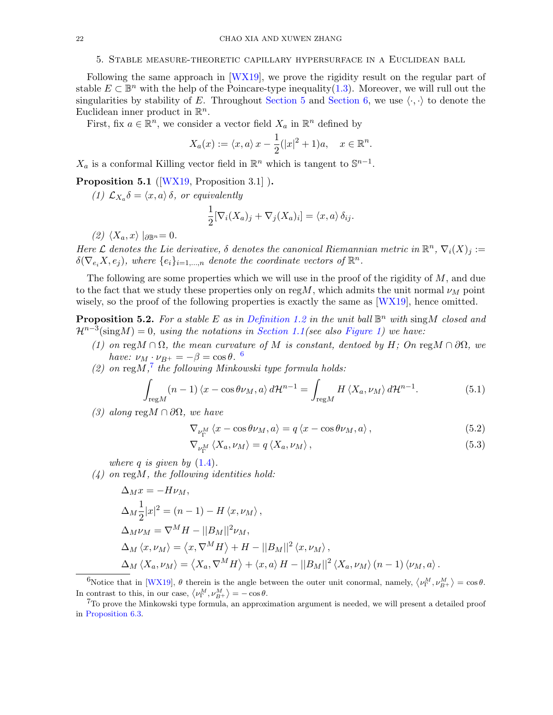## 5. Stable measure-theoretic capillary hypersurface in a Euclidean ball

<span id="page-21-0"></span>Following the same approach in [\[WX19\]](#page-34-1), we prove the rigidity result on the regular part of stable  $E \subset \mathbb{B}^n$  with the help of the Poincare-type inequality[\(1.3\)](#page-2-4). Moreover, we will rull out the singularities by stability of E. Throughout [Section 5](#page-21-0) and [Section 6,](#page-23-0) we use  $\langle \cdot, \cdot \rangle$  to denote the Euclidean inner product in  $\mathbb{R}^n$ .

First, fix  $a \in \mathbb{R}^n$ , we consider a vector field  $X_a$  in  $\mathbb{R}^n$  defined by

$$
X_a(x) := \langle x, a \rangle x - \frac{1}{2}(|x|^2 + 1)a, \quad x \in \mathbb{R}^n.
$$

 $X_a$  is a conformal Killing vector field in  $\mathbb{R}^n$  which is tangent to  $\mathbb{S}^{n-1}$ .

<span id="page-21-4"></span>Proposition 5.1 ([\[WX19,](#page-34-1) Proposition 3.1]).

(1)  $\mathcal{L}_{X_a} \delta = \langle x, a \rangle \delta$ , or equivalently

$$
\frac{1}{2} [\nabla_i (X_a)_j + \nabla_j (X_a)_i] = \langle x, a \rangle \, \delta_{ij}.
$$

 $(2)$   $\langle X_a, x \rangle$   $|_{\partial \mathbb{R}^n} = 0$ .

Here L denotes the Lie derivative,  $\delta$  denotes the canonical Riemannian metric in  $\mathbb{R}^n$ ,  $\nabla_i(X)_j :=$  $\delta(\nabla_{e_i}X, e_j)$ , where  $\{e_i\}_{i=1,\dots,n}$  denote the coordinate vectors of  $\mathbb{R}^n$ .

The following are some properties which we will use in the proof of the rigidity of  $M$ , and due to the fact that we study these properties only on reg $M$ , which admits the unit normal  $\nu_M$  point wisely, so the proof of the following properties is exactly the same as [\[WX19\]](#page-34-1), hence omitted.

<span id="page-21-5"></span>**Proposition 5.2.** For a stable E as in [Definition 1.2](#page-2-3) in the unit ball  $\mathbb{B}^n$  with sing M closed and  $\mathcal{H}^{n-3}(\text{sing}M) = 0$ , using the notations in [Section 1.1\(](#page-2-0)see also [Figure 1\)](#page-10-0) we have:

- (1) on regM ∩  $\Omega$ , the mean curvature of M is constant, dentoed by H; On regM ∩  $\partial\Omega$ , we have:  $\nu_M \cdot \nu_{B^+} = -\beta = \cos \theta$ . <sup>[6](#page-21-1)</sup>
- (2) on reg $M$ ,<sup>[7](#page-21-2)</sup> the following Minkowski type formula holds:

$$
\int_{\text{reg}M} (n-1) \langle x - \cos \theta \nu_M, a \rangle d\mathcal{H}^{n-1} = \int_{\text{reg}M} H \langle X_a, \nu_M \rangle d\mathcal{H}^{n-1}.
$$
 (5.1)

(3) along reg $M \cap \partial\Omega$ , we have

<span id="page-21-3"></span>
$$
\nabla_{\nu_{\Gamma}^{M}} \left\langle x - \cos \theta \nu_{M}, a \right\rangle = q \left\langle x - \cos \theta \nu_{M}, a \right\rangle, \tag{5.2}
$$

$$
\nabla_{\nu_{\Gamma}^{M}} \left\langle X_{a}, \nu_{M} \right\rangle = q \left\langle X_{a}, \nu_{M} \right\rangle, \tag{5.3}
$$

where q is given by  $(1.4)$ .

<span id="page-21-6"></span> $(4)$  on regM, the following identities hold:

$$
\Delta_M x = -H\nu_M,
$$
  
\n
$$
\Delta_M \frac{1}{2}|x|^2 = (n-1) - H \langle x, \nu_M \rangle,
$$
  
\n
$$
\Delta_M \nu_M = \nabla^M H - ||B_M||^2 \nu_M,
$$
  
\n
$$
\Delta_M \langle x, \nu_M \rangle = \langle x, \nabla^M H \rangle + H - ||B_M||^2 \langle x, \nu_M \rangle,
$$
  
\n
$$
\Delta_M \langle X_a, \nu_M \rangle = \langle X_a, \nabla^M H \rangle + \langle x, a \rangle H - ||B_M||^2 \langle X_a, \nu_M \rangle (n-1) \langle \nu_M, a \rangle.
$$

<span id="page-21-1"></span><sup>6</sup>Notice that in [\[WX19\]](#page-34-1),  $\theta$  therein is the angle between the outer unit conormal, namely,  $\langle \nu_{\Gamma}^M, \nu_{B^+}^M \rangle = \cos \theta$ . In contrast to this, in our case,  $\langle \nu_{\Gamma}^M, \nu_{B^+}^M \rangle = -\cos \theta$ .

<span id="page-21-2"></span><sup>7</sup>To prove the Minkowski type formula, an approximation argument is needed, we will present a detailed proof in [Proposition 6.3.](#page-26-0)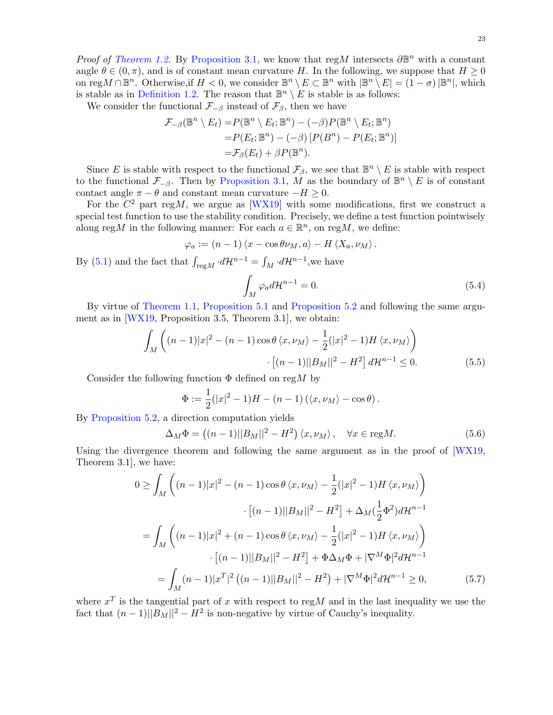*Proof of [Theorem 1.2.](#page-3-1)* By [Proposition 3.1,](#page-9-0) we know that regM intersects  $\partial \mathbb{B}^n$  with a constant angle  $\theta \in (0, \pi)$ , and is of constant mean curvature H. In the following, we suppose that  $H \geq 0$ on reg $M \cap \mathbb{B}^n$ . Otherwise, if  $H < 0$ , we consider  $\mathbb{B}^n \setminus E \subset \mathbb{B}^n$  with  $|\mathbb{B}^n \setminus E| = (1 - \sigma) |\mathbb{B}^n|$ , which is stable as in [Definition 1.2.](#page-2-3) The reason that  $\mathbb{B}^n \setminus E$  is stable is as follows:

We consider the functional  $\mathcal{F}_{-\beta}$  instead of  $\mathcal{F}_{\beta}$ , then we have

$$
\mathcal{F}_{-\beta}(\mathbb{B}^n \setminus E_t) = P(\mathbb{B}^n \setminus E_t; \mathbb{B}^n) - (-\beta)P(\mathbb{B}^n \setminus E_t; \mathbb{B}^n)
$$
  
=  $P(E_t; \mathbb{B}^n) - (-\beta) [P(B^n) - P(E_t; \mathbb{B}^n)]$   
=  $\mathcal{F}_{\beta}(E_t) + \beta P(\mathbb{B}^n)$ .

Since E is stable with respect to the functional  $\mathcal{F}_{\beta}$ , we see that  $\mathbb{B}^n \setminus E$  is stable with respect to the functional  $\mathcal{F}_{-\beta}$ . Then by [Proposition 3.1,](#page-9-0) M as the boundary of  $\mathbb{B}^n \setminus E$  is of constant contact angle  $\pi - \theta$  and constant mean curvature  $-H \geq 0$ .

For the  $C^2$  part regM, we argue as [\[WX19\]](#page-34-1) with some modifications, first we construct a special test function to use the stability condition. Precisely, we define a test function pointwisely along regM in the following manner: For each  $a \in \mathbb{R}^n$ , on regM, we define:

$$
\varphi_a := (n-1) \langle x - \cos \theta \nu_M, a \rangle - H \langle X_a, \nu_M \rangle.
$$

By [\(5.1\)](#page-21-3) and the fact that  $\int_{\text{reg}M} \cdot d\mathcal{H}^{n-1} = \int_M \cdot d\mathcal{H}^{n-1}$ , we have

<span id="page-22-1"></span>
$$
\int_{M} \varphi_{a} d\mathcal{H}^{n-1} = 0.
$$
\n(5.4)

By virtue of [Theorem 1.1,](#page-2-5) [Proposition 5.1](#page-21-4) and [Proposition 5.2](#page-21-5) and following the same argument as in [\[WX19,](#page-34-1) Proposition 3.5, Theorem 3.1], we obtain:

$$
\int_{M} \left( (n-1)|x|^{2} - (n-1)\cos\theta \langle x, \nu_{M} \rangle - \frac{1}{2}(|x|^{2} - 1)H \langle x, \nu_{M} \rangle \right) \cdot \left[ (n-1)||B_{M}||^{2} - H^{2} \right] d\mathcal{H}^{n-1} \leq 0.
$$
\n(5.5)

Consider the following function  $\Phi$  defined on regM by

$$
\Phi := \frac{1}{2}(|x|^2 - 1)H - (n - 1)(\langle x, \nu_M \rangle - \cos \theta).
$$

By [Proposition 5.2,](#page-21-5) a direction computation yields

<span id="page-22-0"></span>
$$
\Delta_M \Phi = \left( (n-1) ||B_M||^2 - H^2 \right) \langle x, \nu_M \rangle \,, \quad \forall x \in \text{reg} M. \tag{5.6}
$$

Using the divergence theorem and following the same argument as in the proof of [\[WX19,](#page-34-1) Theorem 3.1], we have:

$$
0 \ge \int_M \left( (n-1)|x|^2 - (n-1)\cos\theta \langle x, \nu_M \rangle - \frac{1}{2}(|x|^2 - 1)H \langle x, \nu_M \rangle \right)
$$

$$
\cdot [(n-1)||B_M||^2 - H^2] + \Delta_M (\frac{1}{2}\Phi^2) dH^{n-1}
$$

$$
= \int_M \left( (n-1)|x|^2 + (n-1)\cos\theta \langle x, \nu_M \rangle - \frac{1}{2}(|x|^2 - 1)H \langle x, \nu_M \rangle \right)
$$

$$
\cdot [(n-1)||B_M||^2 - H^2] + \Phi \Delta_M \Phi + |\nabla^M \Phi|^2 dH^{n-1}
$$

$$
= \int_M (n-1)|x^T|^2 ((n-1)||B_M||^2 - H^2) + |\nabla^M \Phi|^2 dH^{n-1} \ge 0,
$$
(5.7)

where  $x^T$  is the tangential part of x with respect to regM and in the last inequality we use the fact that  $(n-1)||B_M||^2 - H^2$  is non-negative by virtue of Cauchy's inequality.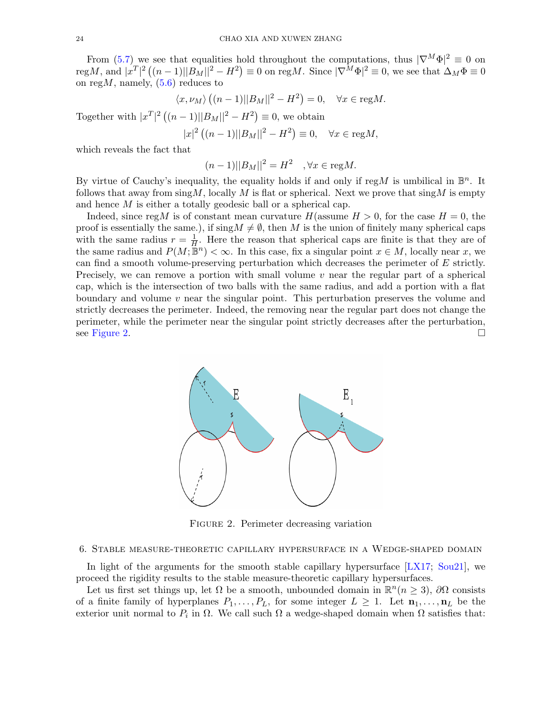From [\(5.7\)](#page-22-0) we see that equalities hold throughout the computations, thus  $|\nabla^M \Phi|^2 \equiv 0$  on regM, and  $|x^T|^2 ((n-1) ||B_M||^2 - H^2) \equiv 0$  on regM. Since  $|\nabla^M \Phi|^2 \equiv 0$ , we see that  $\Delta_M \Phi \equiv 0$ on reg $M$ , namely,  $(5.6)$  reduces to

$$
\langle x, \nu_M \rangle ((n-1) ||B_M||^2 - H^2) = 0, \quad \forall x \in \text{reg}M.
$$

Together with  $|x^T|^2((n-1)||B_M||^2 - H^2) \equiv 0$ , we obtain

$$
|x|^2 ((n - 1)||B_M||^2 - H^2) \equiv 0, \quad \forall x \in \text{reg}M,
$$

which reveals the fact that

 $(n-1)||B_M||^2 = H^2 \quad, \forall x \in \text{reg}M.$ 

By virtue of Cauchy's inequality, the equality holds if and only if regM is umbilical in  $\mathbb{B}^n$ . It follows that away from  $\sin{\frac{M}{N}}$ , locally M is flat or spherical. Next we prove that  $\sin{\frac{M}{N}}$  is empty and hence M is either a totally geodesic ball or a spherical cap.

Indeed, since regM is of constant mean curvature  $H$ (assume  $H > 0$ , for the case  $H = 0$ , the proof is essentially the same.), if  $\text{sing}M \neq \emptyset$ , then M is the union of finitely many spherical caps with the same radius  $r = \frac{1}{H}$  $\frac{1}{H}$ . Here the reason that spherical caps are finite is that they are of the same radius and  $P(M; \mathbb{B}^n) < \infty$ . In this case, fix a singular point  $x \in M$ , locally near x, we can find a smooth volume-preserving perturbation which decreases the perimeter of E strictly. Precisely, we can remove a portion with small volume  $v$  near the regular part of a spherical cap, which is the intersection of two balls with the same radius, and add a portion with a flat boundary and volume  $v$  near the singular point. This perturbation preserves the volume and strictly decreases the perimeter. Indeed, the removing near the regular part does not change the perimeter, while the perimeter near the singular point strictly decreases after the perturbation, see [Figure 2.](#page-23-1)

<span id="page-23-1"></span>

FIGURE 2. Perimeter decreasing variation

## <span id="page-23-0"></span>6. Stable measure-theoretic capillary hypersurface in a Wedge-shaped domain

In light of the arguments for the smooth stable capillary hypersurface [\[LX17;](#page-33-10) [Sou21\]](#page-33-11), we proceed the rigidity results to the stable measure-theoretic capillary hypersurfaces.

Let us first set things up, let  $\Omega$  be a smooth, unbounded domain in  $\mathbb{R}^n(n \geq 3)$ ,  $\partial\Omega$  consists of a finite family of hyperplanes  $P_1, \ldots, P_L$ , for some integer  $L \geq 1$ . Let  $\mathbf{n}_1, \ldots, \mathbf{n}_L$  be the exterior unit normal to  $P_i$  in  $\Omega$ . We call such  $\Omega$  a wedge-shaped domain when  $\Omega$  satisfies that: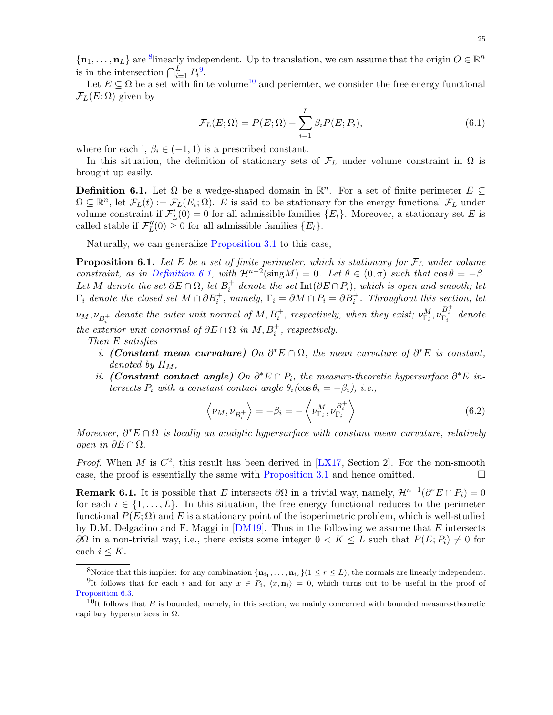$\{\mathbf n_1,\ldots,\mathbf n_L\}$  are <sup>[8](#page-24-1)</sup>linearly independent. Up to translation, we can assume that the origin  $O\in\mathbb{R}^n$ is in the intersection  $\bigcap_{i=1}^L P_i^9$  $\bigcap_{i=1}^L P_i^9$ .

Let  $E \subseteq \Omega$  be a set with finite volume<sup>[10](#page-24-3)</sup> and periemter, we consider the free energy functional  $\mathcal{F}_L(E; \Omega)$  given by

$$
\mathcal{F}_L(E;\Omega) = P(E;\Omega) - \sum_{i=1}^L \beta_i P(E;P_i),\tag{6.1}
$$

where for each i,  $\beta_i \in (-1, 1)$  is a prescribed constant.

In this situation, the definition of stationary sets of  $\mathcal{F}_L$  under volume constraint in  $\Omega$  is brought up easily.

<span id="page-24-0"></span>**Definition 6.1.** Let  $\Omega$  be a wedge-shaped domain in  $\mathbb{R}^n$ . For a set of finite perimeter  $E \subseteq$  $\Omega \subseteq \mathbb{R}^n$ , let  $\mathcal{F}_L(t) := \mathcal{F}_L(E_t; \Omega)$ . E is said to be stationary for the energy functional  $\mathcal{F}_L$  under volume constraint if  $\mathcal{F}'_L(0) = 0$  for all admissible families  $\{E_t\}$ . Moreover, a stationary set E is called stable if  $\mathcal{F}_L''(0) \geq 0$  for all admissible families  $\{E_t\}.$ 

Naturally, we can generalize [Proposition 3.1](#page-9-0) to this case,

<span id="page-24-4"></span>**Proposition 6.1.** Let E be a set of finite perimeter, which is stationary for  $\mathcal{F}_L$  under volume constraint, as in [Definition 6.1,](#page-24-0) with  $\mathcal{H}^{n-2}(\text{sing}M) = 0$ . Let  $\theta \in (0, \pi)$  such that  $\cos \theta = -\beta$ . Let M denote the set  $\overline{\partial E \cap \Omega}$ , let  $B_i^+$  denote the set  $\text{Int}(\partial E \cap P_i)$ , which is open and smooth; let  $\Gamma_i$  denote the closed set  $M \cap \partial B_i^+$ , namely,  $\Gamma_i = \partial M \cap P_i = \partial B_i^+$ . Throughout this section, let  $\nu_M, \nu_{B_i^+}$  denote the outer unit normal of  $M, B_i^+$ , respectively, when they exist;  $\nu_{\Gamma_i}^M, \nu_{\Gamma_i}^{B_i^+}$  denote

the exterior unit conormal of  $\partial E \cap \Omega$  in  $M, B_i^+$ , respectively.

Then E satisfies

- i. (Constant mean curvature) On  $\partial^* E \cap \Omega$ , the mean curvature of  $\partial^* E$  is constant, denoted by  $H_M$ ,
- ii. (Constant contact angle) On  $\partial^* E \cap P_i$ , the measure-theoretic hypersurface  $\partial^* E$  intersects  $P_i$  with a constant contact angle  $\theta_i(\cos \theta_i = -\beta_i)$ , i.e.,

$$
\left\langle \nu_M, \nu_{B_i^+} \right\rangle = -\beta_i = -\left\langle \nu_{\Gamma_i}^M, \nu_{\Gamma_i}^{B_i^+} \right\rangle \tag{6.2}
$$

Moreover,  $\partial^* E \cap \Omega$  is locally an analytic hypersurface with constant mean curvature, relatively open in ∂E ∩ Ω.

*Proof.* When M is  $C^2$ , this result has been derived in [\[LX17,](#page-33-10) Section 2]. For the non-smooth case, the proof is essentially the same with [Proposition 3.1](#page-9-0) and hence omitted.  $\Box$ 

<span id="page-24-5"></span>**Remark 6.1.** It is possible that E intersects  $\partial\Omega$  in a trivial way, namely,  $\mathcal{H}^{n-1}(\partial^*E \cap P_i) = 0$ for each  $i \in \{1, \ldots, L\}$ . In this situation, the free energy functional reduces to the perimeter functional  $P(E; \Omega)$  and E is a stationary point of the isoperimetric problem, which is well-studied by D.M. Delgadino and F. Maggi in  $[DM19]$ . Thus in the following we assume that E intersects  $\partial\Omega$  in a non-trivial way, i.e., there exists some integer  $0 < K \leq L$  such that  $P(E; P_i) \neq 0$  for each  $i \leq K$ .

<span id="page-24-2"></span><span id="page-24-1"></span><sup>&</sup>lt;sup>8</sup>Notice that this implies: for any combination  $\{\mathbf{n}_{i_1}, \ldots, \mathbf{n}_{i_r}\}$  ( $1 \leq r \leq L$ ), the normals are linearly independent. <sup>9</sup>It follows that for each i and for any  $x \in P_i$ ,  $\langle x, n_i \rangle = 0$ , which turns out to be useful in the proof of [Proposition 6.3.](#page-26-0)

<span id="page-24-3"></span> $10$ It follows that E is bounded, namely, in this section, we mainly concerned with bounded measure-theoretic capillary hypersurfaces in  $\Omega$ .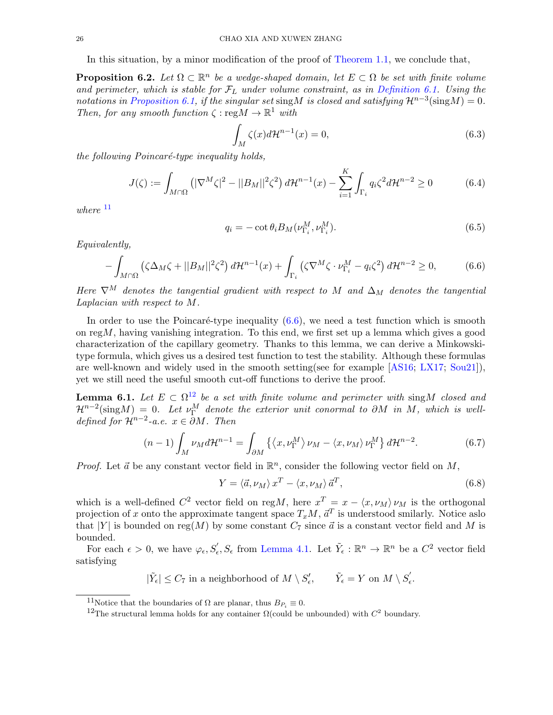In this situation, by a minor modification of the proof of [Theorem 1.1,](#page-2-5) we conclude that,

**Proposition 6.2.** Let  $\Omega \subset \mathbb{R}^n$  be a wedge-shaped domain, let  $E \subset \Omega$  be set with finite volume and perimeter, which is stable for  $\mathcal{F}_L$  under volume constraint, as in [Definition 6.1.](#page-24-0) Using the notations in [Proposition 6.1,](#page-24-4) if the singular set sing M is closed and satisfying  $\mathcal{H}^{n-3}(\text{sing}M) = 0$ . Then, for any smooth function  $\zeta : \text{reg}M \to \mathbb{R}^1$  with

$$
\int_{M} \zeta(x)d\mathcal{H}^{n-1}(x) = 0,
$$
\n(6.3)

the following Poincaré-type inequality holds,

$$
J(\zeta) := \int_{M \cap \Omega} \left( |\nabla^M \zeta|^2 - ||B_M||^2 \zeta^2 \right) d\mathcal{H}^{n-1}(x) - \sum_{i=1}^K \int_{\Gamma_i} q_i \zeta^2 d\mathcal{H}^{n-2} \ge 0 \tag{6.4}
$$

where  $11$ 

<span id="page-25-1"></span>
$$
q_i = -\cot \theta_i B_M(\nu_{\Gamma_i}^M, \nu_{\Gamma_i}^M). \tag{6.5}
$$

Equivalently,

$$
-\int_{M\cap\Omega} \left(\zeta \Delta_M \zeta + ||B_M||^2 \zeta^2\right) d\mathcal{H}^{n-1}(x) + \int_{\Gamma_i} \left(\zeta \nabla^M \zeta \cdot \nu_{\Gamma_i}^M - q_i \zeta^2\right) d\mathcal{H}^{n-2} \ge 0,\tag{6.6}
$$

Here  $\nabla^M$  denotes the tangential gradient with respect to M and  $\Delta_M$  denotes the tangential Laplacian with respect to M.

In order to use the Poincaré-type inequality  $(6.6)$ , we need a test function which is smooth on  $\text{reg}M$ , having vanishing integration. To this end, we first set up a lemma which gives a good characterization of the capillary geometry. Thanks to this lemma, we can derive a Minkowskitype formula, which gives us a desired test function to test the stability. Although these formulas are well-known and widely used in the smooth setting(see for example [\[AS16;](#page-32-7) [LX17;](#page-33-10) [Sou21\]](#page-33-11)), yet we still need the useful smooth cut-off functions to derive the proof.

<span id="page-25-4"></span>**Lemma 6.1.** Let  $E \subset \Omega^{12}$  $E \subset \Omega^{12}$  $E \subset \Omega^{12}$  be a set with finite volume and perimeter with sing M closed and  $\mathcal{H}^{n-2}(\text{sing}M) = 0$ . Let  $\nu_{\Gamma}^M$  denote the exterior unit conormal to  $\partial M$  in M, which is welldefined for  $\mathcal{H}^{n-2}$ -a.e.  $x \in \partial M$ . Then

$$
(n-1)\int_{M} \nu_{M} d\mathcal{H}^{n-1} = \int_{\partial M} \left\{ \left\langle x, \nu_{\Gamma}^{M} \right\rangle \nu_{M} - \left\langle x, \nu_{M} \right\rangle \nu_{\Gamma}^{M} \right\} d\mathcal{H}^{n-2}.
$$
 (6.7)

*Proof.* Let  $\vec{a}$  be any constant vector field in  $\mathbb{R}^n$ , consider the following vector field on  $M$ ,

<span id="page-25-3"></span>
$$
Y = \langle \vec{a}, \nu_M \rangle x^T - \langle x, \nu_M \rangle \vec{a}^T,
$$
\n(6.8)

which is a well-defined  $C^2$  vector field on regM, here  $x^T = x - \langle x, \nu_M \rangle \nu_M$  is the orthogonal projection of x onto the approximate tangent space  $T_xM, \, \vec{a}^T$  is understood smilarly. Notice as o that |Y| is bounded on reg(M) by some constant  $C_7$  since  $\vec{a}$  is a constant vector field and M is bounded.

For each  $\epsilon > 0$ , we have  $\varphi_{\epsilon}, S'_{\epsilon}, S_{\epsilon}$  from [Lemma 4.1.](#page-13-1) Let  $\tilde{Y}_{\epsilon}: \mathbb{R}^{n} \to \mathbb{R}^{n}$  be a  $C^{2}$  vector field satisfying

$$
|\tilde{Y}_{\epsilon}| \leq C_7 \text{ in a neighborhood of } M \setminus S'_{\epsilon}, \qquad \tilde{Y}_{\epsilon} = Y \text{ on } M \setminus S'_{\epsilon}.
$$

<span id="page-25-0"></span><sup>&</sup>lt;sup>11</sup>Notice that the boundaries of  $\Omega$  are planar, thus  $B_{P_i} \equiv 0$ .

<span id="page-25-2"></span><sup>&</sup>lt;sup>12</sup>The structural lemma holds for any container  $\Omega$ (could be unbounded) with  $C^2$  boundary.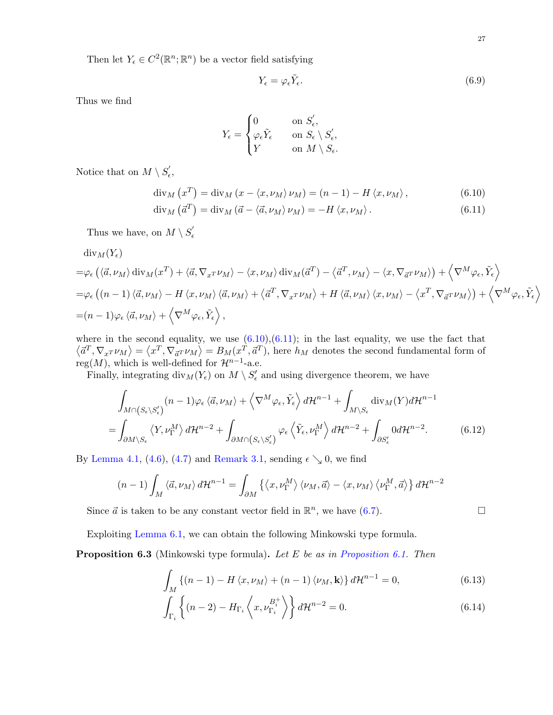Then let  $Y_{\epsilon} \in C^2(\mathbb{R}^n;\mathbb{R}^n)$  be a vector field satisfying

<span id="page-26-2"></span><span id="page-26-1"></span>
$$
Y_{\epsilon} = \varphi_{\epsilon} \tilde{Y}_{\epsilon}.\tag{6.9}
$$

Thus we find

$$
Y_{\epsilon} = \begin{cases} 0 & \text{on } S'_{\epsilon}, \\ \varphi_{\epsilon} \tilde{Y}_{\epsilon} & \text{on } S_{\epsilon} \setminus S'_{\epsilon}, \\ Y & \text{on } M \setminus S_{\epsilon}. \end{cases}
$$

Notice that on  $M \setminus S'_\epsilon$ ,

$$
\operatorname{div}_{M}(x^{T}) = \operatorname{div}_{M}(x - \langle x, \nu_{M} \rangle \nu_{M}) = (n - 1) - H \langle x, \nu_{M} \rangle, \qquad (6.10)
$$

$$
\operatorname{div}_{M}(\vec{a}^{T}) = \operatorname{div}_{M}(\vec{a} - \langle \vec{a}, \nu_{M} \rangle \nu_{M}) = -H \langle x, \nu_{M} \rangle. \tag{6.11}
$$

Thus we have, on  $M\setminus S_{\epsilon}'$ 

 $\mathrm{div}_M(Y_{\epsilon})$ 

$$
= \varphi_{\epsilon} \left( \langle \vec{a}, \nu_{M} \rangle \operatorname{div}_{M} (x^{T}) + \langle \vec{a}, \nabla_{x} \nu_{M} \rangle - \langle x, \nu_{M} \rangle \operatorname{div}_{M} (\vec{a}^{T}) - \langle \vec{a}^{T}, \nu_{M} \rangle - \langle x, \nabla_{\vec{a}} \nu_{M} \rangle \right) + \left\langle \nabla^{M} \varphi_{\epsilon}, \tilde{Y}_{\epsilon} \right\rangle
$$
  
\n
$$
= \varphi_{\epsilon} \left( (n-1) \langle \vec{a}, \nu_{M} \rangle - H \langle x, \nu_{M} \rangle \langle \vec{a}, \nu_{M} \rangle + \langle \vec{a}^{T}, \nabla_{x} \nu_{M} \rangle + H \langle \vec{a}, \nu_{M} \rangle \langle x, \nu_{M} \rangle - \langle x^{T}, \nabla_{\vec{a}} \nu_{M} \rangle \right) + \left\langle \nabla^{M} \varphi_{\epsilon}, \tilde{Y}_{\epsilon} \right\rangle
$$
  
\n
$$
= (n-1) \varphi_{\epsilon} \langle \vec{a}, \nu_{M} \rangle + \left\langle \nabla^{M} \varphi_{\epsilon}, \tilde{Y}_{\epsilon} \right\rangle,
$$

where in the second equality, we use  $(6.10),(6.11)$  $(6.10),(6.11)$ ; in the last equality, we use the fact that  $\langle d^T, \nabla_x \cdot \nu_M \rangle = \langle x^T, \nabla_{\vec{a}} \cdot \nu_M \rangle = B_M(x^T, \vec{a}^T)$ , here  $h_M$  denotes the second fundamental form of reg(M), which is well-defined for  $\mathcal{H}^{n-1}$ -a.e.

Finally, integrating  $\text{div}_M(Y_\epsilon)$  on  $M \setminus S'_\epsilon$  and using divergence theorem, we have

$$
\int_{M \cap (S_{\epsilon} \setminus S_{\epsilon}')} (n-1) \varphi_{\epsilon} \langle \vec{a}, \nu_M \rangle + \left\langle \nabla^M \varphi_{\epsilon}, \tilde{Y}_{\epsilon} \right\rangle d\mathcal{H}^{n-1} + \int_{M \setminus S_{\epsilon}} \text{div}_M(Y) d\mathcal{H}^{n-1}
$$
\n
$$
= \int_{\partial M \setminus S_{\epsilon}} \left\langle Y, \nu_{\Gamma}^M \right\rangle d\mathcal{H}^{n-2} + \int_{\partial M \cap (S_{\epsilon} \setminus S_{\epsilon}')} \varphi_{\epsilon} \left\langle \tilde{Y}_{\epsilon}, \nu_{\Gamma}^M \right\rangle d\mathcal{H}^{n-2} + \int_{\partial S_{\epsilon}'} 0 d\mathcal{H}^{n-2}.
$$
\n(6.12)

By [Lemma 4.1,](#page-13-1) [\(4.6\)](#page-16-1), [\(4.7\)](#page-16-2) and [Remark 3.1,](#page-10-4) sending  $\epsilon \searrow 0$ , we find

$$
(n-1)\int_M \langle \vec{a}, \nu_M \rangle d\mathcal{H}^{n-1} = \int_{\partial M} \left\{ \langle x, \nu_{\Gamma}^M \rangle \langle \nu_M, \vec{a} \rangle - \langle x, \nu_M \rangle \langle \nu_{\Gamma}^M, \vec{a} \rangle \right\} d\mathcal{H}^{n-2}
$$

Since  $\vec{a}$  is taken to be any constant vector field in  $\mathbb{R}^n$ , we have [\(6.7\)](#page-25-3).

Exploiting [Lemma 6.1,](#page-25-4) we can obtain the following Minkowski type formula.

<span id="page-26-0"></span>**Proposition 6.3** (Minkowski type formula). Let E be as in [Proposition 6.1.](#page-24-4) Then

$$
\int_{M} \left\{ (n-1) - H\left\langle x, \nu_M \right\rangle + (n-1) \left\langle \nu_M, \mathbf{k} \right\rangle \right\} d\mathcal{H}^{n-1} = 0, \tag{6.13}
$$

<span id="page-26-3"></span>
$$
\int_{\Gamma_i} \left\{ (n-2) - H_{\Gamma_i} \left\langle x, \nu_{\Gamma_i}^{B_i^+} \right\rangle \right\} d\mathcal{H}^{n-2} = 0. \tag{6.14}
$$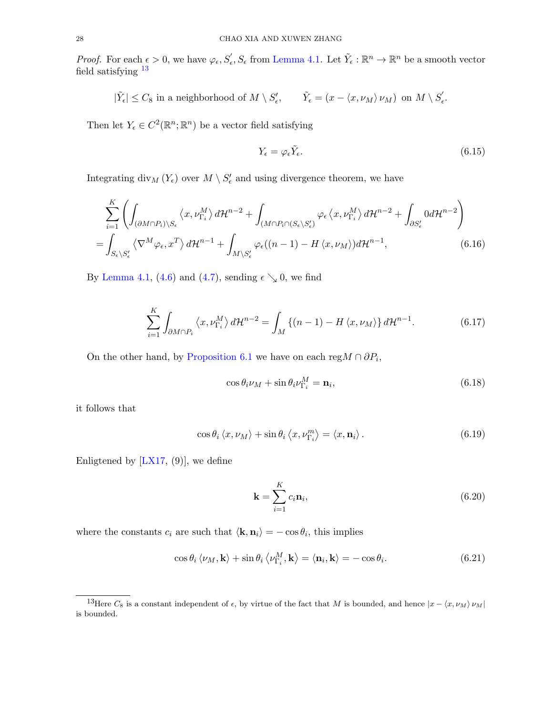*Proof.* For each  $\epsilon > 0$ , we have  $\varphi_{\epsilon}, S'_{\epsilon}, S_{\epsilon}$  from [Lemma 4.1.](#page-13-1) Let  $\tilde{Y}_{\epsilon}: \mathbb{R}^{n} \to \mathbb{R}^{n}$  be a smooth vector field satisfying [13](#page-27-1)

 $|\tilde{Y}_{\epsilon}| \leq C_8$  in a neighborhood of  $M \setminus S'_{\epsilon}$ ,  $\tilde{Y}_{\epsilon} = (x - \langle x, \nu_M \rangle \nu_M)$  on  $M \setminus S'_{\epsilon}$  $_{\epsilon}^{\cdot}$  .

Then let  $Y_{\epsilon} \in C^2(\mathbb{R}^n;\mathbb{R}^n)$  be a vector field satisfying

$$
Y_{\epsilon} = \varphi_{\epsilon} \tilde{Y}_{\epsilon}.\tag{6.15}
$$

Integrating  $\text{div}_M(Y_\epsilon)$  over  $M \setminus S'_\epsilon$  and using divergence theorem, we have

$$
\sum_{i=1}^{K} \left( \int_{(\partial M \cap P_i) \setminus S_{\epsilon}} \langle x, \nu_{\Gamma_i}^{M} \rangle d\mathcal{H}^{n-2} + \int_{(M \cap P_i \cap (S_{\epsilon} \setminus S_{\epsilon}')} \varphi_{\epsilon} \langle x, \nu_{\Gamma_i}^{M} \rangle d\mathcal{H}^{n-2} + \int_{\partial S_{\epsilon}'} 0 d\mathcal{H}^{n-2} \right)
$$
  
= 
$$
\int_{S_{\epsilon} \setminus S_{\epsilon}'} \langle \nabla^{M} \varphi_{\epsilon}, x^{T} \rangle d\mathcal{H}^{n-1} + \int_{M \setminus S_{\epsilon}'} \varphi_{\epsilon} ((n-1) - H \langle x, \nu_{M} \rangle) d\mathcal{H}^{n-1},
$$
(6.16)

By [Lemma 4.1,](#page-13-1) [\(4.6\)](#page-16-1) and [\(4.7\)](#page-16-2), sending  $\epsilon \searrow 0$ , we find

$$
\sum_{i=1}^{K} \int_{\partial M \cap P_i} \left\langle x, \nu_{\Gamma_i}^M \right\rangle d\mathcal{H}^{n-2} = \int_M \left\{ (n-1) - H \left\langle x, \nu_M \right\rangle \right\} d\mathcal{H}^{n-1}.
$$
 (6.17)

On the other hand, by [Proposition 6.1](#page-24-4) we have on each reg $M \cap \partial P_i$ ,

<span id="page-27-4"></span>
$$
\cos \theta_i \nu_M + \sin \theta_i \nu_{\Gamma_i}^M = \mathbf{n}_i,\tag{6.18}
$$

it follows that

$$
\cos \theta_i \langle x, \nu_M \rangle + \sin \theta_i \langle x, \nu_{\Gamma_i}^m \rangle = \langle x, \mathbf{n}_i \rangle. \tag{6.19}
$$

Enligtened by  $[**LX17**, (9)]$ , we define

<span id="page-27-3"></span><span id="page-27-2"></span><span id="page-27-0"></span>
$$
\mathbf{k} = \sum_{i=1}^{K} c_i \mathbf{n}_i, \tag{6.20}
$$

where the constants  $c_i$  are such that  $\langle \mathbf{k}, \mathbf{n}_i \rangle = -\cos \theta_i$ , this implies

$$
\cos \theta_i \langle \nu_M, \mathbf{k} \rangle + \sin \theta_i \langle \nu_{\Gamma_i}^M, \mathbf{k} \rangle = \langle \mathbf{n}_i, \mathbf{k} \rangle = -\cos \theta_i. \tag{6.21}
$$

<span id="page-27-1"></span><sup>&</sup>lt;sup>13</sup>Here  $C_8$  is a constant independent of  $\epsilon$ , by virtue of the fact that M is bounded, and hence  $|x - \langle x, \nu_M \rangle \nu_M|$ is bounded.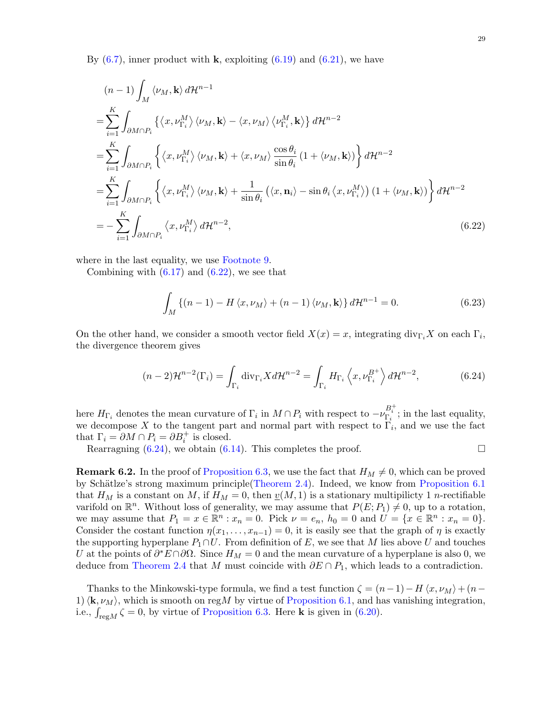By  $(6.7)$ , inner product with **k**, exploiting  $(6.19)$  and  $(6.21)$ , we have

$$
(n-1)\int_{M} \langle \nu_{M}, \mathbf{k} \rangle d\mathcal{H}^{n-1}
$$
  
\n
$$
= \sum_{i=1}^{K} \int_{\partial M \cap P_{i}} \left\{ \langle x, \nu_{\Gamma_{i}}^{M} \rangle \langle \nu_{M}, \mathbf{k} \rangle - \langle x, \nu_{M} \rangle \langle \nu_{\Gamma_{i}}^{M}, \mathbf{k} \rangle \right\} d\mathcal{H}^{n-2}
$$
  
\n
$$
= \sum_{i=1}^{K} \int_{\partial M \cap P_{i}} \left\{ \langle x, \nu_{\Gamma_{i}}^{M} \rangle \langle \nu_{M}, \mathbf{k} \rangle + \langle x, \nu_{M} \rangle \frac{\cos \theta_{i}}{\sin \theta_{i}} (1 + \langle \nu_{M}, \mathbf{k} \rangle) \right\} d\mathcal{H}^{n-2}
$$
  
\n
$$
= \sum_{i=1}^{K} \int_{\partial M \cap P_{i}} \left\{ \langle x, \nu_{\Gamma_{i}}^{M} \rangle \langle \nu_{M}, \mathbf{k} \rangle + \frac{1}{\sin \theta_{i}} (\langle x, \mathbf{n}_{i} \rangle - \sin \theta_{i} \langle x, \nu_{\Gamma_{i}}^{M} \rangle) (1 + \langle \nu_{M}, \mathbf{k} \rangle) \right\} d\mathcal{H}^{n-2}
$$
  
\n
$$
= - \sum_{i=1}^{K} \int_{\partial M \cap P_{i}} \langle x, \nu_{\Gamma_{i}}^{M} \rangle d\mathcal{H}^{n-2},
$$
(6.22)

where in the last equality, we use [Footnote 9.](#page-24-2)

Combining with  $(6.17)$  and  $(6.22)$ , we see that

<span id="page-28-1"></span><span id="page-28-0"></span>
$$
\int_{M} \left\{ (n-1) - H \left\langle x, \nu_M \right\rangle + (n-1) \left\langle \nu_M, \mathbf{k} \right\rangle \right\} d\mathcal{H}^{n-1} = 0. \tag{6.23}
$$

On the other hand, we consider a smooth vector field  $X(x) = x$ , integrating div<sub>Γi</sub>X on each Γ<sub>i</sub>, the divergence theorem gives

$$
(n-2)\mathcal{H}^{n-2}(\Gamma_i) = \int_{\Gamma_i} \text{div}_{\Gamma_i} X d\mathcal{H}^{n-2} = \int_{\Gamma_i} H_{\Gamma_i} \left\langle x, \nu_{\Gamma_i}^{B^+} \right\rangle d\mathcal{H}^{n-2},\tag{6.24}
$$

here  $H_{\Gamma_i}$  denotes the mean curvature of  $\Gamma_i$  in  $M \cap P_i$  with respect to  $-\nu_{\Gamma_i}^{B_i^+}$ ; in the last equality, we decompose X to the tangent part and normal part with respect to  $\Gamma_i$ , and we use the fact that  $\Gamma_i = \partial M \cap P_i = \partial B_i^+$  is closed.

Rearragning  $(6.24)$ , we obtain  $(6.14)$ . This completes the proof.

**Remark 6.2.** In the proof of [Proposition 6.3,](#page-26-0) we use the fact that  $H_M \neq 0$ , which can be proved by Schätlze's strong maximum principle[\(Theorem 2.4\)](#page-6-2). Indeed, we know from [Proposition 6.1](#page-24-4) that  $H_M$  is a constant on M, if  $H_M = 0$ , then  $\underline{v}(M, 1)$  is a stationary multipilicty 1 *n*-rectifiable varifold on  $\mathbb{R}^n$ . Without loss of generality, we may assume that  $P(E; P_1) \neq 0$ , up to a rotation, we may assume that  $P_1 = x \in \mathbb{R}^n : x_n = 0$ . Pick  $\nu = e_n$ ,  $h_0 = 0$  and  $U = \{x \in \mathbb{R}^n : x_n = 0\}$ . Consider the costant function  $\eta(x_1, \ldots, x_{n-1}) = 0$ , it is easily see that the graph of  $\eta$  is exactly the supporting hyperplane  $P_1 \cap U$ . From definition of E, we see that M lies above U and touches U at the points of  $\partial^* E \cap \partial \Omega$ . Since  $H_M = 0$  and the mean curvature of a hyperplane is also 0, we deduce from [Theorem 2.4](#page-6-2) that M must coincide with  $\partial E \cap P_1$ , which leads to a contradiction.

Thanks to the Minkowski-type formula, we find a test function  $\zeta = (n-1) - H\langle x, \nu_M \rangle + (n-1)$ 1)  $\langle \mathbf{k}, \nu_M \rangle$ , which is smooth on regM by virtue of [Proposition 6.1,](#page-24-4) and has vanishing integration, i.e.,  $\int_{\text{reg }M} \zeta = 0$ , by virtue of [Proposition 6.3.](#page-26-0) Here **k** is given in [\(6.20\)](#page-27-0).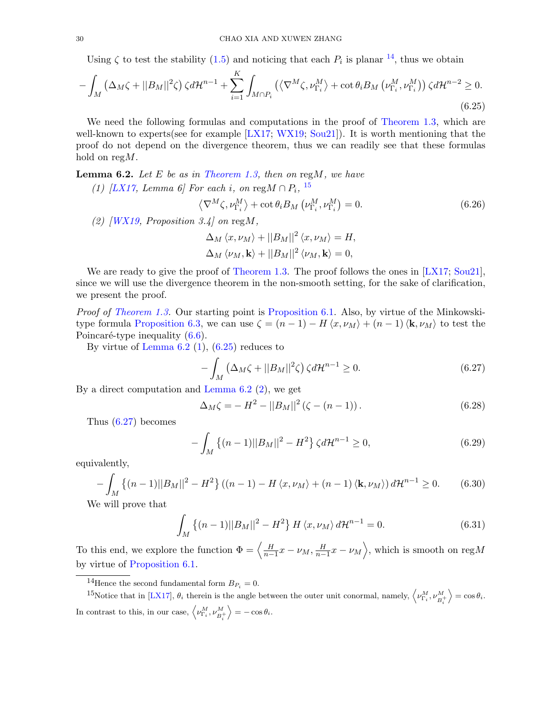Using  $\zeta$  to test the stability [\(1.5\)](#page-3-0) and noticing that each  $P_i$  is planar  $^{14}$  $^{14}$  $^{14}$ , thus we obtain

$$
-\int_{M} \left(\Delta_{M}\zeta + ||B_{M}||^{2}\zeta\right) \zeta d\mathcal{H}^{n-1} + \sum_{i=1}^{K} \int_{M\cap P_{i}} \left(\langle \nabla^{M}\zeta, \nu_{\Gamma_{i}}^{M}\rangle + \cot \theta_{i} B_{M} \left(\nu_{\Gamma_{i}}^{M}, \nu_{\Gamma_{i}}^{M}\right)\right) \zeta d\mathcal{H}^{n-2} \geq 0.
$$
\n(6.25)

We need the following formulas and computations in the proof of [Theorem 1.3,](#page-3-2) which are well-known to experts(see for example [\[LX17;](#page-33-10) [WX19;](#page-34-1) [Sou21\]](#page-33-11)). It is worth mentioning that the proof do not depend on the divergence theorem, thus we can readily see that these formulas hold on regM.

<span id="page-29-3"></span><span id="page-29-2"></span>**Lemma 6.2.** Let E be as in [Theorem 1.3,](#page-3-2) then on reg $M$ , we have

(1) [\[LX17,](#page-33-10) Lemma 6] For each i, on reg $M \cap P_i$ , <sup>[15](#page-29-1)</sup>

<span id="page-29-4"></span>
$$
\left\langle \nabla^{M} \zeta, \nu_{\Gamma_{i}}^{M} \right\rangle + \cot \theta_{i} B_{M} \left( \nu_{\Gamma_{i}}^{M}, \nu_{\Gamma_{i}}^{M} \right) = 0. \qquad (6.26)
$$

<span id="page-29-5"></span>(2)  $\langle W X 19, \text{ Proposition 3.4} \rangle$  on reg $M$ ,

$$
\Delta_M \langle x, \nu_M \rangle + ||B_M||^2 \langle x, \nu_M \rangle = H,
$$
  

$$
\Delta_M \langle \nu_M, \mathbf{k} \rangle + ||B_M||^2 \langle \nu_M, \mathbf{k} \rangle = 0,
$$

We are ready to give the proof of [Theorem 1.3.](#page-3-2) The proof follows the ones in [\[LX17;](#page-33-10) [Sou21\]](#page-33-11), since we will use the divergence theorem in the non-smooth setting, for the sake of clarification, we present the proof.

Proof of [Theorem 1.3.](#page-3-2) Our starting point is [Proposition 6.1.](#page-24-4) Also, by virtue of the Minkowski-type formula [Proposition 6.3,](#page-26-0) we can use  $\zeta = (n-1) - H\langle x, \nu_M \rangle + (n-1)\langle \mathbf{k}, \nu_M \rangle$  to test the Poincaré-type inequality  $(6.6)$ .

By virtue of Lemma  $6.2$  [\(1\)](#page-29-3),  $(6.25)$  reduces to

<span id="page-29-6"></span>
$$
-\int_{M} \left(\Delta_{M}\zeta + ||B_{M}||^{2}\zeta\right) \zeta d\mathcal{H}^{n-1} \ge 0. \tag{6.27}
$$

By a direct computation and [Lemma 6.2](#page-29-2) [\(2\)](#page-29-5), we get

$$
\Delta_M \zeta = -H^2 - ||B_M||^2 (\zeta - (n-1)). \tag{6.28}
$$

Thus [\(6.27\)](#page-29-6) becomes

<span id="page-29-8"></span><span id="page-29-7"></span>
$$
-\int_{M} \left\{ (n-1)||B_{M}||^{2} - H^{2} \right\} \zeta d\mathcal{H}^{n-1} \ge 0,
$$
\n(6.29)

equivalently,

$$
-\int_{M} \{(n-1)||B_{M}||^{2} - H^{2}\} ((n-1) - H\langle x, \nu_{M}\rangle + (n-1)\langle \mathbf{k}, \nu_{M}\rangle) d\mathcal{H}^{n-1} \ge 0.
$$
 (6.30)

We will prove that

$$
\int_{M} \{(n-1)||B_{M}||^{2} - H^{2}\} H \langle x, \nu_{M} \rangle d\mathcal{H}^{n-1} = 0.
$$
\n(6.31)

To this end, we explore the function  $\Phi = \left\langle \frac{H}{n-1} x - \nu_M, \frac{H}{n-1} x - \nu_M \right\rangle$ , which is smooth on reg*M* by virtue of [Proposition 6.1.](#page-24-4)

<span id="page-29-1"></span><span id="page-29-0"></span><sup>&</sup>lt;sup>14</sup>Hence the second fundamental form  $B_{P_i} = 0$ .

<sup>&</sup>lt;sup>15</sup>Notice that in [\[LX17\]](#page-33-10),  $\theta_i$  therein is the angle between the outer unit conormal, namely,  $\left\langle \nu_{\Gamma_i}^M, \nu_{B_i^+}^M \right\rangle$  $\rangle = \cos \theta_i.$ In contrast to this, in our case,  $\left\langle \nu_{\Gamma_i}^M, \nu_{B_i^+}^M \right\rangle$  $\Big\rangle = -\cos\theta_i.$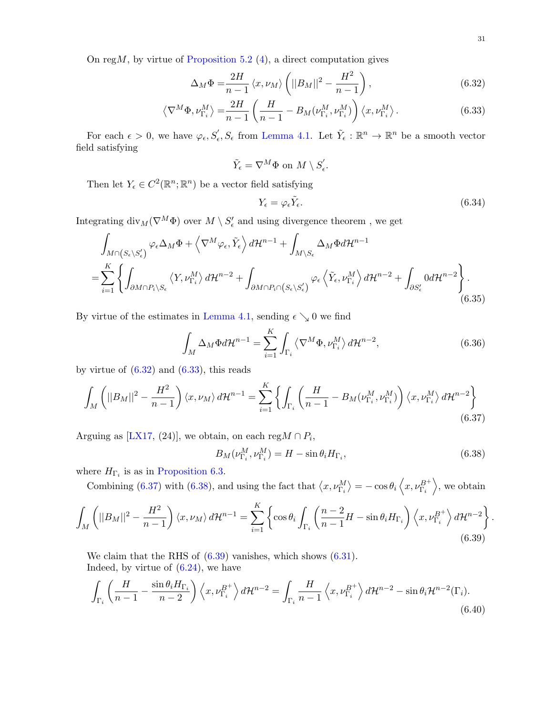On reg $M$ , by virtue of [Proposition 5.2](#page-21-5) [\(4\)](#page-21-6), a direct computation gives

$$
\Delta_M \Phi = \frac{2H}{n-1} \langle x, \nu_M \rangle \left( ||B_M||^2 - \frac{H^2}{n-1} \right), \tag{6.32}
$$

$$
\left\langle \nabla^M \Phi, \nu_{\Gamma_i}^M \right\rangle = \frac{2H}{n-1} \left( \frac{H}{n-1} - B_M(\nu_{\Gamma_i}^M, \nu_{\Gamma_i}^M) \right) \left\langle x, \nu_{\Gamma_i}^M \right\rangle. \tag{6.33}
$$

For each  $\epsilon > 0$ , we have  $\varphi_{\epsilon}, S'_{\epsilon}, S_{\epsilon}$  from [Lemma 4.1.](#page-13-1) Let  $\tilde{Y}_{\epsilon}: \mathbb{R}^{n} \to \mathbb{R}^{n}$  be a smooth vector field satisfying

$$
\tilde{Y}_{\epsilon} = \nabla^M \Phi \text{ on } M \setminus S_{\epsilon}'.
$$

Then let  $Y_{\epsilon} \in C^2(\mathbb{R}^n;\mathbb{R}^n)$  be a vector field satisfying

<span id="page-30-1"></span><span id="page-30-0"></span>
$$
Y_{\epsilon} = \varphi_{\epsilon} \tilde{Y}_{\epsilon}.\tag{6.34}
$$

Integrating  $\text{div}_M(\nabla^M \Phi)$  over  $M \setminus S'_{\epsilon}$  and using divergence theorem, we get

$$
\int_{M\cap (S_{\epsilon}\backslash S_{\epsilon}')} \varphi_{\epsilon} \Delta_{M} \Phi + \left\langle \nabla^{M} \varphi_{\epsilon}, \tilde{Y}_{\epsilon} \right\rangle d\mathcal{H}^{n-1} + \int_{M\backslash S_{\epsilon}} \Delta_{M} \Phi d\mathcal{H}^{n-1}
$$
\n
$$
= \sum_{i=1}^{K} \left\{ \int_{\partial M \cap P_{i}\backslash S_{\epsilon}} \left\langle Y, \nu_{\Gamma_{i}}^{M} \right\rangle d\mathcal{H}^{n-2} + \int_{\partial M \cap P_{i} \cap \left(S_{\epsilon}\backslash S_{\epsilon}'\right)} \varphi_{\epsilon} \left\langle \tilde{Y}_{\epsilon}, \nu_{\Gamma_{i}}^{M} \right\rangle d\mathcal{H}^{n-2} + \int_{\partial S_{\epsilon}'} 0 d\mathcal{H}^{n-2} \right\}.
$$
\n(6.35)

By virtue of the estimates in [Lemma 4.1,](#page-13-1) sending  $\epsilon \searrow 0$  we find

$$
\int_{M} \Delta_{M} \Phi d\mathcal{H}^{n-1} = \sum_{i=1}^{K} \int_{\Gamma_{i}} \left\langle \nabla^{M} \Phi, \nu_{\Gamma_{i}}^{M} \right\rangle d\mathcal{H}^{n-2},\tag{6.36}
$$

by virtue of  $(6.32)$  and  $(6.33)$ , this reads

$$
\int_{M} \left( ||B_{M}||^{2} - \frac{H^{2}}{n-1} \right) \langle x, \nu_{M} \rangle d\mathcal{H}^{n-1} = \sum_{i=1}^{K} \left\{ \int_{\Gamma_{i}} \left( \frac{H}{n-1} - B_{M}(\nu_{\Gamma_{i}}^{M}, \nu_{\Gamma_{i}}^{M}) \right) \langle x, \nu_{\Gamma_{i}}^{M} \rangle d\mathcal{H}^{n-2} \right\}
$$
\n(6.37)

Arguing as [\[LX17,](#page-33-10) (24)], we obtain, on each reg $M \cap P_i$ ,

$$
B_M(\nu_{\Gamma_i}^M, \nu_{\Gamma_i}^M) = H - \sin \theta_i H_{\Gamma_i},\tag{6.38}
$$

where  $H_{\Gamma_i}$  is as in [Proposition 6.3.](#page-26-0)

Combining [\(6.37\)](#page-30-2) with [\(6.38\)](#page-30-3), and using the fact that  $\langle x, \nu_{\Gamma_i}^M \rangle = -\cos\theta_i \langle x, \nu_{\Gamma_i}^{B^+} \rangle$ , we obtain

$$
\int_{M} \left( ||B_{M}||^{2} - \frac{H^{2}}{n-1} \right) \langle x, \nu_{M} \rangle d\mathcal{H}^{n-1} = \sum_{i=1}^{K} \left\{ \cos \theta_{i} \int_{\Gamma_{i}} \left( \frac{n-2}{n-1} H - \sin \theta_{i} H_{\Gamma_{i}} \right) \langle x, \nu_{\Gamma_{i}}^{B^{+}} \rangle d\mathcal{H}^{n-2} \right\}
$$
\n(6.39)

We claim that the RHS of  $(6.39)$  vanishes, which shows  $(6.31)$ . Indeed, by virtue of  $(6.24)$ , we have

$$
\int_{\Gamma_i} \left( \frac{H}{n-1} - \frac{\sin \theta_i H_{\Gamma_i}}{n-2} \right) \left\langle x, \nu_{\Gamma_i}^{B^+} \right\rangle d\mathcal{H}^{n-2} = \int_{\Gamma_i} \frac{H}{n-1} \left\langle x, \nu_{\Gamma_i}^{B^+} \right\rangle d\mathcal{H}^{n-2} - \sin \theta_i \mathcal{H}^{n-2}(\Gamma_i). \tag{6.40}
$$

<span id="page-30-5"></span><span id="page-30-4"></span><span id="page-30-3"></span><span id="page-30-2"></span>.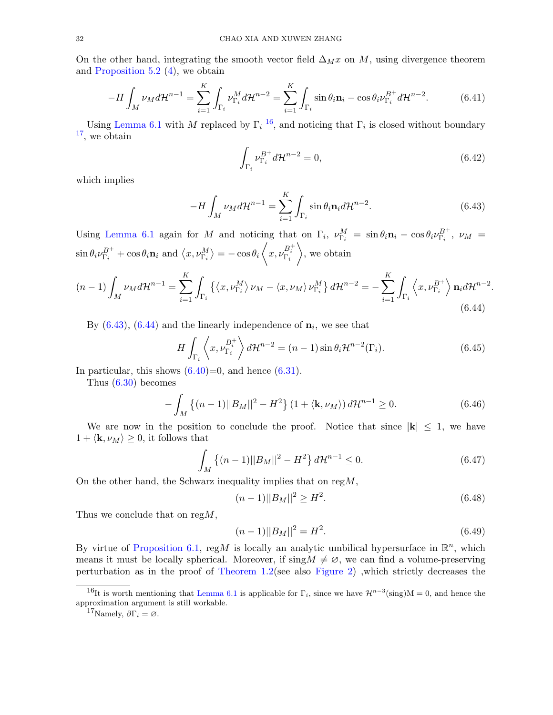On the other hand, integrating the smooth vector field  $\Delta_M x$  on M, using divergence theorem and [Proposition 5.2](#page-21-5) [\(4\)](#page-21-6), we obtain

$$
-H\int_M \nu_M d\mathcal{H}^{n-1} = \sum_{i=1}^K \int_{\Gamma_i} \nu_{\Gamma_i}^M d\mathcal{H}^{n-2} = \sum_{i=1}^K \int_{\Gamma_i} \sin \theta_i \mathbf{n}_i - \cos \theta_i \nu_{\Gamma_i}^{B^+} d\mathcal{H}^{n-2}.
$$
 (6.41)

Using [Lemma 6.1](#page-25-4) with M replaced by  $\Gamma_i$ <sup>[16](#page-31-0)</sup>, and noticing that  $\Gamma_i$  is closed without boundary [17](#page-31-1), we obtain

$$
\int_{\Gamma_i} \nu_{\Gamma_i}^{B^+} d\mathcal{H}^{n-2} = 0,
$$
\n(6.42)

<span id="page-31-3"></span><span id="page-31-2"></span>.

which implies

$$
-H\int_{M} \nu_{M} d\mathcal{H}^{n-1} = \sum_{i=1}^{K} \int_{\Gamma_{i}} \sin \theta_{i} \mathbf{n}_{i} d\mathcal{H}^{n-2}.
$$
 (6.43)

Using [Lemma 6.1](#page-25-4) again for M and noticing that on  $\Gamma_i$ ,  $\nu_{\Gamma_i}^M = \sin \theta_i \mathbf{n}_i - \cos \theta_i \nu_{\Gamma_i}^{B^+}$ ,  $\nu_M =$  $\sin \theta_i \nu_{\Gamma_i}^{B^+} + \cos \theta_i \mathbf{n}_i$  and  $\langle x, \nu_{\Gamma_i}^M \rangle = -\cos \theta_i \langle x, \nu_{\Gamma_i}^{B^+_i} \rangle$  $\rangle$ , we obtain

$$
(n-1)\int_{M} \nu_{M} d\mathcal{H}^{n-1} = \sum_{i=1}^{K} \int_{\Gamma_{i}} \left\{ \left\langle x, \nu_{\Gamma_{i}}^{M} \right\rangle \nu_{M} - \left\langle x, \nu_{M} \right\rangle \nu_{\Gamma_{i}}^{M} \right\} d\mathcal{H}^{n-2} = -\sum_{i=1}^{K} \int_{\Gamma_{i}} \left\langle x, \nu_{\Gamma_{i}}^{B^{+}} \right\rangle \mathbf{n}_{i} d\mathcal{H}^{n-2}
$$
\n(6.44)

By  $(6.43)$ ,  $(6.44)$  and the linearly independence of  $n_i$ , we see that

$$
H\int_{\Gamma_i} \left\langle x, \nu_{\Gamma_i}^{B_i^+} \right\rangle d\mathcal{H}^{n-2} = (n-1)\sin\theta_i \mathcal{H}^{n-2}(\Gamma_i). \tag{6.45}
$$

In particular, this shows  $(6.40)=0$ , and hence  $(6.31)$ .

Thus [\(6.30\)](#page-29-8) becomes

$$
-\int_{M} \{(n-1)||B_{M}||^{2} - H^{2}\} (1 + \langle \mathbf{k}, \nu_{M} \rangle) d\mathcal{H}^{n-1} \ge 0.
$$
 (6.46)

We are now in the position to conclude the proof. Notice that since  $|k| \leq 1$ , we have  $1 + \langle \mathbf{k}, \nu_M \rangle \geq 0$ , it follows that

$$
\int_{M} \left\{ (n-1) ||B_M||^2 - H^2 \right\} d\mathcal{H}^{n-1} \le 0.
$$
\n(6.47)

On the other hand, the Schwarz inequality implies that on  $\text{reg }M$ ,

$$
(n-1)||B_M||^2 \ge H^2. \tag{6.48}
$$

Thus we conclude that on reg $M$ ,

$$
(n-1)||B_M||^2 = H^2.
$$
\n(6.49)

By virtue of [Proposition 6.1,](#page-24-4) regM is locally an analytic umbilical hypersurface in  $\mathbb{R}^n$ , which means it must be locally spherical. Moreover, if  $\text{sing}M \neq \emptyset$ , we can find a volume-preserving perturbation as in the proof of [Theorem 1.2\(](#page-3-1)see also [Figure 2\)](#page-23-1) ,which strictly decreases the

<span id="page-31-0"></span><sup>&</sup>lt;sup>16</sup>It is worth mentioning that [Lemma 6.1](#page-25-4) is applicable for  $\Gamma_i$ , since we have  $\mathcal{H}^{n-3}(\text{sing})M = 0$ , and hence the approximation argument is still workable.

<span id="page-31-1"></span><sup>&</sup>lt;sup>17</sup>Namely,  $\partial \Gamma_i = \emptyset$ .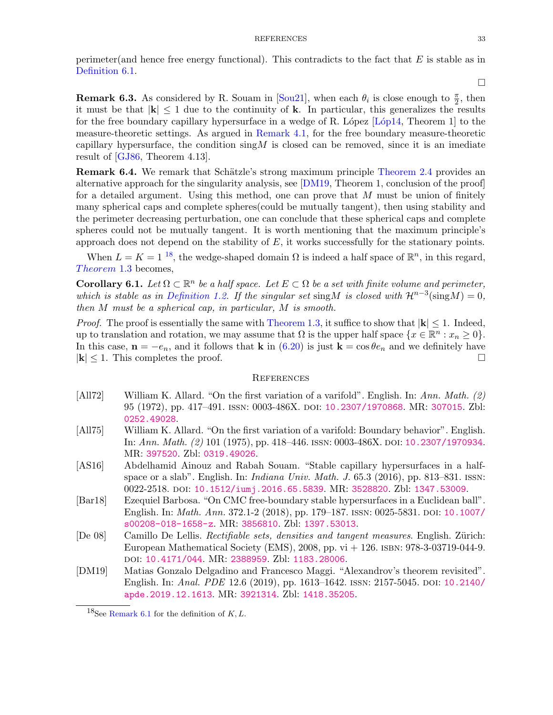perimeter(and hence free energy functional). This contradicts to the fact that  $E$  is stable as in [Definition 6.1.](#page-24-0)

**Remark 6.3.** As considered by R. Souam in [\[Sou21\]](#page-33-11), when each  $\theta_i$  is close enough to  $\frac{\pi}{2}$ , then it must be that  $|k| \leq 1$  due to the continuity of k. In particular, this generalizes the results for the free boundary capillary hypersurface in a wedge of R. López  $[Lóp14, Theorem 1]$  to the measure-theoretic settings. As argued in [Remark 4.1,](#page-14-1) for the free boundary measure-theoretic capillary hypersurface, the condition  $\sin(M)$  is closed can be removed, since it is an imediate result of [\[GJ86,](#page-33-3) Theorem 4.13].

**Remark 6.4.** We remark that Schätzle's strong maximum principle [Theorem 2.4](#page-6-2) provides an alternative approach for the singularity analysis, see [\[DM19,](#page-32-4) Theorem 1, conclusion of the proof] for a detailed argument. Using this method, one can prove that M must be union of finitely many spherical caps and complete spheres(could be mutually tangent), then using stability and the perimeter decreasing perturbation, one can conclude that these spherical caps and complete spheres could not be mutually tangent. It is worth mentioning that the maximum principle's approach does not depend on the stability of  $E$ , it works successfully for the stationary points.

When  $L = K = 1^{18}$  $L = K = 1^{18}$  $L = K = 1^{18}$ , the wedge-shaped domain  $\Omega$  is indeed a half space of  $\mathbb{R}^n$ , in this regard,  $Theorem 1.3$  becomes,

<span id="page-32-2"></span>**Corollary 6.1.** Let  $\Omega \subset \mathbb{R}^n$  be a half space. Let  $E \subset \Omega$  be a set with finite volume and perimeter, which is stable as in [Definition 1.2.](#page-2-3) If the singular set sing M is closed with  $\mathcal{H}^{n-3}(\text{sing}M) = 0$ , then M must be a spherical cap, in particular, M is smooth.

*Proof.* The proof is essentially the same with [Theorem 1.3,](#page-3-2) it suffice to show that  $|\mathbf{k}| \leq 1$ . Indeed, up to translation and rotation, we may assume that  $\Omega$  is the upper half space  $\{x \in \mathbb{R}^n : x_n \geq 0\}.$ In this case,  $\mathbf{n} = -e_n$ , and it follows that **k** in [\(6.20\)](#page-27-0) is just  $\mathbf{k} = \cos \theta e_n$  and we definitely have  $|\mathbf{k}| \leq 1$ . This completes the proof.

### <span id="page-32-0"></span>**REFERENCES**

- <span id="page-32-5"></span>[All72] William K. Allard. "On the first variation of a varifold". English. In: Ann. Math. (2) 95 (1972), pp. 417–491. issn: 0003-486X. doi: [10.2307/1970868](https://doi.org/10.2307/1970868). MR: [307015](http://www.ams.org/mathscinet-getitem?mr=MR307015). Zbl: [0252.49028](http://zbmath.org/?q=an:0252.49028).
- <span id="page-32-6"></span>[All75] William K. Allard. "On the first variation of a varifold: Boundary behavior". English. In: Ann. Math. (2) 101 (1975), pp. 418–446. issn: 0003-486X. doi: [10.2307/1970934](https://doi.org/10.2307/1970934). MR: [397520](http://www.ams.org/mathscinet-getitem?mr=MR397520). Zbl: [0319.49026](http://zbmath.org/?q=an:0319.49026).
- <span id="page-32-7"></span>[AS16] Abdelhamid Ainouz and Rabah Souam. "Stable capillary hypersurfaces in a halfspace or a slab". English. In: Indiana Univ. Math. J. 65.3 (2016), pp. 813–831. issn: 0022-2518. doi: [10.1512/iumj.2016.65.5839](https://doi.org/10.1512/iumj.2016.65.5839). MR: [3528820](http://www.ams.org/mathscinet-getitem?mr=MR3528820). Zbl: [1347.53009](http://zbmath.org/?q=an:1347.53009).
- <span id="page-32-1"></span>[Bar18] Ezequiel Barbosa. "On CMC free-boundary stable hypersurfaces in a Euclidean ball". English. In: *Math. Ann.* 372.1-2 (2018), pp. 179–187. ISSN: 0025-5831. DOI: [10.1007/](https://doi.org/10.1007/s00208-018-1658-z) [s00208-018-1658-z](https://doi.org/10.1007/s00208-018-1658-z). MR: [3856810](http://www.ams.org/mathscinet-getitem?mr=MR3856810). Zbl: [1397.53013](http://zbmath.org/?q=an:1397.53013).
- <span id="page-32-3"></span>[De 08] Camillo De Lellis. Rectifiable sets, densities and tangent measures. English. Zürich: European Mathematical Society (EMS), 2008, pp.  $vi + 126$ . ISBN: 978-3-03719-044-9. doi: [10.4171/044](https://doi.org/10.4171/044). MR: [2388959](http://www.ams.org/mathscinet-getitem?mr=MR2388959). Zbl: [1183.28006](http://zbmath.org/?q=an:1183.28006).
- <span id="page-32-4"></span>[DM19] Matias Gonzalo Delgadino and Francesco Maggi. "Alexandrov's theorem revisited". English. In: Anal. PDE 12.6 (2019), pp. 1613-1642. ISSN: 2157-5045. DOI: [10.2140/](https://doi.org/10.2140/apde.2019.12.1613) [apde.2019.12.1613](https://doi.org/10.2140/apde.2019.12.1613). MR: [3921314](http://www.ams.org/mathscinet-getitem?mr=MR3921314). Zbl: [1418.35205](http://zbmath.org/?q=an:1418.35205).

 $\Box$ 

<span id="page-32-8"></span><sup>&</sup>lt;sup>18</sup>See [Remark 6.1](#page-24-5) for the definition of  $K, L$ .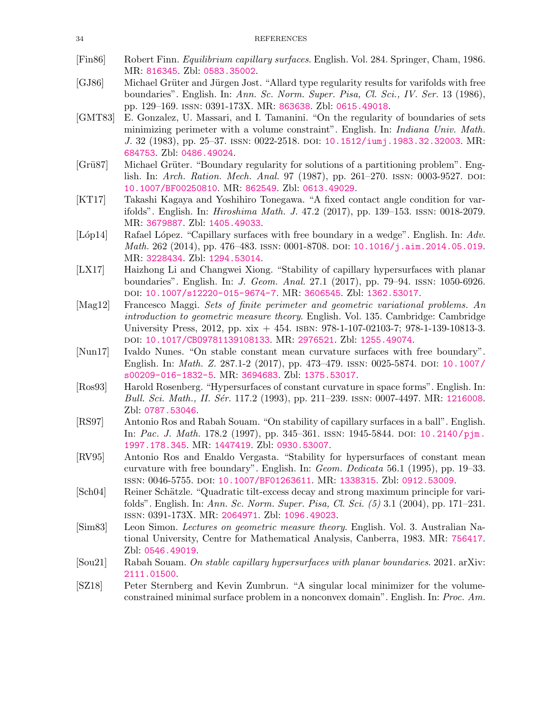- <span id="page-33-1"></span>[Fin86] Robert Finn. Equilibrium capillary surfaces. English. Vol. 284. Springer, Cham, 1986. MR: [816345](http://www.ams.org/mathscinet-getitem?mr=MR816345). Zbl: [0583.35002](http://zbmath.org/?q=an:0583.35002).
- <span id="page-33-3"></span>[GJ86] Michael Grüter and Jürgen Jost. "Allard type regularity results for varifolds with free boundaries". English. In: Ann. Sc. Norm. Super. Pisa, Cl. Sci., IV. Ser. 13 (1986), pp. 129–169. issn: 0391-173X. MR: [863638](http://www.ams.org/mathscinet-getitem?mr=MR863638). Zbl: [0615.49018](http://zbmath.org/?q=an:0615.49018).
- <span id="page-33-2"></span>[GMT83] E. Gonzalez, U. Massari, and I. Tamanini. "On the regularity of boundaries of sets minimizing perimeter with a volume constraint". English. In: Indiana Univ. Math. J. 32 (1983), pp. 25–37. issn: 0022-2518. doi: [10.1512/iumj.1983.32.32003](https://doi.org/10.1512/iumj.1983.32.32003). MR: [684753](http://www.ams.org/mathscinet-getitem?mr=MR684753). Zbl: [0486.49024](http://zbmath.org/?q=an:0486.49024).
- <span id="page-33-4"></span>[Grü87] Michael Grüter. "Boundary regularity for solutions of a partitioning problem". English. In: Arch. Ration. Mech. Anal. 97 (1987), pp. 261–270. ISSN: 0003-9527. DOI: [10.1007/BF00250810](https://doi.org/10.1007/BF00250810). MR: [862549](http://www.ams.org/mathscinet-getitem?mr=MR862549). Zbl: [0613.49029](http://zbmath.org/?q=an:0613.49029).
- <span id="page-33-9"></span>[KT17] Takashi Kagaya and Yoshihiro Tonegawa. "A fixed contact angle condition for varifolds". English. In: Hiroshima Math. J. 47.2 (2017), pp. 139–153. issn: 0018-2079. MR: [3679887](http://www.ams.org/mathscinet-getitem?mr=MR3679887). Zbl: [1405.49033](http://zbmath.org/?q=an:1405.49033).
- <span id="page-33-15"></span>[Lóp14] Rafael López. "Capillary surfaces with free boundary in a wedge". English. In: Adv. *Math.* 262 (2014), pp. 476–483. ISSN: 0001-8708. DOI: [10.1016/j.aim.2014.05.019](https://doi.org/10.1016/j.aim.2014.05.019). MR: [3228434](http://www.ams.org/mathscinet-getitem?mr=MR3228434). Zbl: [1294.53014](http://zbmath.org/?q=an:1294.53014).
- <span id="page-33-10"></span>[LX17] Haizhong Li and Changwei Xiong. "Stability of capillary hypersurfaces with planar boundaries". English. In: J. Geom. Anal. 27.1 (2017), pp. 79–94. issn: 1050-6926. doi: [10.1007/s12220-015-9674-7](https://doi.org/10.1007/s12220-015-9674-7). MR: [3606545](http://www.ams.org/mathscinet-getitem?mr=MR3606545). Zbl: [1362.53017](http://zbmath.org/?q=an:1362.53017).
- <span id="page-33-0"></span>[Mag12] Francesco Maggi. Sets of finite perimeter and geometric variational problems. An introduction to geometric measure theory. English. Vol. 135. Cambridge: Cambridge University Press, 2012, pp. xix + 454. isbn: 978-1-107-02103-7; 978-1-139-10813-3. doi: [10.1017/CBO9781139108133](https://doi.org/10.1017/CBO9781139108133). MR: [2976521](http://www.ams.org/mathscinet-getitem?mr=MR2976521). Zbl: [1255.49074](http://zbmath.org/?q=an:1255.49074).
- <span id="page-33-6"></span>[Nun17] Ivaldo Nunes. "On stable constant mean curvature surfaces with free boundary". English. In: *Math. Z.* 287.1-2 (2017), pp. 473–479. ISSN: 0025-5874. DOI: [10.1007/](https://doi.org/10.1007/s00209-016-1832-5) [s00209-016-1832-5](https://doi.org/10.1007/s00209-016-1832-5). MR: [3694683](http://www.ams.org/mathscinet-getitem?mr=MR3694683). Zbl: [1375.53017](http://zbmath.org/?q=an:1375.53017).
- <span id="page-33-14"></span>[Ros93] Harold Rosenberg. "Hypersurfaces of constant curvature in space forms". English. In: Bull. Sci. Math., II. Sér. 117.2 (1993), pp. 211–239. ISSN: 0007-4497. MR: [1216008](http://www.ams.org/mathscinet-getitem?mr=MR1216008). Zbl: [0787.53046](http://zbmath.org/?q=an:0787.53046).
- <span id="page-33-8"></span>[RS97] Antonio Ros and Rabah Souam. "On stability of capillary surfaces in a ball". English. In: Pac. J. Math. 178.2 (1997), pp. 345–361. ISSN: 1945-5844. DOI: [10.2140/pjm.](https://doi.org/10.2140/pjm.1997.178.345) [1997.178.345](https://doi.org/10.2140/pjm.1997.178.345). MR: [1447419](http://www.ams.org/mathscinet-getitem?mr=MR1447419). Zbl: [0930.53007](http://zbmath.org/?q=an:0930.53007).
- <span id="page-33-7"></span>[RV95] Antonio Ros and Enaldo Vergasta. "Stability for hypersurfaces of constant mean curvature with free boundary". English. In: Geom. Dedicata 56.1 (1995), pp. 19–33. issn: 0046-5755. doi: [10.1007/BF01263611](https://doi.org/10.1007/BF01263611). MR: [1338315](http://www.ams.org/mathscinet-getitem?mr=MR1338315). Zbl: [0912.53009](http://zbmath.org/?q=an:0912.53009).
- <span id="page-33-13"></span>[Sch04] Reiner Schätzle. "Quadratic tilt-excess decay and strong maximum principle for varifolds". English. In: Ann. Sc. Norm. Super. Pisa, Cl. Sci. (5) 3.1 (2004), pp. 171–231. issn: 0391-173X. MR: [2064971](http://www.ams.org/mathscinet-getitem?mr=MR2064971). Zbl: [1096.49023](http://zbmath.org/?q=an:1096.49023).
- <span id="page-33-12"></span>[Sim83] Leon Simon. Lectures on geometric measure theory. English. Vol. 3. Australian National University, Centre for Mathematical Analysis, Canberra, 1983. MR: [756417](http://www.ams.org/mathscinet-getitem?mr=MR756417). Zbl: [0546.49019](http://zbmath.org/?q=an:0546.49019).
- <span id="page-33-11"></span>[Sou21] Rabah Souam. On stable capillary hypersurfaces with planar boundaries. 2021. arXiv: [2111.01500](https://arxiv.org/abs/2111.01500).
- <span id="page-33-5"></span>[SZ18] Peter Sternberg and Kevin Zumbrun. "A singular local minimizer for the volumeconstrained minimal surface problem in a nonconvex domain". English. In: Proc. Am.